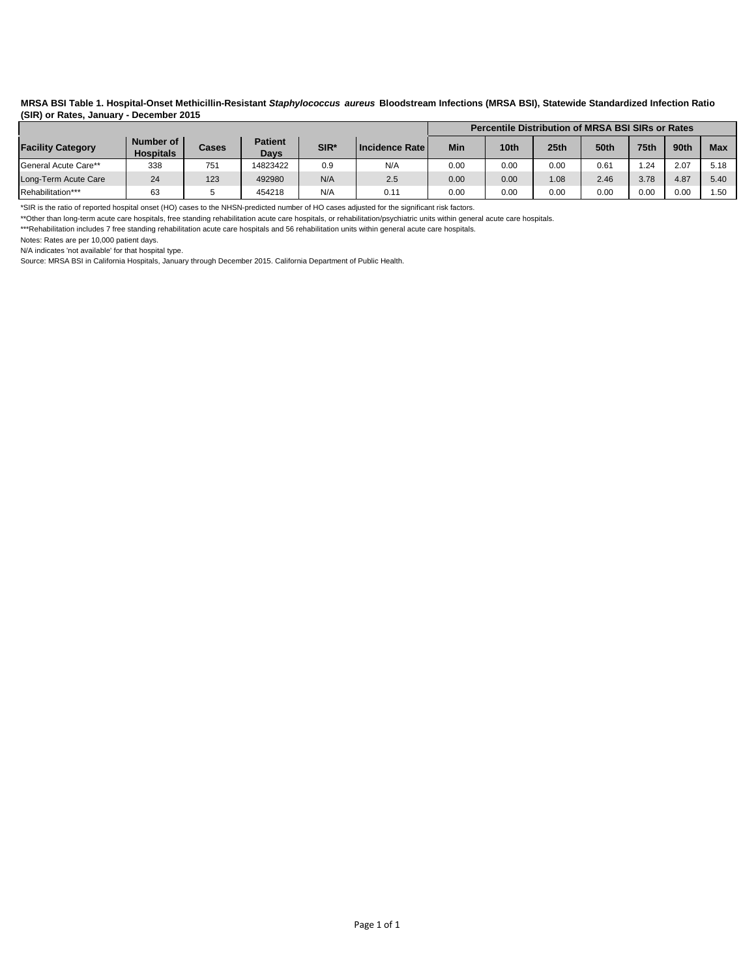#### **MRSA BSI Table 1. Hospital-Onset Methicillin-Resistant** *Staphylococcus aureus* **Bloodstream Infections (MRSA BSI), Statewide Standardized Infection Ratio (SIR) or Rates, January - December 2015**

|                          |                               |       |                        |      | <b>Percentile Distribution of MRSA BSI SIRs or Rates</b> |            |      |                  |             |      |      |            |
|--------------------------|-------------------------------|-------|------------------------|------|----------------------------------------------------------|------------|------|------------------|-------------|------|------|------------|
| <b>Facility Category</b> | Number of<br><b>Hospitals</b> | Cases | <b>Patient</b><br>Days | SIR* | I Incidence Rate                                         | <b>Min</b> | 10th | 25 <sub>th</sub> | <b>50th</b> | 75th | 90th | <b>Max</b> |
| General Acute Care**     | 338                           | 751   | 14823422               | 0.9  | N/A                                                      | 0.00       | 0.00 | 0.00             | 0.61        | .24  | 2.07 | 5.18       |
| Long-Term Acute Care     | 24                            | 123   | 492980                 | N/A  | 2.5                                                      | 0.00       | 0.00 | .08              | 2.46        | 3.78 | 4.87 | 5.40       |
| Rehabilitation***        | 63                            |       | 454218                 | N/A  | 0.11                                                     | 0.00       | 0.00 | 0.00             | 0.00        | 0.00 | 0.00 | .50        |

\*SIR is the ratio of reported hospital onset (HO) cases to the NHSN-predicted number of HO cases adjusted for the significant risk factors.

\*\*Other than long-term acute care hospitals, free standing rehabilitation acute care hospitals, or rehabilitation/psychiatric units within general acute care hospitals.

\*\*\*Rehabilitation includes 7 free standing rehabilitation acute care hospitals and 56 rehabilitation units within general acute care hospitals.

Notes: Rates are per 10,000 patient days.

N/A indicates 'not available' for that hospital type.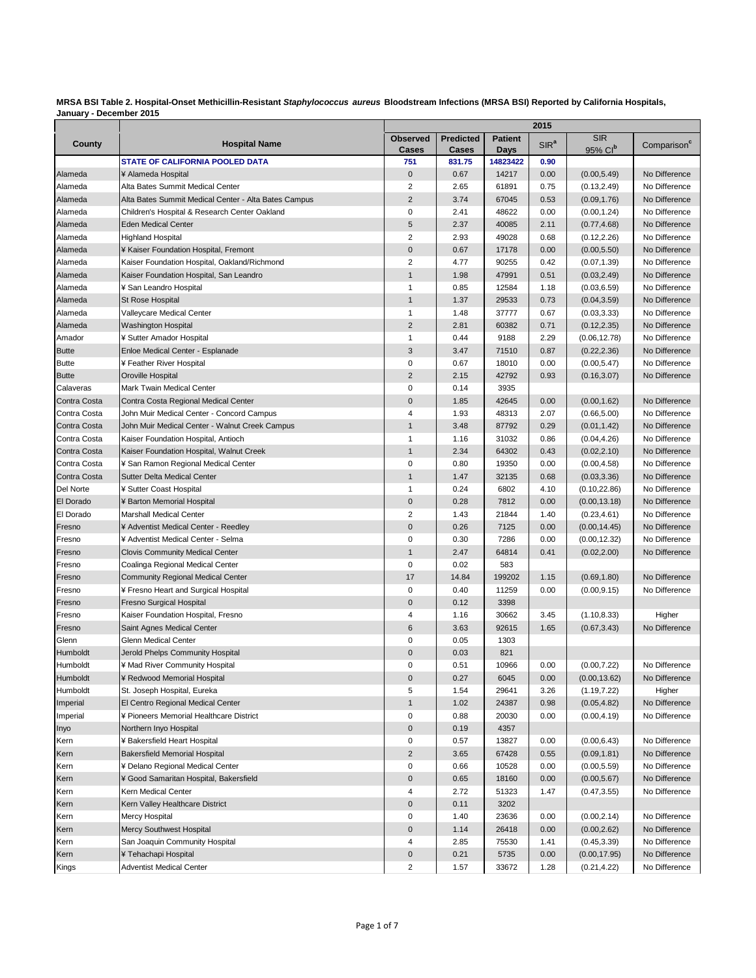| MRSA BSI Table 2. Hospital-Onset Methicillin-Resistant Staphylococcus aureus Bloodstream Infections (MRSA BSI) Reported by California Hospitals, |  |
|--------------------------------------------------------------------------------------------------------------------------------------------------|--|
| January - December 2015                                                                                                                          |  |

|              |                                                      | 2015                     |                           |                        |                  |                       |                         |
|--------------|------------------------------------------------------|--------------------------|---------------------------|------------------------|------------------|-----------------------|-------------------------|
| County       | <b>Hospital Name</b>                                 | <b>Observed</b><br>Cases | <b>Predicted</b><br>Cases | <b>Patient</b><br>Days | SIR <sup>a</sup> | <b>SIR</b><br>95% Clb | Comparison <sup>c</sup> |
|              | STATE OF CALIFORNIA POOLED DATA                      | 751                      | 831.75                    | 14823422               | 0.90             |                       |                         |
| Alameda      | ¥ Alameda Hospital                                   | $\pmb{0}$                | 0.67                      | 14217                  | 0.00             | (0.00, 5.49)          | No Difference           |
| Alameda      | Alta Bates Summit Medical Center                     | 2                        | 2.65                      | 61891                  | 0.75             | (0.13, 2.49)          | No Difference           |
| Alameda      | Alta Bates Summit Medical Center - Alta Bates Campus | $\overline{2}$           | 3.74                      | 67045                  | 0.53             | (0.09, 1.76)          | No Difference           |
| Alameda      | Children's Hospital & Research Center Oakland        | 0                        | 2.41                      | 48622                  | 0.00             | (0.00, 1.24)          | No Difference           |
| Alameda      | <b>Eden Medical Center</b>                           | 5                        | 2.37                      | 40085                  | 2.11             | (0.77, 4.68)          | No Difference           |
| Alameda      | <b>Highland Hospital</b>                             | $\overline{2}$           | 2.93                      | 49028                  | 0.68             | (0.12, 2.26)          | No Difference           |
| Alameda      | ¥ Kaiser Foundation Hospital, Fremont                | $\mathbf 0$              | 0.67                      | 17178                  | 0.00             | (0.00, 5.50)          | No Difference           |
| Alameda      | Kaiser Foundation Hospital, Oakland/Richmond         | $\overline{\mathbf{c}}$  | 4.77                      | 90255                  | 0.42             | (0.07, 1.39)          | No Difference           |
| Alameda      | Kaiser Foundation Hospital, San Leandro              | $\overline{1}$           | 1.98                      | 47991                  | 0.51             | (0.03, 2.49)          | No Difference           |
| Alameda      | ¥ San Leandro Hospital                               | $\mathbf{1}$             | 0.85                      | 12584                  | 1.18             | (0.03, 6.59)          | No Difference           |
| Alameda      | St Rose Hospital                                     | $\mathbf{1}$             | 1.37                      | 29533                  | 0.73             | (0.04, 3.59)          | No Difference           |
| Alameda      | Valleycare Medical Center                            | 1                        | 1.48                      | 37777                  | 0.67             | (0.03, 3.33)          | No Difference           |
| Alameda      | <b>Washington Hospital</b>                           | $\overline{2}$           | 2.81                      | 60382                  | 0.71             | (0.12, 2.35)          | No Difference           |
| Amador       | ¥ Sutter Amador Hospital                             | $\mathbf{1}$             | 0.44                      | 9188                   | 2.29             | (0.06, 12.78)         | No Difference           |
| <b>Butte</b> | Enloe Medical Center - Esplanade                     | 3                        | 3.47                      | 71510                  | 0.87             | (0.22, 2.36)          | No Difference           |
| <b>Butte</b> | ¥ Feather River Hospital                             | $\pmb{0}$                | 0.67                      | 18010                  | 0.00             | (0.00, 5.47)          | No Difference           |
| <b>Butte</b> | Oroville Hospital                                    | $\overline{2}$           | 2.15                      | 42792                  | 0.93             | (0.16, 3.07)          | No Difference           |
| Calaveras    | Mark Twain Medical Center                            | 0                        | 0.14                      | 3935                   |                  |                       |                         |
| Contra Costa | Contra Costa Regional Medical Center                 | $\mathbf 0$              | 1.85                      | 42645                  | 0.00             | (0.00, 1.62)          | No Difference           |
| Contra Costa | John Muir Medical Center - Concord Campus            | 4                        | 1.93                      | 48313                  | 2.07             | (0.66, 5.00)          | No Difference           |
| Contra Costa | John Muir Medical Center - Walnut Creek Campus       | $\mathbf{1}$             | 3.48                      | 87792                  | 0.29             | (0.01, 1.42)          | No Difference           |
| Contra Costa | Kaiser Foundation Hospital, Antioch                  | 1                        | 1.16                      | 31032                  | 0.86             | (0.04, 4.26)          | No Difference           |
| Contra Costa | Kaiser Foundation Hospital, Walnut Creek             | $\mathbf{1}$             | 2.34                      | 64302                  | 0.43             | (0.02, 2.10)          | No Difference           |
| Contra Costa | ¥ San Ramon Regional Medical Center                  | $\mathbf 0$              | 0.80                      | 19350                  | 0.00             | (0.00, 4.58)          | No Difference           |
| Contra Costa | <b>Sutter Delta Medical Center</b>                   | $\mathbf{1}$             | 1.47                      | 32135                  | 0.68             | (0.03, 3.36)          | No Difference           |
| Del Norte    | ¥ Sutter Coast Hospital                              | 1                        | 0.24                      | 6802                   | 4.10             | (0.10, 22.86)         | No Difference           |
| El Dorado    | ¥ Barton Memorial Hospital                           | $\mathbf 0$              | 0.28                      | 7812                   | 0.00             | (0.00, 13.18)         | No Difference           |
| El Dorado    | <b>Marshall Medical Center</b>                       | $\overline{2}$           | 1.43                      | 21844                  | 1.40             | (0.23, 4.61)          | No Difference           |
| Fresno       | ¥ Adventist Medical Center - Reedley                 | $\pmb{0}$                | 0.26                      | 7125                   | 0.00             | (0.00, 14.45)         | No Difference           |
| Fresno       | ¥ Adventist Medical Center - Selma                   | $\mathbf 0$              | 0.30                      | 7286                   | 0.00             | (0.00, 12.32)         | No Difference           |
| Fresno       | <b>Clovis Community Medical Center</b>               | $\mathbf{1}$             | 2.47                      | 64814                  | 0.41             | (0.02, 2.00)          | No Difference           |
| Fresno       | Coalinga Regional Medical Center                     | 0                        | 0.02                      | 583                    |                  |                       |                         |
| Fresno       | <b>Community Regional Medical Center</b>             | 17                       | 14.84                     | 199202                 | 1.15             | (0.69, 1.80)          | No Difference           |
| Fresno       | ¥ Fresno Heart and Surgical Hospital                 | $\mathbf 0$              | 0.40                      | 11259                  | 0.00             | (0.00, 9.15)          | No Difference           |
| Fresno       | Fresno Surgical Hospital                             | 0                        | 0.12                      | 3398                   |                  |                       |                         |
| Fresno       | Kaiser Foundation Hospital, Fresno                   | 4                        | 1.16                      | 30662                  | 3.45             | (1.10, 8.33)          | Higher                  |
| Fresno       | Saint Agnes Medical Center                           | 6                        | 3.63                      | 92615                  | 1.65             | (0.67, 3.43)          | No Difference           |
| Glenn        | <b>Glenn Medical Center</b>                          | 0                        | 0.05                      | 1303                   |                  |                       |                         |
| Humboldt     | Jerold Phelps Community Hospital                     | $\mathbf 0$              | 0.03                      | 821                    |                  |                       |                         |
| Humboldt     | ¥ Mad River Community Hospital                       | 0                        | 0.51                      | 10966                  | 0.00             | (0.00, 7.22)          | No Difference           |
| Humboldt     | ¥ Redwood Memorial Hospital                          | $\pmb{0}$                | 0.27                      | 6045                   | 0.00             | (0.00, 13.62)         | No Difference           |
| Humboldt     | St. Joseph Hospital, Eureka                          | 5                        | 1.54                      | 29641                  | 3.26             | (1.19, 7.22)          | Higher                  |
| Imperial     | El Centro Regional Medical Center                    | $\mathbf{1}$             | 1.02                      | 24387                  | 0.98             | (0.05, 4.82)          | No Difference           |
| Imperial     | ¥ Pioneers Memorial Healthcare District              | 0                        | 0.88                      | 20030                  | 0.00             | (0.00, 4.19)          | No Difference           |
| Inyo         | Northern Inyo Hospital                               | $\pmb{0}$                | 0.19                      | 4357                   |                  |                       |                         |
| Kern         | ¥ Bakersfield Heart Hospital                         | $\pmb{0}$                | 0.57                      | 13827                  | 0.00             | (0.00, 6.43)          | No Difference           |
| Kern         | <b>Bakersfield Memorial Hospital</b>                 | $\sqrt{2}$               | 3.65                      | 67428                  | 0.55             | (0.09, 1.81)          | No Difference           |
| Kern         | ¥ Delano Regional Medical Center                     | 0                        | 0.66                      | 10528                  | 0.00             | (0.00, 5.59)          | No Difference           |
| Kern         | ¥ Good Samaritan Hospital, Bakersfield               | $\pmb{0}$                | 0.65                      | 18160                  | 0.00             | (0.00, 5.67)          | No Difference           |
| Kern         | Kern Medical Center                                  | 4                        | 2.72                      | 51323                  | 1.47             | (0.47, 3.55)          | No Difference           |
| Kern         | Kern Valley Healthcare District                      | $\pmb{0}$                | 0.11                      | 3202                   |                  |                       |                         |
| Kern         | Mercy Hospital                                       | 0                        | 1.40                      | 23636                  | 0.00             | (0.00, 2.14)          | No Difference           |
| Kern         | Mercy Southwest Hospital                             | $\pmb{0}$                | 1.14                      | 26418                  | 0.00             | (0.00, 2.62)          | No Difference           |
| Kern         | San Joaquin Community Hospital                       | 4                        | 2.85                      | 75530                  | 1.41             | (0.45, 3.39)          | No Difference           |
| Kern         | ¥ Tehachapi Hospital                                 | $\pmb{0}$                | 0.21                      | 5735                   | 0.00             | (0.00, 17.95)         | No Difference           |
|              | <b>Adventist Medical Center</b>                      | $\overline{\mathbf{c}}$  | 1.57                      | 33672                  | 1.28             | (0.21, 4.22)          | No Difference           |
| Kings        |                                                      |                          |                           |                        |                  |                       |                         |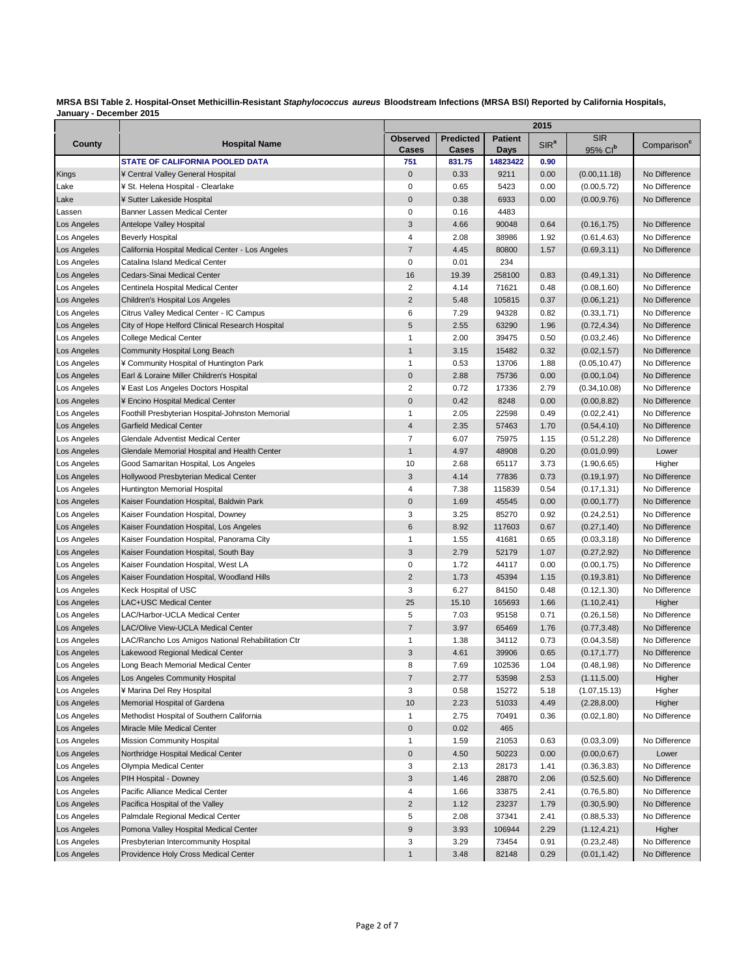| MRSA BSI Table 2. Hospital-Onset Methicillin-Resistant Staphylococcus aureus Bloodstream Infections (MRSA BSI) Reported by California Hospitals, |  |
|--------------------------------------------------------------------------------------------------------------------------------------------------|--|
| January - December 2015                                                                                                                          |  |

| 2015        |                                                   |                          |                           |                        |                  |                       |                         |  |
|-------------|---------------------------------------------------|--------------------------|---------------------------|------------------------|------------------|-----------------------|-------------------------|--|
| County      | <b>Hospital Name</b>                              | <b>Observed</b><br>Cases | <b>Predicted</b><br>Cases | <b>Patient</b><br>Days | SIR <sup>a</sup> | <b>SIR</b><br>95% Clb | Comparison <sup>c</sup> |  |
|             | STATE OF CALIFORNIA POOLED DATA                   | 751                      | 831.75                    | 14823422               | 0.90             |                       |                         |  |
| Kings       | ¥ Central Valley General Hospital                 | $\pmb{0}$                | 0.33                      | 9211                   | 0.00             | (0.00, 11.18)         | No Difference           |  |
| Lake        | ¥ St. Helena Hospital - Clearlake                 | 0                        | 0.65                      | 5423                   | 0.00             | (0.00, 5.72)          | No Difference           |  |
| Lake        | ¥ Sutter Lakeside Hospital                        | $\mathbf 0$              | 0.38                      | 6933                   | 0.00             | (0.00, 9.76)          | No Difference           |  |
| Lassen      | Banner Lassen Medical Center                      | 0                        | 0.16                      | 4483                   |                  |                       |                         |  |
| Los Angeles | Antelope Valley Hospital                          | 3                        | 4.66                      | 90048                  | 0.64             | (0.16, 1.75)          | No Difference           |  |
| Los Angeles | <b>Beverly Hospital</b>                           | $\overline{4}$           | 2.08                      | 38986                  | 1.92             | (0.61, 4.63)          | No Difference           |  |
| Los Angeles | California Hospital Medical Center - Los Angeles  | $\overline{7}$           | 4.45                      | 80800                  | 1.57             | (0.69, 3.11)          | No Difference           |  |
| Los Angeles | Catalina Island Medical Center                    | 0                        | 0.01                      | 234                    |                  |                       |                         |  |
| Los Angeles | Cedars-Sinai Medical Center                       | 16                       | 19.39                     | 258100                 | 0.83             | (0.49, 1.31)          | No Difference           |  |
| Los Angeles | Centinela Hospital Medical Center                 | $\overline{2}$           | 4.14                      | 71621                  | 0.48             | (0.08, 1.60)          | No Difference           |  |
| Los Angeles | Children's Hospital Los Angeles                   | $\overline{2}$           | 5.48                      | 105815                 | 0.37             | (0.06, 1.21)          | No Difference           |  |
| Los Angeles | Citrus Valley Medical Center - IC Campus          | 6                        | 7.29                      | 94328                  | 0.82             | (0.33, 1.71)          | No Difference           |  |
| Los Angeles | City of Hope Helford Clinical Research Hospital   | 5                        | 2.55                      | 63290                  | 1.96             | (0.72, 4.34)          | No Difference           |  |
| Los Angeles | College Medical Center                            | 1                        | 2.00                      | 39475                  | 0.50             | (0.03, 2.46)          | No Difference           |  |
| Los Angeles | Community Hospital Long Beach                     | $\mathbf{1}$             | 3.15                      | 15482                  | 0.32             | (0.02, 1.57)          | No Difference           |  |
| Los Angeles | ¥ Community Hospital of Huntington Park           | $\mathbf{1}$             | 0.53                      | 13706                  | 1.88             | (0.05, 10.47)         | No Difference           |  |
| Los Angeles | Earl & Loraine Miller Children's Hospital         | $\pmb{0}$                | 2.88                      | 75736                  | 0.00             | (0.00, 1.04)          | No Difference           |  |
| Los Angeles | ¥ East Los Angeles Doctors Hospital               | $\overline{\mathbf{c}}$  | 0.72                      | 17336                  | 2.79             | (0.34, 10.08)         | No Difference           |  |
| Los Angeles | ¥ Encino Hospital Medical Center                  | $\pmb{0}$                | 0.42                      | 8248                   | 0.00             | (0.00, 8.82)          | No Difference           |  |
|             | Foothill Presbyterian Hospital-Johnston Memorial  | 1                        | 2.05                      | 22598                  | 0.49             |                       | No Difference           |  |
| Los Angeles |                                                   | $\overline{\mathbf{4}}$  | 2.35                      | 57463                  | 1.70             | (0.02, 2.41)          | No Difference           |  |
| Los Angeles | <b>Garfield Medical Center</b>                    | $\overline{7}$           | 6.07                      |                        | 1.15             | (0.54, 4.10)          | No Difference           |  |
| Los Angeles | Glendale Adventist Medical Center                 | $\mathbf{1}$             |                           | 75975                  |                  | (0.51, 2.28)          |                         |  |
| Los Angeles | Glendale Memorial Hospital and Health Center      |                          | 4.97                      | 48908                  | 0.20             | (0.01, 0.99)          | Lower                   |  |
| Los Angeles | Good Samaritan Hospital, Los Angeles              | 10                       | 2.68                      | 65117                  | 3.73             | (1.90, 6.65)          | Higher                  |  |
| Los Angeles | Hollywood Presbyterian Medical Center             | 3                        | 4.14                      | 77836                  | 0.73             | (0.19, 1.97)          | No Difference           |  |
| Los Angeles | Huntington Memorial Hospital                      | $\overline{4}$           | 7.38                      | 115839                 | 0.54             | (0.17, 1.31)          | No Difference           |  |
| Los Angeles | Kaiser Foundation Hospital, Baldwin Park          | $\pmb{0}$                | 1.69                      | 45545                  | 0.00             | (0.00, 1.77)          | No Difference           |  |
| Los Angeles | Kaiser Foundation Hospital, Downey                | 3                        | 3.25                      | 85270                  | 0.92             | (0.24, 2.51)          | No Difference           |  |
| Los Angeles | Kaiser Foundation Hospital, Los Angeles           | 6                        | 8.92                      | 117603                 | 0.67             | (0.27, 1.40)          | No Difference           |  |
| Los Angeles | Kaiser Foundation Hospital, Panorama City         | $\mathbf{1}$             | 1.55                      | 41681                  | 0.65             | (0.03, 3.18)          | No Difference           |  |
| Los Angeles | Kaiser Foundation Hospital, South Bay             | 3                        | 2.79                      | 52179                  | 1.07             | (0.27, 2.92)          | No Difference           |  |
| Los Angeles | Kaiser Foundation Hospital, West LA               | 0                        | 1.72                      | 44117                  | 0.00             | (0.00, 1.75)          | No Difference           |  |
| Los Angeles | Kaiser Foundation Hospital, Woodland Hills        | $\overline{2}$           | 1.73                      | 45394                  | 1.15             | (0.19, 3.81)          | No Difference           |  |
| Los Angeles | Keck Hospital of USC                              | 3                        | 6.27                      | 84150                  | 0.48             | (0.12, 1.30)          | No Difference           |  |
| Los Angeles | LAC+USC Medical Center                            | 25                       | 15.10                     | 165693                 | 1.66             | (1.10, 2.41)          | Higher                  |  |
| Los Angeles | LAC/Harbor-UCLA Medical Center                    | 5                        | 7.03                      | 95158                  | 0.71             | (0.26, 1.58)          | No Difference           |  |
| Los Angeles | LAC/Olive View-UCLA Medical Center                | $\overline{7}$           | 3.97                      | 65469                  | 1.76             | (0.77, 3.48)          | No Difference           |  |
| Los Angeles | LAC/Rancho Los Amigos National Rehabilitation Ctr | 1                        | 1.38                      | 34112                  | 0.73             | (0.04, 3.58)          | No Difference           |  |
| Los Angeles | Lakewood Regional Medical Center                  | 3                        | 4.61                      | 39906                  | 0.65             | (0.17, 1.77)          | No Difference           |  |
| Los Angeles | Long Beach Memorial Medical Center                | 8                        | 7.69                      | 102536                 | 1.04             | (0.48, 1.98)          | No Difference           |  |
| Los Angeles | Los Angeles Community Hospital                    | $\overline{7}$           | 2.77                      | 53598                  | 2.53             | (1.11, 5.00)          | Higher                  |  |
| Los Angeles | ¥ Marina Del Rey Hospital                         | 3                        | 0.58                      | 15272                  | 5.18             | (1.07, 15.13)         | Higher                  |  |
| Los Angeles | Memorial Hospital of Gardena                      | 10                       | 2.23                      | 51033                  | 4.49             | (2.28, 8.00)          | Higher                  |  |
| Los Angeles | Methodist Hospital of Southern California         | $\mathbf{1}$             | 2.75                      | 70491                  | 0.36             | (0.02, 1.80)          | No Difference           |  |
| Los Angeles | Miracle Mile Medical Center                       | $\pmb{0}$                | 0.02                      | 465                    |                  |                       |                         |  |
| Los Angeles | <b>Mission Community Hospital</b>                 | 1                        | 1.59                      | 21053                  | 0.63             | (0.03, 3.09)          | No Difference           |  |
| Los Angeles | Northridge Hospital Medical Center                | $\pmb{0}$                | 4.50                      | 50223                  | 0.00             | (0.00, 0.67)          | Lower                   |  |
| Los Angeles | Olympia Medical Center                            | 3                        | 2.13                      | 28173                  | 1.41             | (0.36, 3.83)          | No Difference           |  |
| Los Angeles | PIH Hospital - Downey                             | 3                        | 1.46                      | 28870                  | 2.06             | (0.52, 5.60)          | No Difference           |  |
| Los Angeles | Pacific Alliance Medical Center                   | $\overline{\mathbf{4}}$  | 1.66                      | 33875                  | 2.41             | (0.76, 5.80)          | No Difference           |  |
| Los Angeles | Pacifica Hospital of the Valley                   | $\sqrt{2}$               | 1.12                      | 23237                  | 1.79             | (0.30, 5.90)          | No Difference           |  |
| Los Angeles | Palmdale Regional Medical Center                  | 5                        | 2.08                      | 37341                  | 2.41             | (0.88, 5.33)          | No Difference           |  |
| Los Angeles | Pomona Valley Hospital Medical Center             | $\boldsymbol{9}$         | 3.93                      | 106944                 | 2.29             | (1.12, 4.21)          | Higher                  |  |
| Los Angeles | Presbyterian Intercommunity Hospital              | 3                        | 3.29                      | 73454                  | 0.91             | (0.23, 2.48)          | No Difference           |  |
| Los Angeles | Providence Holy Cross Medical Center              | $\mathbf{1}$             | 3.48                      | 82148                  | 0.29             | (0.01, 1.42)          | No Difference           |  |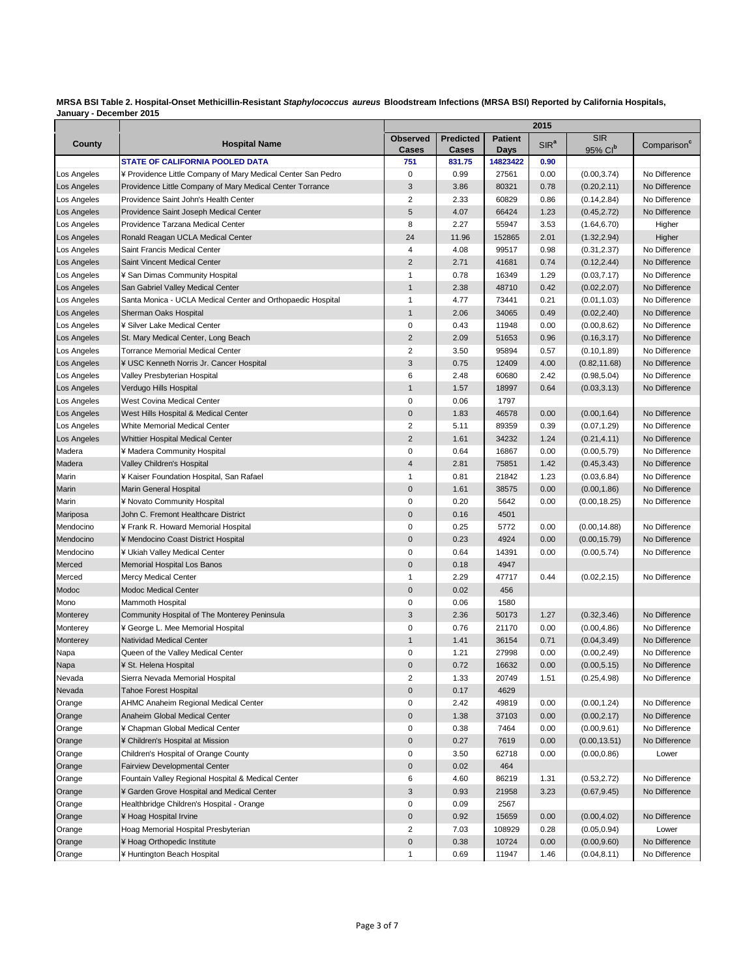| MRSA BSI Table 2. Hospital-Onset Methicillin-Resistant Staphylococcus aureus Bloodstream Infections (MRSA BSI) Reported by California Hospitals, |  |
|--------------------------------------------------------------------------------------------------------------------------------------------------|--|
| January - December 2015                                                                                                                          |  |

|                            |                                                              | 2015                     |                           |                        |                  |                       |                         |
|----------------------------|--------------------------------------------------------------|--------------------------|---------------------------|------------------------|------------------|-----------------------|-------------------------|
| County                     | <b>Hospital Name</b>                                         | <b>Observed</b><br>Cases | <b>Predicted</b><br>Cases | <b>Patient</b><br>Days | SIR <sup>a</sup> | <b>SIR</b><br>95% Clb | Comparison <sup>c</sup> |
|                            | STATE OF CALIFORNIA POOLED DATA                              | 751                      | 831.75                    | 14823422               | 0.90             |                       |                         |
| Los Angeles                | ¥ Providence Little Company of Mary Medical Center San Pedro | 0                        | 0.99                      | 27561                  | 0.00             | (0.00, 3.74)          | No Difference           |
| Los Angeles                | Providence Little Company of Mary Medical Center Torrance    | 3                        | 3.86                      | 80321                  | 0.78             | (0.20, 2.11)          | No Difference           |
| Los Angeles                | Providence Saint John's Health Center                        | $\overline{2}$           | 2.33                      | 60829                  | 0.86             | (0.14, 2.84)          | No Difference           |
| Los Angeles                | Providence Saint Joseph Medical Center                       | 5                        | 4.07                      | 66424                  | 1.23             | (0.45, 2.72)          | No Difference           |
| Los Angeles                | Providence Tarzana Medical Center                            | 8                        | 2.27                      | 55947                  | 3.53             | (1.64, 6.70)          | Higher                  |
| Los Angeles                | Ronald Reagan UCLA Medical Center                            | 24                       | 11.96                     | 152865                 | 2.01             | (1.32, 2.94)          | Higher                  |
| Los Angeles                | Saint Francis Medical Center                                 | 4                        | 4.08                      | 99517                  | 0.98             | (0.31, 2.37)          | No Difference           |
| Los Angeles                | Saint Vincent Medical Center                                 | $\overline{2}$           | 2.71                      | 41681                  | 0.74             | (0.12, 2.44)          | No Difference           |
| Los Angeles                | ¥ San Dimas Community Hospital                               | 1                        | 0.78                      | 16349                  | 1.29             | (0.03, 7.17)          | No Difference           |
| Los Angeles                | San Gabriel Valley Medical Center                            | $\mathbf{1}$             | 2.38                      | 48710                  | 0.42             | (0.02, 2.07)          | No Difference           |
| Los Angeles                | Santa Monica - UCLA Medical Center and Orthopaedic Hospital  | 1                        | 4.77                      | 73441                  | 0.21             | (0.01, 1.03)          | No Difference           |
| Los Angeles                | Sherman Oaks Hospital                                        | $\mathbf{1}$             | 2.06                      | 34065                  | 0.49             | (0.02, 2.40)          | No Difference           |
| Los Angeles                | ¥ Silver Lake Medical Center                                 | 0                        | 0.43                      | 11948                  | 0.00             | (0.00, 8.62)          | No Difference           |
| Los Angeles                | St. Mary Medical Center, Long Beach                          | $\overline{2}$           | 2.09                      | 51653                  | 0.96             | (0.16, 3.17)          | No Difference           |
| Los Angeles                | <b>Torrance Memorial Medical Center</b>                      | $\overline{\mathbf{c}}$  | 3.50                      | 95894                  | 0.57             | (0.10, 1.89)          | No Difference           |
| Los Angeles                | ¥ USC Kenneth Norris Jr. Cancer Hospital                     | 3                        | 0.75                      | 12409                  | 4.00             | (0.82, 11.68)         | No Difference           |
| Los Angeles                | Valley Presbyterian Hospital                                 | 6                        | 2.48                      | 60680                  | 2.42             | (0.98, 5.04)          | No Difference           |
| Los Angeles                | Verdugo Hills Hospital                                       | $\mathbf 1$              | 1.57                      | 18997                  | 0.64             | (0.03, 3.13)          | No Difference           |
| Los Angeles                | West Covina Medical Center                                   | 0                        | 0.06                      | 1797                   |                  |                       |                         |
|                            | West Hills Hospital & Medical Center                         | $\pmb{0}$                | 1.83                      | 46578                  | 0.00             | (0.00, 1.64)          | No Difference           |
| Los Angeles                | White Memorial Medical Center                                | $\overline{\mathbf{c}}$  | 5.11                      | 89359                  | 0.39             | (0.07, 1.29)          | No Difference           |
| Los Angeles<br>Los Angeles | <b>Whittier Hospital Medical Center</b>                      | $\overline{2}$           | 1.61                      | 34232                  | 1.24             | (0.21, 4.11)          | No Difference           |
|                            |                                                              | 0                        | 0.64                      | 16867                  | 0.00             |                       | No Difference           |
| Madera                     | ¥ Madera Community Hospital                                  | $\overline{4}$           |                           |                        |                  | (0.00, 5.79)          |                         |
| Madera                     | Valley Children's Hospital                                   |                          | 2.81                      | 75851                  | 1.42             | (0.45, 3.43)          | No Difference           |
| Marin                      | ¥ Kaiser Foundation Hospital, San Rafael                     | 1                        | 0.81                      | 21842                  | 1.23             | (0.03, 6.84)          | No Difference           |
| Marin                      | Marin General Hospital                                       | $\pmb{0}$                | 1.61                      | 38575                  | 0.00             | (0.00, 1.86)          | No Difference           |
| Marin                      | ¥ Novato Community Hospital                                  | 0                        | 0.20                      | 5642                   | 0.00             | (0.00, 18.25)         | No Difference           |
| Mariposa                   | John C. Fremont Healthcare District                          | $\pmb{0}$                | 0.16                      | 4501                   |                  |                       |                         |
| Mendocino                  | ¥ Frank R. Howard Memorial Hospital                          | 0                        | 0.25                      | 5772                   | 0.00             | (0.00, 14.88)         | No Difference           |
| Mendocino                  | ¥ Mendocino Coast District Hospital                          | $\pmb{0}$                | 0.23                      | 4924                   | 0.00             | (0.00, 15.79)         | No Difference           |
| Mendocino                  | ¥ Ukiah Valley Medical Center                                | 0                        | 0.64                      | 14391                  | 0.00             | (0.00, 5.74)          | No Difference           |
| Merced                     | Memorial Hospital Los Banos                                  | $\mathbf 0$              | 0.18                      | 4947                   |                  |                       |                         |
| Merced                     | Mercy Medical Center                                         | 1                        | 2.29                      | 47717                  | 0.44             | (0.02, 2.15)          | No Difference           |
| Modoc                      | <b>Modoc Medical Center</b>                                  | $\pmb{0}$                | 0.02                      | 456                    |                  |                       |                         |
| Mono                       | Mammoth Hospital                                             | 0                        | 0.06                      | 1580                   |                  |                       |                         |
| Monterey                   | Community Hospital of The Monterey Peninsula                 | 3                        | 2.36                      | 50173                  | 1.27             | (0.32, 3.46)          | No Difference           |
| Monterey                   | ¥ George L. Mee Memorial Hospital                            | 0                        | 0.76                      | 21170                  | 0.00             | (0.00, 4.86)          | No Difference           |
| Monterey                   | <b>Natividad Medical Center</b>                              | $\mathbf{1}$             | 1.41                      | 36154                  | 0.71             | (0.04, 3.49)          | No Difference           |
| Napa                       | Queen of the Valley Medical Center                           | 0                        | 1.21                      | 27998                  | 0.00             | (0.00, 2.49)          | No Difference           |
| Napa                       | ¥ St. Helena Hospital                                        | $\pmb{0}$                | 0.72                      | 16632                  | 0.00             | (0.00, 5.15)          | No Difference           |
| Nevada                     | Sierra Nevada Memorial Hospital                              | 2                        | 1.33                      | 20749                  | 1.51             | (0.25, 4.98)          | No Difference           |
| Nevada                     | <b>Tahoe Forest Hospital</b>                                 | $\pmb{0}$                | 0.17                      | 4629                   |                  |                       |                         |
| Orange                     | AHMC Anaheim Regional Medical Center                         | 0                        | 2.42                      | 49819                  | 0.00             | (0.00, 1.24)          | No Difference           |
| Orange                     | Anaheim Global Medical Center                                | $\pmb{0}$                | 1.38                      | 37103                  | 0.00             | (0.00, 2.17)          | No Difference           |
| Orange                     | ¥ Chapman Global Medical Center                              | 0                        | 0.38                      | 7464                   | 0.00             | (0.00, 9.61)          | No Difference           |
| Orange                     | ¥ Children's Hospital at Mission                             | $\pmb{0}$                | 0.27                      | 7619                   | 0.00             | (0.00, 13.51)         | No Difference           |
| Orange                     | Children's Hospital of Orange County                         | 0                        | 3.50                      | 62718                  | 0.00             | (0.00, 0.86)          | Lower                   |
| Orange                     | Fairview Developmental Center                                | $\pmb{0}$                | 0.02                      | 464                    |                  |                       |                         |
| Orange                     | Fountain Valley Regional Hospital & Medical Center           | 6                        | 4.60                      | 86219                  | 1.31             | (0.53, 2.72)          | No Difference           |
| Orange                     | ¥ Garden Grove Hospital and Medical Center                   | 3                        | 0.93                      | 21958                  | 3.23             | (0.67, 9.45)          | No Difference           |
| Orange                     | Healthbridge Children's Hospital - Orange                    | 0                        | 0.09                      | 2567                   |                  |                       |                         |
| Orange                     | ¥ Hoag Hospital Irvine                                       | $\pmb{0}$                | 0.92                      | 15659                  | 0.00             | (0.00, 4.02)          | No Difference           |
| Orange                     | Hoag Memorial Hospital Presbyterian                          | $\overline{2}$           | 7.03                      | 108929                 | 0.28             | (0.05, 0.94)          | Lower                   |
| Orange                     | ¥ Hoag Orthopedic Institute                                  | $\pmb{0}$                | 0.38                      | 10724                  | 0.00             | (0.00, 9.60)          | No Difference           |
| Orange                     | ¥ Huntington Beach Hospital                                  | 1                        | 0.69                      | 11947                  | 1.46             | (0.04, 8.11)          | No Difference           |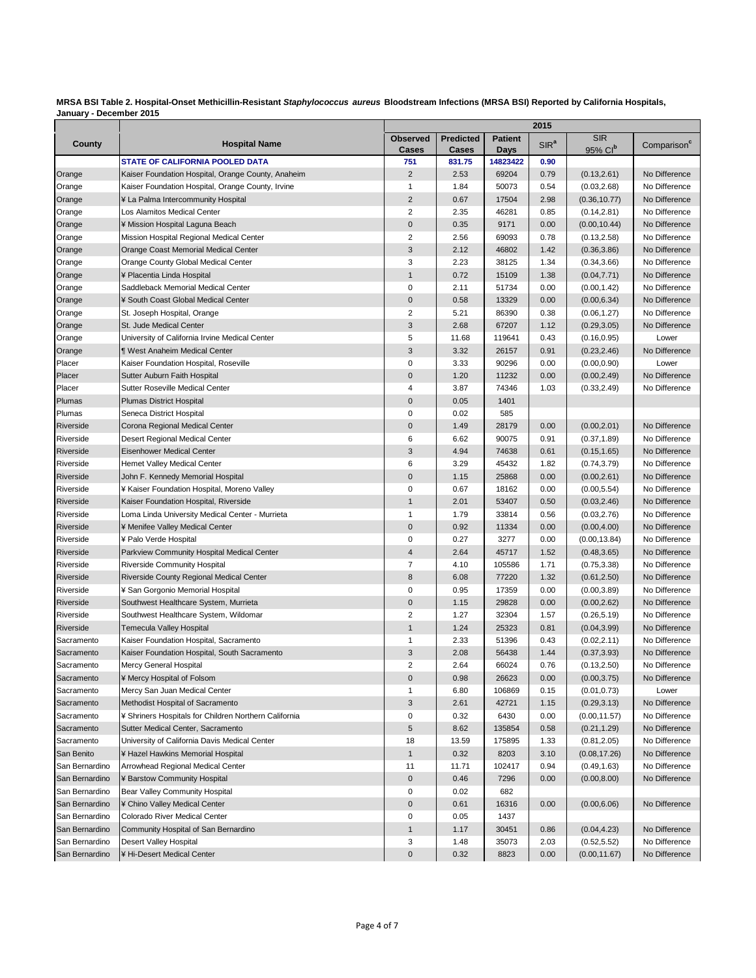| MRSA BSI Table 2. Hospital-Onset Methicillin-Resistant Staphylococcus aureus Bloodstream Infections (MRSA BSI) Reported by California Hospitals, |  |
|--------------------------------------------------------------------------------------------------------------------------------------------------|--|
| January - December 2015                                                                                                                          |  |

|                |                                                       | 2015                     |                           |                        |                  |                       |                         |  |
|----------------|-------------------------------------------------------|--------------------------|---------------------------|------------------------|------------------|-----------------------|-------------------------|--|
| County         | <b>Hospital Name</b>                                  | <b>Observed</b><br>Cases | <b>Predicted</b><br>Cases | <b>Patient</b><br>Days | SIR <sup>a</sup> | <b>SIR</b><br>95% Clb | Comparison <sup>c</sup> |  |
|                | STATE OF CALIFORNIA POOLED DATA                       | 751                      | 831.75                    | 14823422               | 0.90             |                       |                         |  |
| Orange         | Kaiser Foundation Hospital, Orange County, Anaheim    | $\overline{2}$           | 2.53                      | 69204                  | 0.79             | (0.13, 2.61)          | No Difference           |  |
| Orange         | Kaiser Foundation Hospital, Orange County, Irvine     | 1                        | 1.84                      | 50073                  | 0.54             | (0.03, 2.68)          | No Difference           |  |
| Orange         | ¥ La Palma Intercommunity Hospital                    | $\overline{2}$           | 0.67                      | 17504                  | 2.98             | (0.36, 10.77)         | No Difference           |  |
| Orange         | Los Alamitos Medical Center                           | $\overline{\mathbf{c}}$  | 2.35                      | 46281                  | 0.85             | (0.14, 2.81)          | No Difference           |  |
| Orange         | ¥ Mission Hospital Laguna Beach                       | $\pmb{0}$                | 0.35                      | 9171                   | 0.00             | (0.00, 10.44)         | No Difference           |  |
| Orange         | Mission Hospital Regional Medical Center              | $\overline{\mathbf{c}}$  | 2.56                      | 69093                  | 0.78             | (0.13, 2.58)          | No Difference           |  |
| Orange         | Orange Coast Memorial Medical Center                  | 3                        | 2.12                      | 46802                  | 1.42             | (0.36, 3.86)          | No Difference           |  |
| Orange         | Orange County Global Medical Center                   | 3                        | 2.23                      | 38125                  | 1.34             | (0.34, 3.66)          | No Difference           |  |
| Orange         | ¥ Placentia Linda Hospital                            | $\mathbf{1}$             | 0.72                      | 15109                  | 1.38             | (0.04, 7.71)          | No Difference           |  |
| Orange         | Saddleback Memorial Medical Center                    | 0                        | 2.11                      | 51734                  | 0.00             | (0.00, 1.42)          | No Difference           |  |
| Orange         | ¥ South Coast Global Medical Center                   | $\pmb{0}$                | 0.58                      | 13329                  | 0.00             | (0.00, 6.34)          | No Difference           |  |
| Orange         | St. Joseph Hospital, Orange                           | $\overline{\mathbf{c}}$  | 5.21                      | 86390                  | 0.38             | (0.06, 1.27)          | No Difference           |  |
| Orange         | St. Jude Medical Center                               | 3                        | 2.68                      | 67207                  | 1.12             | (0.29, 3.05)          | No Difference           |  |
| Orange         | University of California Irvine Medical Center        | 5                        | 11.68                     | 119641                 | 0.43             | (0.16, 0.95)          | Lower                   |  |
| Orange         | <b>T</b> West Anaheim Medical Center                  | 3                        | 3.32                      | 26157                  | 0.91             | (0.23, 2.46)          | No Difference           |  |
| Placer         | Kaiser Foundation Hospital, Roseville                 | 0                        | 3.33                      | 90296                  | 0.00             | (0.00, 0.90)          | Lower                   |  |
| Placer         | Sutter Auburn Faith Hospital                          | $\mathbf 0$              | 1.20                      | 11232                  | 0.00             | (0.00, 2.49)          | No Difference           |  |
| Placer         | Sutter Roseville Medical Center                       | 4                        | 3.87                      | 74346                  | 1.03             | (0.33, 2.49)          | No Difference           |  |
| Plumas         | <b>Plumas District Hospital</b>                       | $\pmb{0}$                | 0.05                      | 1401                   |                  |                       |                         |  |
| Plumas         | Seneca District Hospital                              | 0                        | 0.02                      | 585                    |                  |                       |                         |  |
| Riverside      | Corona Regional Medical Center                        | $\pmb{0}$                | 1.49                      | 28179                  | 0.00             | (0.00, 2.01)          | No Difference           |  |
| Riverside      | Desert Regional Medical Center                        | 6                        | 6.62                      | 90075                  | 0.91             | (0.37, 1.89)          | No Difference           |  |
| Riverside      | Eisenhower Medical Center                             | 3                        | 4.94                      | 74638                  | 0.61             | (0.15, 1.65)          | No Difference           |  |
| Riverside      | <b>Hemet Valley Medical Center</b>                    | 6                        | 3.29                      | 45432                  | 1.82             | (0.74, 3.79)          | No Difference           |  |
| Riverside      | John F. Kennedy Memorial Hospital                     | $\pmb{0}$                | 1.15                      | 25868                  | 0.00             | (0.00, 2.61)          | No Difference           |  |
| Riverside      | ¥ Kaiser Foundation Hospital, Moreno Valley           | 0                        | 0.67                      | 18162                  | 0.00             | (0.00, 5.54)          | No Difference           |  |
| Riverside      | Kaiser Foundation Hospital, Riverside                 | $\mathbf{1}$             | 2.01                      | 53407                  | 0.50             | (0.03, 2.46)          | No Difference           |  |
| Riverside      | Loma Linda University Medical Center - Murrieta       | 1                        | 1.79                      | 33814                  | 0.56             | (0.03, 2.76)          | No Difference           |  |
| Riverside      | ¥ Menifee Valley Medical Center                       | $\pmb{0}$                | 0.92                      | 11334                  | 0.00             | (0.00, 4.00)          | No Difference           |  |
| Riverside      | ¥ Palo Verde Hospital                                 | $\mathbf 0$              | 0.27                      | 3277                   | 0.00             | (0.00, 13.84)         | No Difference           |  |
| Riverside      | Parkview Community Hospital Medical Center            | $\overline{4}$           | 2.64                      | 45717                  | 1.52             | (0.48, 3.65)          | No Difference           |  |
| Riverside      | Riverside Community Hospital                          | 7                        | 4.10                      | 105586                 | 1.71             | (0.75, 3.38)          | No Difference           |  |
| Riverside      | Riverside County Regional Medical Center              | 8                        | 6.08                      | 77220                  | 1.32             | (0.61, 2.50)          | No Difference           |  |
| Riverside      | ¥ San Gorgonio Memorial Hospital                      | 0                        | 0.95                      | 17359                  | 0.00             | (0.00, 3.89)          | No Difference           |  |
| Riverside      | Southwest Healthcare System, Murrieta                 | 0                        | 1.15                      | 29828                  | 0.00             | (0.00, 2.62)          | No Difference           |  |
| Riverside      | Southwest Healthcare System, Wildomar                 | $\overline{2}$           | 1.27                      | 32304                  | 1.57             | (0.26, 5.19)          | No Difference           |  |
| Riverside      | <b>Temecula Valley Hospital</b>                       | $\mathbf{1}$             | 1.24                      | 25323                  | 0.81             | (0.04, 3.99)          | No Difference           |  |
| Sacramento     | Kaiser Foundation Hospital, Sacramento                | 1                        | 2.33                      | 51396                  | 0.43             | (0.02, 2.11)          | No Difference           |  |
| Sacramento     | Kaiser Foundation Hospital, South Sacramento          | 3                        | 2.08                      | 56438                  | 1.44             | (0.37, 3.93)          | No Difference           |  |
| Sacramento     | Mercy General Hospital                                | $\overline{2}$           | 2.64                      | 66024                  | 0.76             | (0.13, 2.50)          | No Difference           |  |
| Sacramento     | ¥ Mercy Hospital of Folsom                            | $\pmb{0}$                | 0.98                      | 26623                  | 0.00             | (0.00, 3.75)          | No Difference           |  |
| Sacramento     | Mercy San Juan Medical Center                         | 1                        | 6.80                      | 106869                 | 0.15             | (0.01, 0.73)          | Lower                   |  |
| Sacramento     | Methodist Hospital of Sacramento                      | 3                        | 2.61                      | 42721                  | 1.15             | (0.29, 3.13)          | No Difference           |  |
| Sacramento     | ¥ Shriners Hospitals for Children Northern California | 0                        | 0.32                      | 6430                   | 0.00             | (0.00, 11.57)         | No Difference           |  |
| Sacramento     | Sutter Medical Center, Sacramento                     | 5                        | 8.62                      | 135854                 | 0.58             | (0.21, 1.29)          | No Difference           |  |
| Sacramento     | University of California Davis Medical Center         | 18                       | 13.59                     | 175895                 | 1.33             | (0.81, 2.05)          | No Difference           |  |
| San Benito     | ¥ Hazel Hawkins Memorial Hospital                     | $\mathbf{1}$             | 0.32                      | 8203                   | 3.10             | (0.08, 17.26)         | No Difference           |  |
| San Bernardino | Arrowhead Regional Medical Center                     | 11                       | 11.71                     | 102417                 | 0.94             | (0.49, 1.63)          | No Difference           |  |
| San Bernardino | ¥ Barstow Community Hospital                          | $\pmb{0}$                | 0.46                      | 7296                   | 0.00             | (0.00, 8.00)          | No Difference           |  |
| San Bernardino | Bear Valley Community Hospital                        | $\pmb{0}$                | 0.02                      | 682                    |                  |                       |                         |  |
| San Bernardino | ¥ Chino Valley Medical Center                         | $\pmb{0}$                | 0.61                      | 16316                  | 0.00             | (0.00, 6.06)          | No Difference           |  |
| San Bernardino | Colorado River Medical Center                         | 0                        | 0.05                      | 1437                   |                  |                       |                         |  |
| San Bernardino | Community Hospital of San Bernardino                  | $\mathbf{1}$             | 1.17                      | 30451                  | 0.86             | (0.04, 4.23)          | No Difference           |  |
| San Bernardino | Desert Valley Hospital                                | 3                        | 1.48                      | 35073                  | 2.03             | (0.52, 5.52)          | No Difference           |  |
| San Bernardino | ¥ Hi-Desert Medical Center                            | $\pmb{0}$                | 0.32                      | 8823                   | 0.00             | (0.00, 11.67)         | No Difference           |  |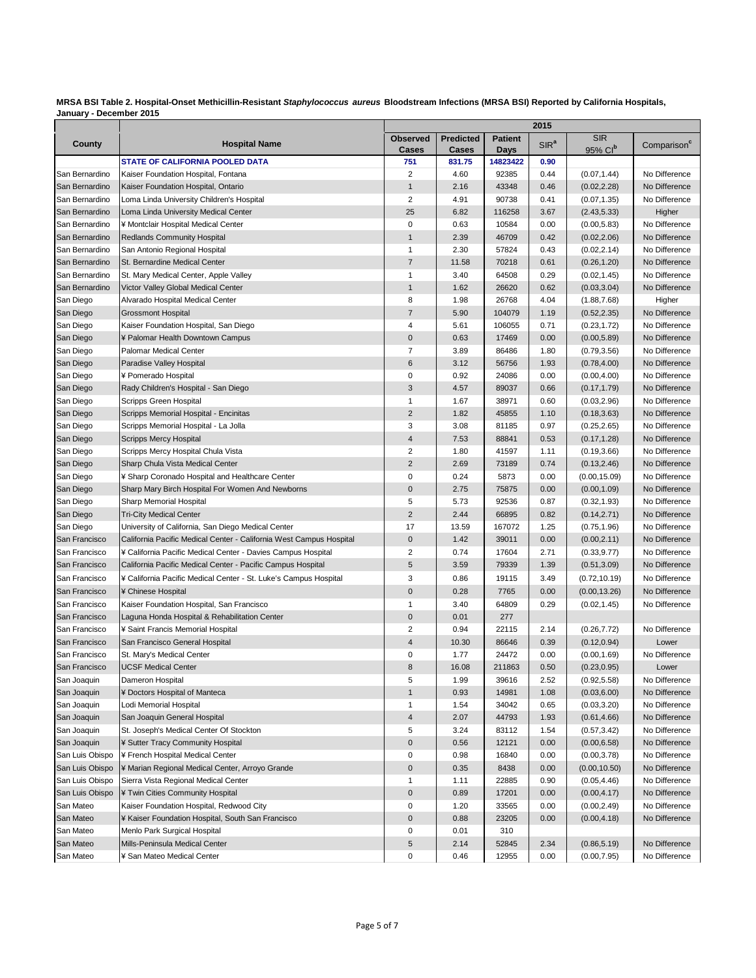| MRSA BSI Table 2. Hospital-Onset Methicillin-Resistant Staphylococcus aureus Bloodstream Infections (MRSA BSI) Reported by California Hospitals, |  |
|--------------------------------------------------------------------------------------------------------------------------------------------------|--|
| January - December 2015                                                                                                                          |  |

| 2015            |                                                                        |                          |                           |                        |                  |                              |               |
|-----------------|------------------------------------------------------------------------|--------------------------|---------------------------|------------------------|------------------|------------------------------|---------------|
| County          | <b>Hospital Name</b>                                                   | <b>Observed</b><br>Cases | <b>Predicted</b><br>Cases | <b>Patient</b><br>Days | SIR <sup>a</sup> | <b>SIR</b><br>95% Clb        | Comparison    |
|                 | <b>STATE OF CALIFORNIA POOLED DATA</b>                                 | 751                      | 831.75                    | 14823422               | 0.90             |                              |               |
| San Bernardino  | Kaiser Foundation Hospital, Fontana                                    | $\overline{2}$           | 4.60                      | 92385                  | 0.44             | (0.07, 1.44)                 | No Difference |
| San Bernardino  | Kaiser Foundation Hospital, Ontario                                    | $\mathbf{1}$             | 2.16                      | 43348                  | 0.46             | (0.02, 2.28)                 | No Difference |
| San Bernardino  | Loma Linda University Children's Hospital                              | $\overline{\mathbf{c}}$  | 4.91                      | 90738                  | 0.41             | (0.07, 1.35)                 | No Difference |
| San Bernardino  | Loma Linda University Medical Center                                   | 25                       | 6.82                      | 116258                 | 3.67             | (2.43, 5.33)                 | Higher        |
| San Bernardino  | ¥ Montclair Hospital Medical Center                                    | 0                        | 0.63                      | 10584                  | 0.00             | (0.00, 5.83)                 | No Difference |
| San Bernardino  | <b>Redlands Community Hospital</b>                                     | $\mathbf{1}$             | 2.39                      | 46709                  | 0.42             | (0.02, 2.06)                 | No Difference |
| San Bernardino  | San Antonio Regional Hospital                                          | 1                        | 2.30                      | 57824                  | 0.43             | (0.02, 2.14)                 | No Difference |
| San Bernardino  | St. Bernardine Medical Center                                          | $\overline{7}$           | 11.58                     | 70218                  | 0.61             | (0.26, 1.20)                 | No Difference |
| San Bernardino  | St. Mary Medical Center, Apple Valley                                  | 1                        | 3.40                      | 64508                  | 0.29             | (0.02, 1.45)                 | No Difference |
| San Bernardino  | Victor Valley Global Medical Center                                    | 1                        | 1.62                      | 26620                  | 0.62             | (0.03, 3.04)                 | No Difference |
| San Diego       | Alvarado Hospital Medical Center                                       | 8                        | 1.98                      | 26768                  | 4.04             | (1.88, 7.68)                 | Higher        |
| San Diego       | <b>Grossmont Hospital</b>                                              | $\overline{7}$           | 5.90                      | 104079                 | 1.19             | (0.52, 2.35)                 | No Difference |
| San Diego       | Kaiser Foundation Hospital, San Diego                                  | 4                        | 5.61                      | 106055                 | 0.71             | (0.23, 1.72)                 | No Difference |
| San Diego       | ¥ Palomar Health Downtown Campus                                       | $\pmb{0}$                | 0.63                      | 17469                  | 0.00             | (0.00, 5.89)                 | No Difference |
| San Diego       | Palomar Medical Center                                                 | $\overline{7}$           | 3.89                      | 86486                  | 1.80             | (0.79, 3.56)                 | No Difference |
| San Diego       | Paradise Valley Hospital                                               | 6                        | 3.12                      | 56756                  | 1.93             | (0.78, 4.00)                 | No Difference |
| San Diego       | ¥ Pomerado Hospital                                                    | 0                        | 0.92                      | 24086                  | 0.00             | (0.00, 4.00)                 | No Difference |
| San Diego       | Rady Children's Hospital - San Diego                                   | 3                        | 4.57                      | 89037                  | 0.66             | (0.17, 1.79)                 | No Difference |
| San Diego       | Scripps Green Hospital                                                 | 1                        | 1.67                      | 38971                  | 0.60             | (0.03, 2.96)                 | No Difference |
| San Diego       | Scripps Memorial Hospital - Encinitas                                  | $\overline{2}$           | 1.82                      | 45855                  | 1.10             | (0.18, 3.63)                 | No Difference |
| San Diego       | Scripps Memorial Hospital - La Jolla                                   | 3                        | 3.08                      | 81185                  | 0.97             | (0.25, 2.65)                 | No Difference |
| San Diego       | <b>Scripps Mercy Hospital</b>                                          | $\overline{4}$           | 7.53                      | 88841                  | 0.53             | (0.17, 1.28)                 | No Difference |
| San Diego       |                                                                        | $\overline{\mathbf{c}}$  | 1.80                      | 41597                  | 1.11             |                              | No Difference |
|                 | Scripps Mercy Hospital Chula Vista<br>Sharp Chula Vista Medical Center | $\overline{2}$           | 2.69                      | 73189                  | 0.74             | (0.19, 3.66)<br>(0.13, 2.46) | No Difference |
| San Diego       |                                                                        | 0                        |                           |                        |                  |                              |               |
| San Diego       | ¥ Sharp Coronado Hospital and Healthcare Center                        | $\pmb{0}$                | 0.24<br>2.75              | 5873                   | 0.00             | (0.00, 15.09)                | No Difference |
| San Diego       | Sharp Mary Birch Hospital For Women And Newborns                       |                          |                           | 75875                  | 0.00             | (0.00, 1.09)                 | No Difference |
| San Diego       | Sharp Memorial Hospital                                                | 5<br>$\overline{2}$      | 5.73                      | 92536                  | 0.87             | (0.32, 1.93)                 | No Difference |
| San Diego       | <b>Tri-City Medical Center</b>                                         |                          | 2.44                      | 66895                  | 0.82             | (0.14, 2.71)                 | No Difference |
| San Diego       | University of California, San Diego Medical Center                     | 17                       | 13.59                     | 167072                 | 1.25             | (0.75, 1.96)                 | No Difference |
| San Francisco   | California Pacific Medical Center - California West Campus Hospital    | $\pmb{0}$                | 1.42                      | 39011                  | 0.00             | (0.00, 2.11)                 | No Difference |
| San Francisco   | ¥ California Pacific Medical Center - Davies Campus Hospital           | $\overline{2}$           | 0.74                      | 17604                  | 2.71             | (0.33, 9.77)                 | No Difference |
| San Francisco   | California Pacific Medical Center - Pacific Campus Hospital            | 5                        | 3.59                      | 79339                  | 1.39             | (0.51, 3.09)                 | No Difference |
| San Francisco   | ¥ California Pacific Medical Center - St. Luke's Campus Hospital       | 3                        | 0.86                      | 19115                  | 3.49             | (0.72, 10.19)                | No Difference |
| San Francisco   | ¥ Chinese Hospital                                                     | $\mathbf 0$              | 0.28                      | 7765                   | 0.00             | (0.00, 13.26)                | No Difference |
| San Francisco   | Kaiser Foundation Hospital, San Francisco                              | 1                        | 3.40                      | 64809                  | 0.29             | (0.02, 1.45)                 | No Difference |
| San Francisco   | Laguna Honda Hospital & Rehabilitation Center                          | $\pmb{0}$                | 0.01                      | 277                    |                  |                              |               |
| San Francisco   | ¥ Saint Francis Memorial Hospital                                      | $\overline{\mathbf{c}}$  | 0.94                      | 22115                  | 2.14             | (0.26, 7.72)                 | No Difference |
| San Francisco   | San Francisco General Hospital                                         | $\overline{4}$           | 10.30                     | 86646                  | 0.39             | (0.12, 0.94)                 | Lower         |
| San Francisco   | St. Mary's Medical Center                                              | 0                        | 1.77                      | 24472                  | 0.00             | (0.00, 1.69)                 | No Difference |
| San Francisco   | <b>UCSF Medical Center</b>                                             | 8                        | 16.08                     | 211863                 | 0.50             | (0.23, 0.95)                 | Lower         |
| San Joaquin     | Dameron Hospital                                                       | 5                        | 1.99                      | 39616                  | 2.52             | (0.92, 5.58)                 | No Difference |
| San Joaquin     | ¥ Doctors Hospital of Manteca                                          | 1                        | 0.93                      | 14981                  | 1.08             | (0.03, 6.00)                 | No Difference |
| San Joaquin     | Lodi Memorial Hospital                                                 | 1                        | 1.54                      | 34042                  | 0.65             | (0.03, 3.20)                 | No Difference |
| San Joaquin     | San Joaquin General Hospital                                           | $\sqrt{4}$               | 2.07                      | 44793                  | 1.93             | (0.61, 4.66)                 | No Difference |
| San Joaquin     | St. Joseph's Medical Center Of Stockton                                | 5                        | 3.24                      | 83112                  | 1.54             | (0.57, 3.42)                 | No Difference |
| San Joaquin     | ¥ Sutter Tracy Community Hospital                                      | $\pmb{0}$                | 0.56                      | 12121                  | 0.00             | (0.00, 6.58)                 | No Difference |
| San Luis Obispo | ¥ French Hospital Medical Center                                       | 0                        | 0.98                      | 16840                  | 0.00             | (0.00, 3.78)                 | No Difference |
| San Luis Obispo | ¥ Marian Regional Medical Center, Arroyo Grande                        | $\pmb{0}$                | 0.35                      | 8438                   | 0.00             | (0.00, 10.50)                | No Difference |
| San Luis Obispo | Sierra Vista Regional Medical Center                                   | 1                        | 1.11                      | 22885                  | 0.90             | (0.05, 4.46)                 | No Difference |
| San Luis Obispo | ¥ Twin Cities Community Hospital                                       | $\pmb{0}$                | 0.89                      | 17201                  | 0.00             | (0.00, 4.17)                 | No Difference |
| San Mateo       | Kaiser Foundation Hospital, Redwood City                               | 0                        | 1.20                      | 33565                  | 0.00             | (0.00, 2.49)                 | No Difference |
| San Mateo       | ¥ Kaiser Foundation Hospital, South San Francisco                      | $\pmb{0}$                | 0.88                      | 23205                  | 0.00             | (0.00, 4.18)                 | No Difference |
| San Mateo       | Menlo Park Surgical Hospital                                           | 0                        | 0.01                      | 310                    |                  |                              |               |
| San Mateo       | Mills-Peninsula Medical Center                                         | 5                        | 2.14                      | 52845                  | 2.34             | (0.86, 5.19)                 | No Difference |
| San Mateo       | ¥ San Mateo Medical Center                                             | $\pmb{0}$                | 0.46                      | 12955                  | 0.00             | (0.00, 7.95)                 | No Difference |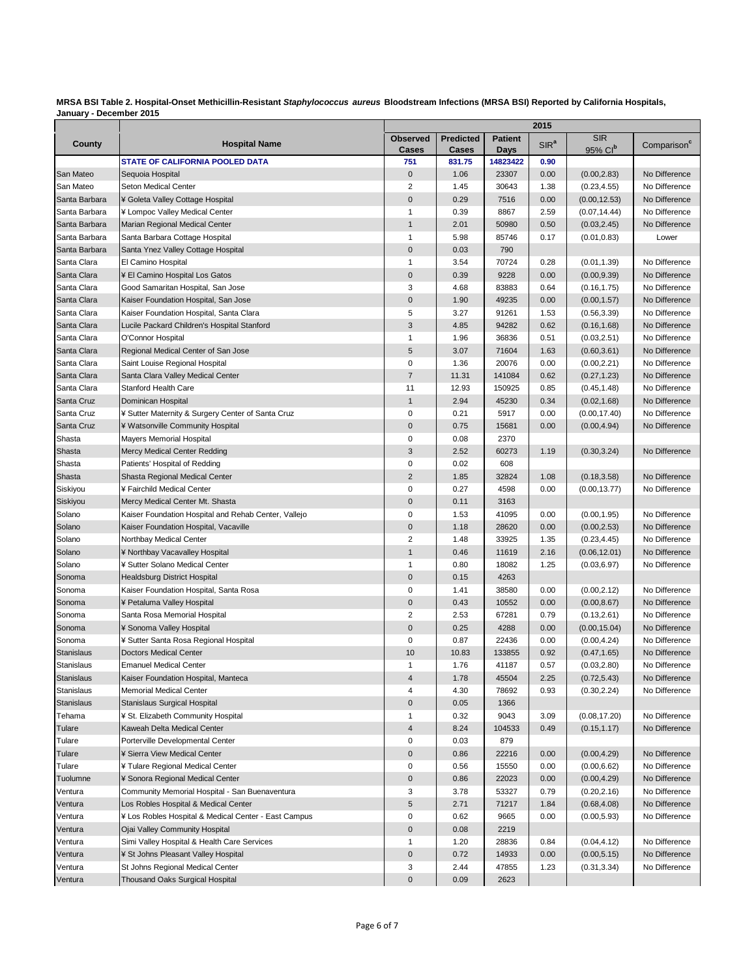| MRSA BSI Table 2. Hospital-Onset Methicillin-Resistant Staphylococcus aureus Bloodstream Infections (MRSA BSI) Reported by California Hospitals, |  |  |
|--------------------------------------------------------------------------------------------------------------------------------------------------|--|--|
| January - December 2015                                                                                                                          |  |  |

|                   |                                                      | 2015              |                           |                        |                  |                       |                         |  |  |
|-------------------|------------------------------------------------------|-------------------|---------------------------|------------------------|------------------|-----------------------|-------------------------|--|--|
| County            | <b>Hospital Name</b>                                 | Observed<br>Cases | <b>Predicted</b><br>Cases | <b>Patient</b><br>Days | SIR <sup>a</sup> | <b>SIR</b><br>95% Clb | Comparison <sup>c</sup> |  |  |
|                   | STATE OF CALIFORNIA POOLED DATA                      | 751               | 831.75                    | 14823422               | 0.90             |                       |                         |  |  |
| San Mateo         | Sequoia Hospital                                     | $\pmb{0}$         | 1.06                      | 23307                  | 0.00             | (0.00, 2.83)          | No Difference           |  |  |
| San Mateo         | Seton Medical Center                                 | 2                 | 1.45                      | 30643                  | 1.38             | (0.23, 4.55)          | No Difference           |  |  |
| Santa Barbara     | ¥ Goleta Valley Cottage Hospital                     | $\mathbf 0$       | 0.29                      | 7516                   | 0.00             | (0.00, 12.53)         | No Difference           |  |  |
| Santa Barbara     | ¥ Lompoc Valley Medical Center                       | 1                 | 0.39                      | 8867                   | 2.59             | (0.07, 14.44)         | No Difference           |  |  |
| Santa Barbara     | Marian Regional Medical Center                       | $\mathbf 1$       | 2.01                      | 50980                  | 0.50             | (0.03, 2.45)          | No Difference           |  |  |
| Santa Barbara     | Santa Barbara Cottage Hospital                       | 1                 | 5.98                      | 85746                  | 0.17             | (0.01, 0.83)          | Lower                   |  |  |
| Santa Barbara     | Santa Ynez Valley Cottage Hospital                   | 0                 | 0.03                      | 790                    |                  |                       |                         |  |  |
| Santa Clara       | El Camino Hospital                                   | 1                 | 3.54                      | 70724                  | 0.28             | (0.01, 1.39)          | No Difference           |  |  |
| Santa Clara       | ¥ El Camino Hospital Los Gatos                       | $\pmb{0}$         | 0.39                      | 9228                   | 0.00             | (0.00, 9.39)          | No Difference           |  |  |
| Santa Clara       | Good Samaritan Hospital, San Jose                    | 3                 | 4.68                      | 83883                  | 0.64             | (0.16, 1.75)          | No Difference           |  |  |
| Santa Clara       | Kaiser Foundation Hospital, San Jose                 | $\pmb{0}$         | 1.90                      | 49235                  | 0.00             | (0.00, 1.57)          | No Difference           |  |  |
| Santa Clara       | Kaiser Foundation Hospital, Santa Clara              | 5                 | 3.27                      | 91261                  | 1.53             | (0.56, 3.39)          | No Difference           |  |  |
| Santa Clara       | Lucile Packard Children's Hospital Stanford          | 3                 | 4.85                      | 94282                  | 0.62             | (0.16, 1.68)          | No Difference           |  |  |
| Santa Clara       | O'Connor Hospital                                    | 1                 | 1.96                      | 36836                  | 0.51             | (0.03, 2.51)          | No Difference           |  |  |
| Santa Clara       | Regional Medical Center of San Jose                  | 5                 | 3.07                      | 71604                  | 1.63             | (0.60, 3.61)          | No Difference           |  |  |
| Santa Clara       | Saint Louise Regional Hospital                       | 0                 | 1.36                      | 20076                  | 0.00             | (0.00, 2.21)          | No Difference           |  |  |
| Santa Clara       | Santa Clara Valley Medical Center                    | $\overline{7}$    | 11.31                     | 141084                 | 0.62             | (0.27, 1.23)          | No Difference           |  |  |
| Santa Clara       | <b>Stanford Health Care</b>                          | 11                | 12.93                     | 150925                 | 0.85             | (0.45, 1.48)          | No Difference           |  |  |
| Santa Cruz        | Dominican Hospital                                   | $\mathbf{1}$      | 2.94                      | 45230                  | 0.34             | (0.02, 1.68)          | No Difference           |  |  |
| Santa Cruz        | ¥ Sutter Maternity & Surgery Center of Santa Cruz    | 0                 | 0.21                      | 5917                   | 0.00             | (0.00, 17.40)         | No Difference           |  |  |
| Santa Cruz        | ¥ Watsonville Community Hospital                     | $\pmb{0}$         | 0.75                      | 15681                  | 0.00             | (0.00, 4.94)          | No Difference           |  |  |
| Shasta            | Mayers Memorial Hospital                             | 0                 | 0.08                      | 2370                   |                  |                       |                         |  |  |
| Shasta            | Mercy Medical Center Redding                         | 3                 | 2.52                      | 60273                  | 1.19             | (0.30, 3.24)          | No Difference           |  |  |
| Shasta            | Patients' Hospital of Redding                        | 0                 | 0.02                      | 608                    |                  |                       |                         |  |  |
| Shasta            | Shasta Regional Medical Center                       | $\overline{2}$    | 1.85                      | 32824                  | 1.08             | (0.18, 3.58)          | No Difference           |  |  |
| Siskiyou          | ¥ Fairchild Medical Center                           | 0                 | 0.27                      | 4598                   | 0.00             | (0.00, 13.77)         | No Difference           |  |  |
| Siskiyou          | Mercy Medical Center Mt. Shasta                      | 0                 | 0.11                      | 3163                   |                  |                       |                         |  |  |
| Solano            | Kaiser Foundation Hospital and Rehab Center, Vallejo | 0                 | 1.53                      | 41095                  | 0.00             | (0.00, 1.95)          | No Difference           |  |  |
| Solano            | Kaiser Foundation Hospital, Vacaville                | 0                 | 1.18                      | 28620                  | 0.00             | (0.00, 2.53)          | No Difference           |  |  |
| Solano            | Northbay Medical Center                              | $\overline{2}$    | 1.48                      | 33925                  | 1.35             | (0.23, 4.45)          | No Difference           |  |  |
| Solano            | ¥ Northbay Vacavalley Hospital                       | $\mathbf{1}$      | 0.46                      | 11619                  | 2.16             | (0.06, 12.01)         | No Difference           |  |  |
| Solano            | ¥ Sutter Solano Medical Center                       | 1                 | 0.80                      | 18082                  | 1.25             | (0.03, 6.97)          | No Difference           |  |  |
| Sonoma            | <b>Healdsburg District Hospital</b>                  | $\mathbf 0$       | 0.15                      | 4263                   |                  |                       |                         |  |  |
| Sonoma            | Kaiser Foundation Hospital, Santa Rosa               | 0                 | 1.41                      | 38580                  | 0.00             | (0.00, 2.12)          | No Difference           |  |  |
| Sonoma            | ¥ Petaluma Valley Hospital                           | 0                 | 0.43                      | 10552                  | 0.00             | (0.00, 8.67)          | No Difference           |  |  |
| Sonoma            | Santa Rosa Memorial Hospital                         | $\overline{2}$    | 2.53                      | 67281                  | 0.79             | (0.13, 2.61)          | No Difference           |  |  |
| Sonoma            | ¥ Sonoma Valley Hospital                             | $\pmb{0}$         | 0.25                      | 4288                   | 0.00             | (0.00, 15.04)         | No Difference           |  |  |
| Sonoma            | ¥ Sutter Santa Rosa Regional Hospital                | 0                 | 0.87                      | 22436                  | 0.00             | (0.00, 4.24)          | No Difference           |  |  |
| <b>Stanislaus</b> | <b>Doctors Medical Center</b>                        | 10                | 10.83                     | 133855                 | 0.92             | (0.47, 1.65)          | No Difference           |  |  |
| Stanislaus        | <b>Emanuel Medical Center</b>                        | 1                 | 1.76                      | 41187                  | 0.57             | (0.03, 2.80)          | No Difference           |  |  |
| Stanislaus        | Kaiser Foundation Hospital, Manteca                  | 4                 | 1.78                      | 45504                  | 2.25             | (0.72, 5.43)          | No Difference           |  |  |
| Stanislaus        | Memorial Medical Center                              | 4                 | 4.30                      | 78692                  | 0.93             | (0.30, 2.24)          | No Difference           |  |  |
| Stanislaus        | Stanislaus Surgical Hospital                         | 0                 | 0.05                      | 1366                   |                  |                       |                         |  |  |
| Tehama            | ¥ St. Elizabeth Community Hospital                   | 1                 | 0.32                      | 9043                   | 3.09             | (0.08, 17.20)         | No Difference           |  |  |
| Tulare            | Kaweah Delta Medical Center                          | 4                 | 8.24                      | 104533                 | 0.49             | (0.15, 1.17)          | No Difference           |  |  |
| Tulare            | Porterville Developmental Center                     | 0                 | 0.03                      | 879                    |                  |                       |                         |  |  |
| Tulare            | ¥ Sierra View Medical Center                         | $\pmb{0}$         | 0.86                      | 22216                  | 0.00             | (0.00, 4.29)          | No Difference           |  |  |
| Tulare            | ¥ Tulare Regional Medical Center                     | 0                 | 0.56                      | 15550                  | 0.00             | (0.00, 6.62)          | No Difference           |  |  |
| Tuolumne          | ¥ Sonora Regional Medical Center                     | $\pmb{0}$         | 0.86                      | 22023                  | 0.00             | (0.00, 4.29)          | No Difference           |  |  |
| Ventura           | Community Memorial Hospital - San Buenaventura       | 3                 | 3.78                      | 53327                  | 0.79             | (0.20, 2.16)          | No Difference           |  |  |
| Ventura           | Los Robles Hospital & Medical Center                 | 5                 | 2.71                      | 71217                  | 1.84             | (0.68, 4.08)          | No Difference           |  |  |
| Ventura           | ¥ Los Robles Hospital & Medical Center - East Campus | 0                 | 0.62                      | 9665                   | 0.00             | (0.00, 5.93)          | No Difference           |  |  |
| Ventura           | Ojai Valley Community Hospital                       | $\pmb{0}$         | 0.08                      | 2219                   |                  |                       |                         |  |  |
| Ventura           | Simi Valley Hospital & Health Care Services          | 1                 | 1.20                      | 28836                  | 0.84             | (0.04, 4.12)          | No Difference           |  |  |
| Ventura           | ¥ St Johns Pleasant Valley Hospital                  | $\pmb{0}$         | 0.72                      | 14933                  | 0.00             | (0.00, 5.15)          | No Difference           |  |  |
| Ventura           | St Johns Regional Medical Center                     | 3                 | 2.44                      | 47855                  | 1.23             | (0.31, 3.34)          | No Difference           |  |  |
| Ventura           | Thousand Oaks Surgical Hospital                      | $\pmb{0}$         | 0.09                      | 2623                   |                  |                       |                         |  |  |
|                   |                                                      |                   |                           |                        |                  |                       |                         |  |  |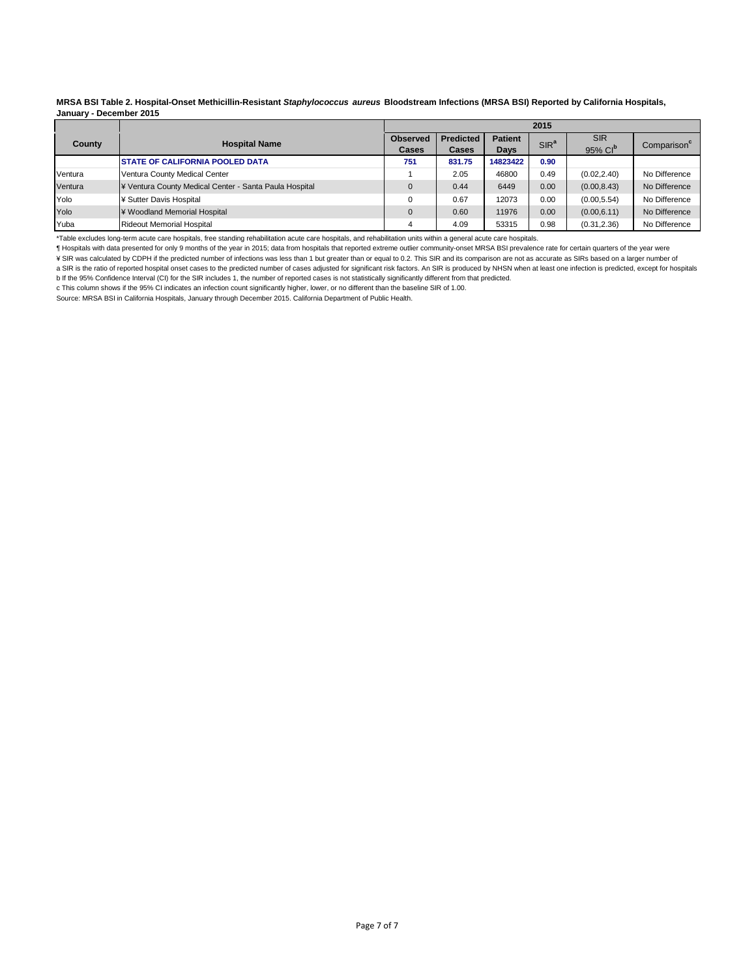#### **MRSA BSI Table 2. Hospital-Onset Methicillin-Resistant** *Staphylococcus aureus* **Bloodstream Infections (MRSA BSI) Reported by California Hospitals, January - December 2015**

|         |                                                        | 2015                     |                           |                        |                  |                         |                         |  |  |
|---------|--------------------------------------------------------|--------------------------|---------------------------|------------------------|------------------|-------------------------|-------------------------|--|--|
| County  | <b>Hospital Name</b>                                   | <b>Observed</b><br>Cases | <b>Predicted</b><br>Cases | <b>Patient</b><br>Days | SIR <sup>a</sup> | <b>SIR</b><br>95% $Clb$ | Comparison <sup>c</sup> |  |  |
|         | <b>STATE OF CALIFORNIA POOLED DATA</b>                 | 751                      | 831.75                    | 14823422               | 0.90             |                         |                         |  |  |
| Ventura | Ventura County Medical Center                          |                          | 2.05                      | 46800                  | 0.49             | (0.02, 2.40)            | No Difference           |  |  |
| Ventura | ¥ Ventura County Medical Center - Santa Paula Hospital | $\Omega$                 | 0.44                      | 6449                   | 0.00             | (0.00, 8.43)            | No Difference           |  |  |
| Yolo    | ¥ Sutter Davis Hospital                                | 0                        | 0.67                      | 12073                  | 0.00             | (0.00, 5.54)            | No Difference           |  |  |
| Yolo    | ¥ Woodland Memorial Hospital                           | $\Omega$                 | 0.60                      | 11976                  | 0.00             | (0.00, 6.11)            | No Difference           |  |  |
| Yuba    | <b>Rideout Memorial Hospital</b>                       |                          | 4.09                      | 53315                  | 0.98             | (0.31, 2.36)            | No Difference           |  |  |

\*Table excludes long-term acute care hospitals, free standing rehabilitation acute care hospitals, and rehabilitation units within a general acute care hospitals.

a SIR is the ratio of reported hospital onset cases to the predicted number of cases adjusted for significant risk factors. An SIR is produced by NHSN when at least one infection is predicted, except for hospitals ¶ Hospitals with data presented for only 9 months of the year in 2015; data from hospitals that reported extreme outlier community-onset MRSA BSI prevalence rate for certain quarters of the year were ¥ SIR was calculated by CDPH if the predicted number of infections was less than 1 but greater than or equal to 0.2. This SIR and its comparison are not as accurate as SIRs based on a larger number of

b If the 95% Confidence Interval (CI) for the SIR includes 1, the number of reported cases is not statistically significantly different from that predicted. c This column shows if the 95% CI indicates an infection count significantly higher, lower, or no different than the baseline SIR of 1.00.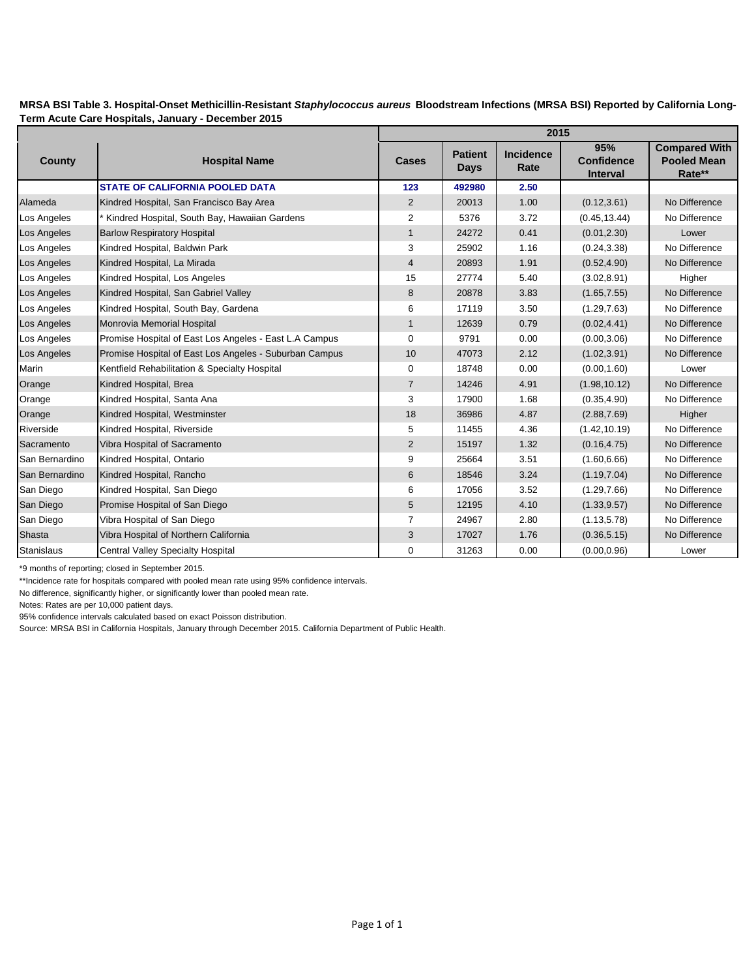**MRSA BSI Table 3. Hospital-Onset Methicillin-Resistant** *Staphylococcus aureus* **Bloodstream Infections (MRSA BSI) Reported by California Long-Term Acute Care Hospitals, January - December 2015**

|                   |                                                        | 2015           |                               |                          |                                             |                                                      |  |  |  |  |
|-------------------|--------------------------------------------------------|----------------|-------------------------------|--------------------------|---------------------------------------------|------------------------------------------------------|--|--|--|--|
| County            | <b>Hospital Name</b>                                   | <b>Cases</b>   | <b>Patient</b><br><b>Days</b> | <b>Incidence</b><br>Rate | 95%<br><b>Confidence</b><br><b>Interval</b> | <b>Compared With</b><br><b>Pooled Mean</b><br>Rate** |  |  |  |  |
|                   | <b>STATE OF CALIFORNIA POOLED DATA</b>                 | 123            | 492980                        | 2.50                     |                                             |                                                      |  |  |  |  |
| Alameda           | Kindred Hospital, San Francisco Bay Area               | $\overline{2}$ | 20013                         | 1.00                     | (0.12, 3.61)                                | No Difference                                        |  |  |  |  |
| Los Angeles       | Kindred Hospital, South Bay, Hawaiian Gardens          | $\overline{2}$ | 5376                          | 3.72                     | (0.45, 13.44)                               | No Difference                                        |  |  |  |  |
| Los Angeles       | <b>Barlow Respiratory Hospital</b>                     | $\mathbf{1}$   | 24272                         | 0.41                     | (0.01, 2.30)                                | Lower                                                |  |  |  |  |
| Los Angeles       | Kindred Hospital, Baldwin Park                         | 3              | 25902                         | 1.16                     | (0.24, 3.38)                                | No Difference                                        |  |  |  |  |
| Los Angeles       | Kindred Hospital, La Mirada                            | $\overline{4}$ | 20893                         | 1.91                     | (0.52, 4.90)                                | No Difference                                        |  |  |  |  |
| Los Angeles       | Kindred Hospital, Los Angeles                          | 15             | 27774                         | 5.40                     | (3.02, 8.91)                                | Higher                                               |  |  |  |  |
| Los Angeles       | Kindred Hospital, San Gabriel Valley                   | 8              | 20878                         | 3.83                     | (1.65, 7.55)                                | No Difference                                        |  |  |  |  |
| Los Angeles       | Kindred Hospital, South Bay, Gardena                   | 6              | 17119                         | 3.50                     | (1.29, 7.63)                                | No Difference                                        |  |  |  |  |
| Los Angeles       | Monrovia Memorial Hospital                             | $\mathbf{1}$   | 12639                         | 0.79                     | (0.02, 4.41)                                | No Difference                                        |  |  |  |  |
| Los Angeles       | Promise Hospital of East Los Angeles - East L.A Campus | 0              | 9791                          | 0.00                     | (0.00, 3.06)                                | No Difference                                        |  |  |  |  |
| Los Angeles       | Promise Hospital of East Los Angeles - Suburban Campus | 10             | 47073                         | 2.12                     | (1.02, 3.91)                                | No Difference                                        |  |  |  |  |
| Marin             | Kentfield Rehabilitation & Specialty Hospital          | 0              | 18748                         | 0.00                     | (0.00, 1.60)                                | Lower                                                |  |  |  |  |
| Orange            | Kindred Hospital, Brea                                 | $\overline{7}$ | 14246                         | 4.91                     | (1.98, 10.12)                               | No Difference                                        |  |  |  |  |
| Orange            | Kindred Hospital, Santa Ana                            | 3              | 17900                         | 1.68                     | (0.35, 4.90)                                | No Difference                                        |  |  |  |  |
| Orange            | Kindred Hospital, Westminster                          | 18             | 36986                         | 4.87                     | (2.88, 7.69)                                | Higher                                               |  |  |  |  |
| Riverside         | Kindred Hospital, Riverside                            | 5              | 11455                         | 4.36                     | (1.42, 10.19)                               | No Difference                                        |  |  |  |  |
| Sacramento        | Vibra Hospital of Sacramento                           | $\overline{2}$ | 15197                         | 1.32                     | (0.16, 4.75)                                | No Difference                                        |  |  |  |  |
| San Bernardino    | Kindred Hospital, Ontario                              | 9              | 25664                         | 3.51                     | (1.60, 6.66)                                | No Difference                                        |  |  |  |  |
| San Bernardino    | Kindred Hospital, Rancho                               | 6              | 18546                         | 3.24                     | (1.19, 7.04)                                | No Difference                                        |  |  |  |  |
| San Diego         | Kindred Hospital, San Diego                            | 6              | 17056                         | 3.52                     | (1.29, 7.66)                                | No Difference                                        |  |  |  |  |
| San Diego         | Promise Hospital of San Diego                          | 5              | 12195                         | 4.10                     | (1.33, 9.57)                                | No Difference                                        |  |  |  |  |
| San Diego         | Vibra Hospital of San Diego                            | 7              | 24967                         | 2.80                     | (1.13, 5.78)                                | No Difference                                        |  |  |  |  |
| Shasta            | Vibra Hospital of Northern California                  | 3              | 17027                         | 1.76                     | (0.36, 5.15)                                | No Difference                                        |  |  |  |  |
| <b>Stanislaus</b> | <b>Central Valley Specialty Hospital</b>               | 0              | 31263                         | 0.00                     | (0.00, 0.96)                                | Lower                                                |  |  |  |  |

\*9 months of reporting; closed in September 2015.

\*\*Incidence rate for hospitals compared with pooled mean rate using 95% confidence intervals.

No difference, significantly higher, or significantly lower than pooled mean rate.

Notes: Rates are per 10,000 patient days.

95% confidence intervals calculated based on exact Poisson distribution.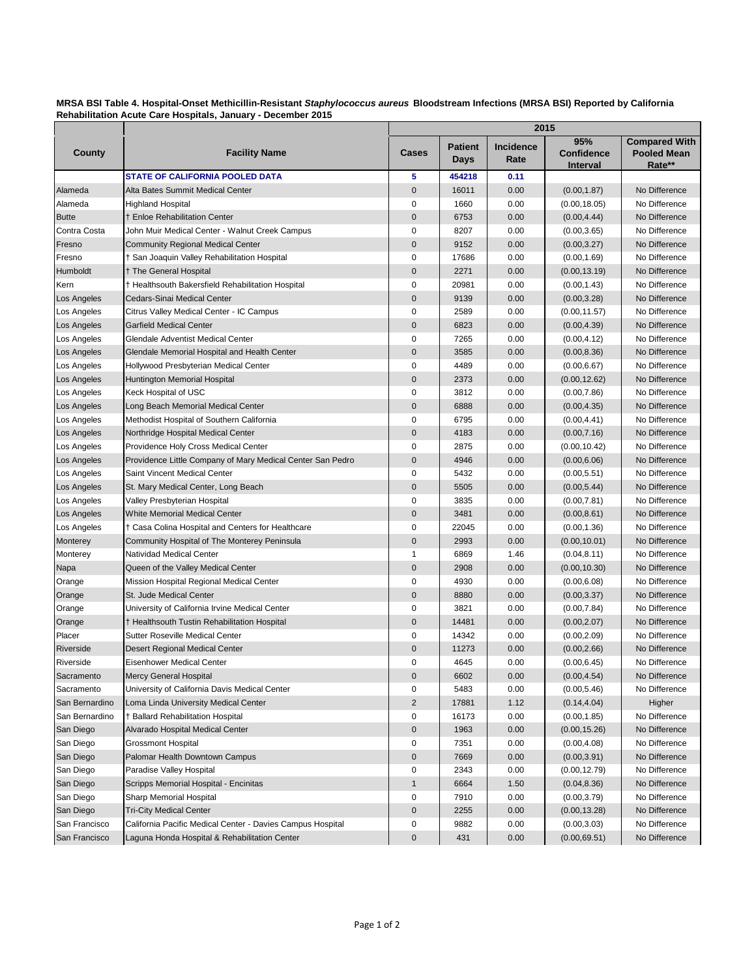|                |                                                            | 2015           |                        |                   |                          |                                                      |  |  |
|----------------|------------------------------------------------------------|----------------|------------------------|-------------------|--------------------------|------------------------------------------------------|--|--|
| County         | <b>Facility Name</b>                                       | Cases          | <b>Patient</b><br>Days | Incidence<br>Rate | 95%<br><b>Confidence</b> | <b>Compared With</b><br><b>Pooled Mean</b><br>Rate** |  |  |
|                | <b>STATE OF CALIFORNIA POOLED DATA</b>                     | 5              | 454218                 | 0.11              | <b>Interval</b>          |                                                      |  |  |
| Alameda        | Alta Bates Summit Medical Center                           | $\mathbf 0$    | 16011                  | 0.00              | (0.00, 1.87)             | No Difference                                        |  |  |
| Alameda        | <b>Highland Hospital</b>                                   | 0              | 1660                   | 0.00              | (0.00, 18.05)            | No Difference                                        |  |  |
| <b>Butte</b>   | † Enloe Rehabilitation Center                              | $\mathbf 0$    | 6753                   | 0.00              | (0.00, 4.44)             | No Difference                                        |  |  |
| Contra Costa   | John Muir Medical Center - Walnut Creek Campus             | 0              | 8207                   | 0.00              | (0.00, 3.65)             | No Difference                                        |  |  |
| Fresno         | <b>Community Regional Medical Center</b>                   | $\mathbf 0$    | 9152                   | 0.00              | (0.00, 3.27)             | No Difference                                        |  |  |
| Fresno         | † San Joaquin Valley Rehabilitation Hospital               | 0              | 17686                  | 0.00              | (0.00, 1.69)             | No Difference                                        |  |  |
| Humboldt       | † The General Hospital                                     | $\mathbf 0$    | 2271                   | 0.00              | (0.00, 13.19)            | No Difference                                        |  |  |
| Kern           | † Healthsouth Bakersfield Rehabilitation Hospital          | $\mathbf 0$    | 20981                  | 0.00              | (0.00, 1.43)             | No Difference                                        |  |  |
| Los Angeles    | Cedars-Sinai Medical Center                                | $\mathbf 0$    | 9139                   | 0.00              | (0.00, 3.28)             | No Difference                                        |  |  |
| Los Angeles    | Citrus Valley Medical Center - IC Campus                   | 0              | 2589                   | 0.00              | (0.00, 11.57)            | No Difference                                        |  |  |
| Los Angeles    | <b>Garfield Medical Center</b>                             | $\mathbf 0$    | 6823                   | 0.00              | (0.00, 4.39)             | No Difference                                        |  |  |
| Los Angeles    | Glendale Adventist Medical Center                          | 0              | 7265                   | 0.00              | (0.00, 4.12)             | No Difference                                        |  |  |
| Los Angeles    | Glendale Memorial Hospital and Health Center               | $\mathbf 0$    | 3585                   | 0.00              | (0.00, 8.36)             | No Difference                                        |  |  |
|                | Hollywood Presbyterian Medical Center                      | $\mathbf 0$    | 4489                   | 0.00              | (0.00, 6.67)             | No Difference                                        |  |  |
| Los Angeles    |                                                            | $\mathbf 0$    | 2373                   | 0.00              |                          | No Difference                                        |  |  |
| Los Angeles    | Huntington Memorial Hospital                               | 0              | 3812                   | 0.00              | (0.00, 12.62)            | No Difference                                        |  |  |
| Los Angeles    | Keck Hospital of USC                                       | $\mathbf 0$    |                        |                   | (0.00, 7.86)             |                                                      |  |  |
| Los Angeles    | Long Beach Memorial Medical Center                         | 0              | 6888                   | 0.00              | (0.00, 4.35)             | No Difference<br>No Difference                       |  |  |
| Los Angeles    | Methodist Hospital of Southern California                  | $\mathbf 0$    | 6795<br>4183           | 0.00              | (0.00, 4.41)             |                                                      |  |  |
| Los Angeles    | Northridge Hospital Medical Center                         | $\mathbf 0$    | 2875                   | 0.00<br>0.00      | (0.00, 7.16)             | No Difference<br>No Difference                       |  |  |
| Los Angeles    | Providence Holy Cross Medical Center                       | $\mathbf 0$    |                        |                   | (0.00, 10.42)            | No Difference                                        |  |  |
| Los Angeles    | Providence Little Company of Mary Medical Center San Pedro |                | 4946                   | 0.00              | (0.00, 6.06)             |                                                      |  |  |
| Los Angeles    | Saint Vincent Medical Center                               | 0              | 5432                   | 0.00              | (0.00, 5.51)             | No Difference                                        |  |  |
| Los Angeles    | St. Mary Medical Center, Long Beach                        | $\mathbf 0$    | 5505                   | 0.00              | (0.00, 5.44)             | No Difference                                        |  |  |
| Los Angeles    | Valley Presbyterian Hospital                               | 0              | 3835                   | 0.00              | (0.00, 7.81)             | No Difference                                        |  |  |
| Los Angeles    | White Memorial Medical Center                              | $\mathbf 0$    | 3481                   | 0.00              | (0.00, 8.61)             | No Difference                                        |  |  |
| Los Angeles    | † Casa Colina Hospital and Centers for Healthcare          | $\mathbf 0$    | 22045                  | 0.00              | (0.00, 1.36)             | No Difference                                        |  |  |
| Monterey       | Community Hospital of The Monterey Peninsula               | $\mathbf 0$    | 2993                   | 0.00              | (0.00, 10.01)            | No Difference                                        |  |  |
| Monterey       | Natividad Medical Center                                   | 1              | 6869                   | 1.46              | (0.04, 8.11)             | No Difference                                        |  |  |
| Napa           | Queen of the Valley Medical Center                         | $\mathbf 0$    | 2908                   | 0.00              | (0.00, 10.30)            | No Difference                                        |  |  |
| Orange         | Mission Hospital Regional Medical Center                   | $\mathbf 0$    | 4930                   | 0.00              | (0.00, 6.08)             | No Difference                                        |  |  |
| Orange         | St. Jude Medical Center                                    | 0              | 8880                   | 0.00              | (0.00, 3.37)             | No Difference                                        |  |  |
| Orange         | University of California Irvine Medical Center             | 0              | 3821                   | 0.00              | (0.00, 7.84)             | No Difference                                        |  |  |
| Orange         | † Healthsouth Tustin Rehabilitation Hospital               | $\mathbf 0$    | 14481                  | 0.00              | (0.00, 2.07)             | No Difference                                        |  |  |
| Placer         | Sutter Roseville Medical Center                            | $\mathbf 0$    | 14342                  | 0.00              | (0.00, 2.09)             | No Difference                                        |  |  |
| Riverside      | Desert Regional Medical Center                             | $\mathbf 0$    | 11273                  | 0.00              | (0.00, 2.66)             | No Difference                                        |  |  |
| Riverside      | Eisenhower Medical Center                                  | 0              | 4645                   | 0.00              | (0.00, 6.45)             | No Difference                                        |  |  |
| Sacramento     | Mercy General Hospital                                     | 0              | 6602                   | 0.00              | (0.00, 4.54)             | No Difference                                        |  |  |
| Sacramento     | University of California Davis Medical Center              | 0              | 5483                   | 0.00              | (0.00, 5.46)             | No Difference                                        |  |  |
| San Bernardino | Loma Linda University Medical Center                       | $\overline{2}$ | 17881                  | 1.12              | (0.14, 4.04)             | Higher                                               |  |  |
| San Bernardino | † Ballard Rehabilitation Hospital                          | 0              | 16173                  | 0.00              | (0.00, 1.85)             | No Difference                                        |  |  |
| San Diego      | Alvarado Hospital Medical Center                           | $\pmb{0}$      | 1963                   | 0.00              | (0.00, 15.26)            | No Difference                                        |  |  |
| San Diego      | <b>Grossmont Hospital</b>                                  | 0              | 7351                   | 0.00              | (0.00, 4.08)             | No Difference                                        |  |  |
| San Diego      | Palomar Health Downtown Campus                             | $\pmb{0}$      | 7669                   | 0.00              | (0.00, 3.91)             | No Difference                                        |  |  |
| San Diego      | Paradise Valley Hospital                                   | 0              | 2343                   | 0.00              | (0.00, 12.79)            | No Difference                                        |  |  |
| San Diego      | Scripps Memorial Hospital - Encinitas                      | $\mathbf{1}$   | 6664                   | 1.50              | (0.04, 8.36)             | No Difference                                        |  |  |
| San Diego      | Sharp Memorial Hospital                                    | 0              | 7910                   | 0.00              | (0.00, 3.79)             | No Difference                                        |  |  |
| San Diego      | <b>Tri-City Medical Center</b>                             | 0              | 2255                   | 0.00              | (0.00, 13.28)            | No Difference                                        |  |  |
| San Francisco  | California Pacific Medical Center - Davies Campus Hospital | 0              | 9882                   | 0.00              | (0.00, 3.03)             | No Difference                                        |  |  |
| San Francisco  | Laguna Honda Hospital & Rehabilitation Center              | $\mathbf 0$    | 431                    | 0.00              | (0.00, 69.51)            | No Difference                                        |  |  |

**MRSA BSI Table 4. Hospital-Onset Methicillin-Resistant** *Staphylococcus aureus* **Bloodstream Infections (MRSA BSI) Reported by California Rehabilitation Acute Care Hospitals, January - December 2015**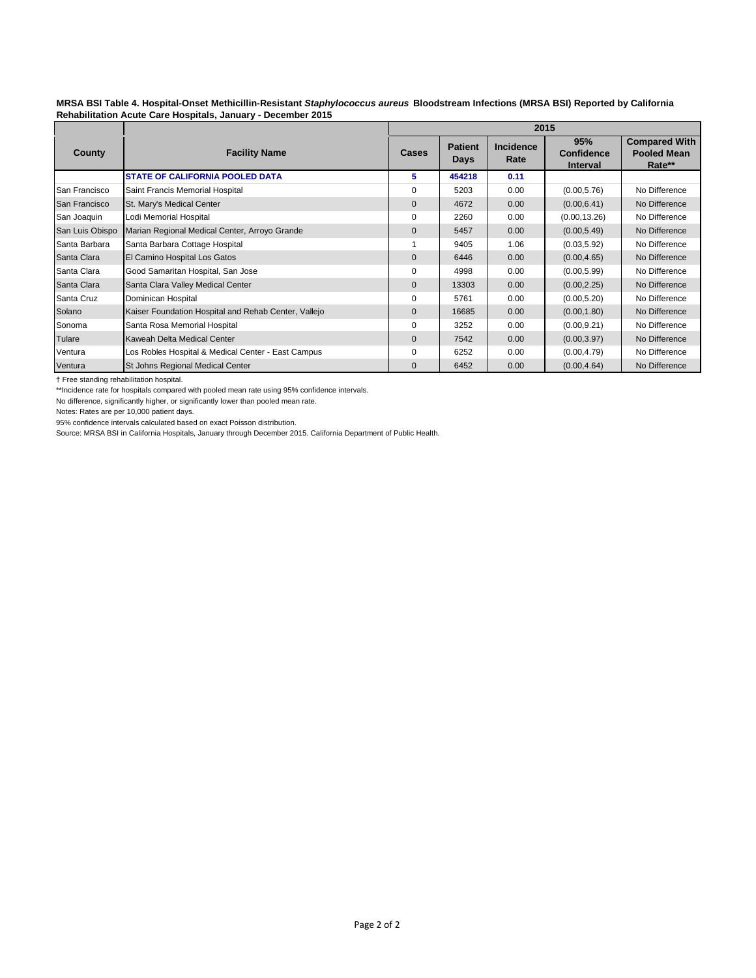| MRSA BSI Table 4. Hospital-Onset Methicillin-Resistant Staphylococcus aureus Bloodstream Infections (MRSA BSI) Reported by California |
|---------------------------------------------------------------------------------------------------------------------------------------|
| Rehabilitation Acute Care Hospitals, January - December 2015                                                                          |

|                 |                                                      | 2015         |                        |                          |                                      |                                                      |  |  |  |
|-----------------|------------------------------------------------------|--------------|------------------------|--------------------------|--------------------------------------|------------------------------------------------------|--|--|--|
| County          | <b>Facility Name</b>                                 | <b>Cases</b> | <b>Patient</b><br>Days | <b>Incidence</b><br>Rate | 95%<br>Confidence<br><b>Interval</b> | <b>Compared With</b><br><b>Pooled Mean</b><br>Rate** |  |  |  |
|                 | <b>STATE OF CALIFORNIA POOLED DATA</b>               | 5            | 454218                 | 0.11                     |                                      |                                                      |  |  |  |
| San Francisco   | Saint Francis Memorial Hospital                      | $\Omega$     | 5203                   | 0.00                     | (0.00, 5.76)                         | No Difference                                        |  |  |  |
| San Francisco   | St. Mary's Medical Center                            | $\mathbf{0}$ | 4672                   | 0.00                     | (0.00, 6.41)                         | No Difference                                        |  |  |  |
| San Joaquin     | Lodi Memorial Hospital                               | $\Omega$     | 2260                   | 0.00                     | (0.00, 13.26)                        | No Difference                                        |  |  |  |
| San Luis Obispo | Marian Regional Medical Center, Arroyo Grande        | $\mathbf{0}$ | 5457                   | 0.00                     | (0.00, 5.49)                         | No Difference                                        |  |  |  |
| Santa Barbara   | Santa Barbara Cottage Hospital                       |              | 9405                   | 1.06                     | (0.03, 5.92)                         | No Difference                                        |  |  |  |
| Santa Clara     | El Camino Hospital Los Gatos                         | $\mathbf{0}$ | 6446                   | 0.00                     | (0.00, 4.65)                         | No Difference                                        |  |  |  |
| Santa Clara     | Good Samaritan Hospital, San Jose                    | 0            | 4998                   | 0.00                     | (0.00, 5.99)                         | No Difference                                        |  |  |  |
| Santa Clara     | Santa Clara Valley Medical Center                    | $\mathbf{0}$ | 13303                  | 0.00                     | (0.00, 2.25)                         | No Difference                                        |  |  |  |
| Santa Cruz      | Dominican Hospital                                   | $\Omega$     | 5761                   | 0.00                     | (0.00, 5.20)                         | No Difference                                        |  |  |  |
| Solano          | Kaiser Foundation Hospital and Rehab Center, Vallejo | $\mathbf{0}$ | 16685                  | 0.00                     | (0.00, 1.80)                         | No Difference                                        |  |  |  |
| Sonoma          | Santa Rosa Memorial Hospital                         | $\Omega$     | 3252                   | 0.00                     | (0.00, 9.21)                         | No Difference                                        |  |  |  |
| Tulare          | Kaweah Delta Medical Center                          | $\mathbf{0}$ | 7542                   | 0.00                     | (0.00, 3.97)                         | No Difference                                        |  |  |  |
| Ventura         | Los Robles Hospital & Medical Center - East Campus   | $\Omega$     | 6252                   | 0.00                     | (0.00, 4.79)                         | No Difference                                        |  |  |  |
| Ventura         | St Johns Regional Medical Center                     | $\mathbf 0$  | 6452                   | 0.00                     | (0.00, 4.64)                         | No Difference                                        |  |  |  |

† Free standing rehabilitation hospital.

\*\*Incidence rate for hospitals compared with pooled mean rate using 95% confidence intervals.

No difference, significantly higher, or significantly lower than pooled mean rate.

Notes: Rates are per 10,000 patient days.

95% confidence intervals calculated based on exact Poisson distribution.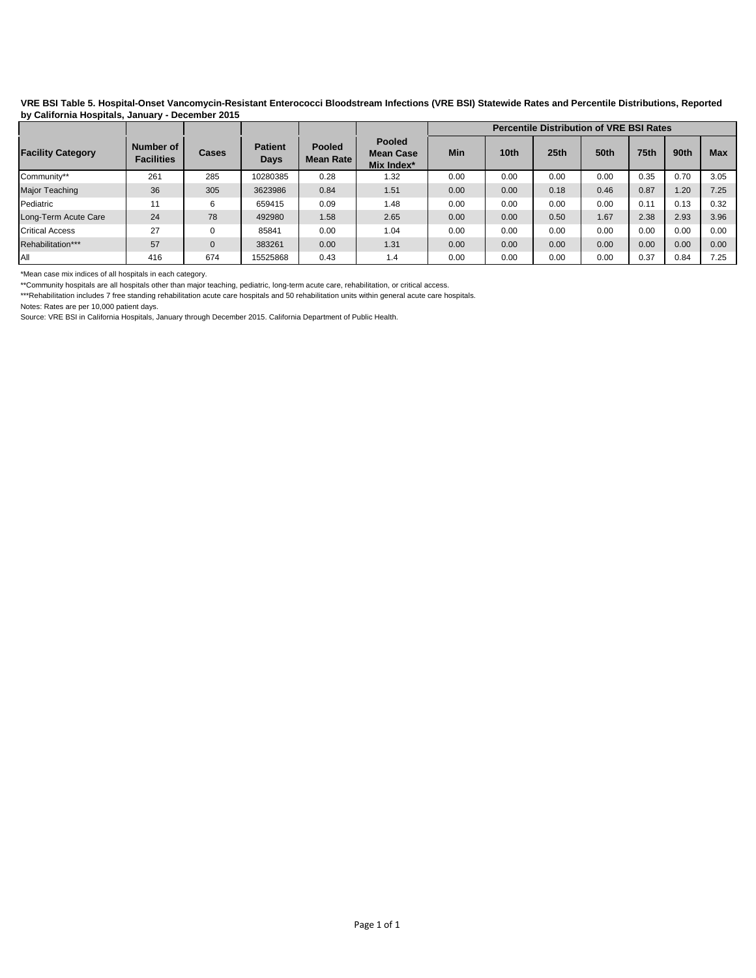### **VRE BSI Table 5. Hospital-Onset Vancomycin-Resistant Enterococci Bloodstream Infections (VRE BSI) Statewide Rates and Percentile Distributions, Reported by California Hospitals, January - December 2015**

|                          |                                |              |                        |                                   |                                                 | <b>Percentile Distribution of VRE BSI Rates</b> |                  |                  |             |      |      |            |
|--------------------------|--------------------------------|--------------|------------------------|-----------------------------------|-------------------------------------------------|-------------------------------------------------|------------------|------------------|-------------|------|------|------------|
| <b>Facility Category</b> | Number of<br><b>Facilities</b> | <b>Cases</b> | <b>Patient</b><br>Days | <b>Pooled</b><br><b>Mean Rate</b> | <b>Pooled</b><br><b>Mean Case</b><br>Mix Index* | <b>Min</b>                                      | 10 <sub>th</sub> | 25 <sub>th</sub> | <b>50th</b> | 75th | 90th | <b>Max</b> |
| Community**              | 261                            | 285          | 10280385               | 0.28                              | 1.32                                            | 0.00                                            | 0.00             | 0.00             | 0.00        | 0.35 | 0.70 | 3.05       |
| <b>Major Teaching</b>    | 36                             | 305          | 3623986                | 0.84                              | 1.51                                            | 0.00                                            | 0.00             | 0.18             | 0.46        | 0.87 | 1.20 | 7.25       |
| Pediatric                | 11                             | 6            | 659415                 | 0.09                              | 1.48                                            | 0.00                                            | 0.00             | 0.00             | 0.00        | 0.11 | 0.13 | 0.32       |
| Long-Term Acute Care     | 24                             | 78           | 492980                 | 1.58                              | 2.65                                            | 0.00                                            | 0.00             | 0.50             | 1.67        | 2.38 | 2.93 | 3.96       |
| <b>Critical Access</b>   | 27                             | 0            | 85841                  | 0.00                              | 1.04                                            | 0.00                                            | 0.00             | 0.00             | 0.00        | 0.00 | 0.00 | 0.00       |
| Rehabilitation***        | 57                             | $\mathbf{0}$ | 383261                 | 0.00                              | 1.31                                            | 0.00                                            | 0.00             | 0.00             | 0.00        | 0.00 | 0.00 | 0.00       |
| All                      | 416                            | 674          | 15525868               | 0.43                              | 1.4                                             | 0.00                                            | 0.00             | 0.00             | 0.00        | 0.37 | 0.84 | 7.25       |

\*Mean case mix indices of all hospitals in each category.

\*\*Community hospitals are all hospitals other than major teaching, pediatric, long-term acute care, rehabilitation, or critical access.

\*\*\*Rehabilitation includes 7 free standing rehabilitation acute care hospitals and 50 rehabilitation units within general acute care hospitals.

Notes: Rates are per 10,000 patient days.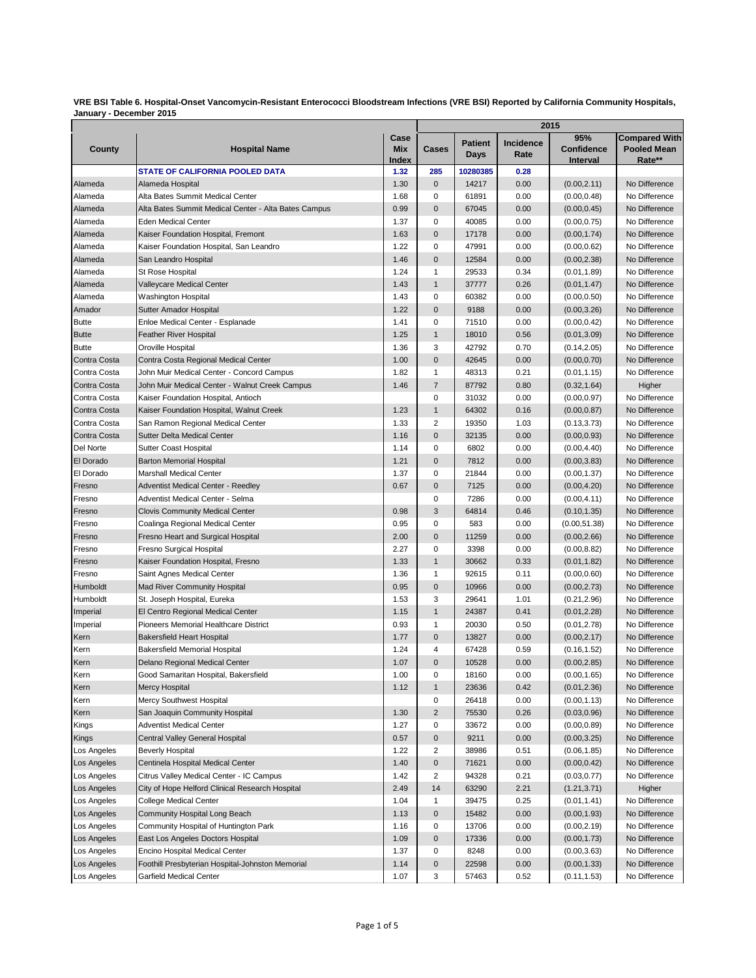| VRE BSI Table 6. Hospital-Onset Vancomycin-Resistant Enterococci Bloodstream Infections (VRE BSI) Reported by California Community Hospitals, |
|-----------------------------------------------------------------------------------------------------------------------------------------------|
| January - December 2015                                                                                                                       |

|              |                                                      |                             |                | 2015                   |                   |                                      |                                                      |  |
|--------------|------------------------------------------------------|-----------------------------|----------------|------------------------|-------------------|--------------------------------------|------------------------------------------------------|--|
| County       | <b>Hospital Name</b>                                 | Case<br><b>Mix</b><br>Index | Cases          | <b>Patient</b><br>Days | Incidence<br>Rate | 95%<br><b>Confidence</b><br>Interval | <b>Compared With</b><br><b>Pooled Mean</b><br>Rate** |  |
|              | <b>STATE OF CALIFORNIA POOLED DATA</b>               | 1.32                        | 285            | 10280385               | 0.28              |                                      |                                                      |  |
| Alameda      | Alameda Hospital                                     | 1.30                        | $\mathbf{0}$   | 14217                  | 0.00              | (0.00, 2.11)                         | No Difference                                        |  |
| Alameda      | Alta Bates Summit Medical Center                     | 1.68                        | 0              | 61891                  | 0.00              | (0.00, 0.48)                         | No Difference                                        |  |
| Alameda      | Alta Bates Summit Medical Center - Alta Bates Campus | 0.99                        | $\overline{0}$ | 67045                  | 0.00              | (0.00, 0.45)                         | No Difference                                        |  |
| Alameda      | <b>Eden Medical Center</b>                           | 1.37                        | 0              | 40085                  | 0.00              | (0.00, 0.75)                         | No Difference                                        |  |
| Alameda      | Kaiser Foundation Hospital, Fremont                  | 1.63                        | $\overline{0}$ | 17178                  | 0.00              | (0.00, 1.74)                         | No Difference                                        |  |
| Alameda      | Kaiser Foundation Hospital, San Leandro              | 1.22                        | $\mathbf 0$    | 47991                  | 0.00              | (0.00, 0.62)                         | No Difference                                        |  |
| Alameda      | San Leandro Hospital                                 | 1.46                        | $\mathbf 0$    | 12584                  | 0.00              | (0.00, 2.38)                         | No Difference                                        |  |
| Alameda      | St Rose Hospital                                     | 1.24                        | $\mathbf{1}$   | 29533                  | 0.34              | (0.01, 1.89)                         | No Difference                                        |  |
| Alameda      | Valleycare Medical Center                            | 1.43                        | $\mathbf{1}$   | 37777                  | 0.26              | (0.01, 1.47)                         | No Difference                                        |  |
| Alameda      | <b>Washington Hospital</b>                           | 1.43                        | 0              | 60382                  | 0.00              | (0.00, 0.50)                         | No Difference                                        |  |
| Amador       | Sutter Amador Hospital                               | 1.22                        | $\mathbf{0}$   | 9188                   | 0.00              | (0.00, 3.26)                         | No Difference                                        |  |
| <b>Butte</b> | Enloe Medical Center - Esplanade                     | 1.41                        | 0              | 71510                  | 0.00              | (0.00, 0.42)                         | No Difference                                        |  |
| <b>Butte</b> | Feather River Hospital                               | 1.25                        | $\mathbf{1}$   | 18010                  | 0.56              | (0.01, 3.09)                         | No Difference                                        |  |
| Butte        | Oroville Hospital                                    | 1.36                        | 3              | 42792                  | 0.70              | (0.14, 2.05)                         | No Difference                                        |  |
| Contra Costa | Contra Costa Regional Medical Center                 | 1.00                        | $\overline{0}$ | 42645                  | 0.00              | (0.00, 0.70)                         | No Difference                                        |  |
| Contra Costa | John Muir Medical Center - Concord Campus            | 1.82                        | $\mathbf{1}$   | 48313                  | 0.21              | (0.01, 1.15)                         | No Difference                                        |  |
| Contra Costa | John Muir Medical Center - Walnut Creek Campus       | 1.46                        | $\overline{7}$ | 87792                  | 0.80              | (0.32, 1.64)                         | Higher                                               |  |
| Contra Costa | Kaiser Foundation Hospital, Antioch                  |                             | $\mathsf 0$    | 31032                  | 0.00              | (0.00, 0.97)                         | No Difference                                        |  |
| Contra Costa | Kaiser Foundation Hospital, Walnut Creek             | 1.23                        | $\mathbf{1}$   | 64302                  | 0.16              | (0.00, 0.87)                         | No Difference                                        |  |
| Contra Costa | San Ramon Regional Medical Center                    | 1.33                        | $\overline{2}$ | 19350                  | 1.03              | (0.13, 3.73)                         | No Difference                                        |  |
| Contra Costa | <b>Sutter Delta Medical Center</b>                   | 1.16                        | $\mathbf{0}$   | 32135                  | 0.00              | (0.00, 0.93)                         | No Difference                                        |  |
| Del Norte    | Sutter Coast Hospital                                | 1.14                        | 0              | 6802                   | 0.00              | (0.00, 4.40)                         | No Difference                                        |  |
| El Dorado    | <b>Barton Memorial Hospital</b>                      | 1.21                        | $\mathbf 0$    | 7812                   | 0.00              | (0.00, 3.83)                         | No Difference                                        |  |
| El Dorado    | <b>Marshall Medical Center</b>                       | 1.37                        | 0              | 21844                  | 0.00              | (0.00, 1.37)                         | No Difference                                        |  |
| Fresno       | <b>Adventist Medical Center - Reedley</b>            | 0.67                        | $\mathbf 0$    | 7125                   | 0.00              | (0.00, 4.20)                         | No Difference                                        |  |
| Fresno       | Adventist Medical Center - Selma                     |                             | 0              | 7286                   | 0.00              | (0.00, 4.11)                         | No Difference                                        |  |
| Fresno       | <b>Clovis Community Medical Center</b>               | 0.98                        | 3              | 64814                  | 0.46              | (0.10, 1.35)                         | No Difference                                        |  |
| Fresno       | Coalinga Regional Medical Center                     | 0.95                        | $\mathbf 0$    | 583                    | 0.00              | (0.00, 51.38)                        | No Difference                                        |  |
| Fresno       | Fresno Heart and Surgical Hospital                   | 2.00                        | $\overline{0}$ | 11259                  | 0.00              | (0.00, 2.66)                         | No Difference                                        |  |
| Fresno       | Fresno Surgical Hospital                             | 2.27                        | 0              | 3398                   | 0.00              | (0.00, 8.82)                         | No Difference                                        |  |
| Fresno       | Kaiser Foundation Hospital, Fresno                   | 1.33                        | $\mathbf{1}$   | 30662                  | 0.33              | (0.01, 1.82)                         | No Difference                                        |  |
| Fresno       | Saint Agnes Medical Center                           | 1.36                        | $\mathbf{1}$   | 92615                  | 0.11              | (0.00, 0.60)                         | No Difference                                        |  |
| Humboldt     | Mad River Community Hospital                         | 0.95                        | $\mathbf 0$    | 10966                  | 0.00              | (0.00, 2.73)                         | No Difference                                        |  |
| Humboldt     | St. Joseph Hospital, Eureka                          | 1.53                        | 3              | 29641                  | 1.01              | (0.21, 2.96)                         | No Difference                                        |  |
| Imperial     | El Centro Regional Medical Center                    | 1.15                        | $\mathbf{1}$   | 24387                  | 0.41              | (0.01, 2.28)                         | No Difference                                        |  |
| Imperial     | Pioneers Memorial Healthcare District                | 0.93                        | $\mathbf{1}$   | 20030                  | 0.50              | (0.01, 2.78)                         | No Difference                                        |  |
| Kern         | <b>Bakersfield Heart Hospital</b>                    | 1.77                        | $\mathbf 0$    | 13827                  | 0.00              | (0.00, 2.17)                         | No Difference                                        |  |
| Kern         | <b>Bakersfield Memorial Hospital</b>                 | 1.24                        | 4              | 67428                  | 0.59              | (0.16, 1.52)                         | No Difference                                        |  |
| Kern         | Delano Regional Medical Center                       | 1.07                        | $\overline{0}$ | 10528                  | 0.00              | (0.00, 2.85)                         | No Difference                                        |  |
| Kern         | Good Samaritan Hospital, Bakersfield                 | 1.00                        | 0              | 18160                  | 0.00              | (0.00, 1.65)                         | No Difference                                        |  |
| Kern         | Mercy Hospital                                       | 1.12                        | $\mathbf{1}$   | 23636                  | 0.42              | (0.01, 2.36)                         | No Difference                                        |  |
| Kern         | Mercy Southwest Hospital                             |                             | 0              | 26418                  | 0.00              | (0.00, 1.13)                         | No Difference                                        |  |
| Kern         | San Joaquin Community Hospital                       | 1.30                        | $\overline{c}$ | 75530                  | 0.26              | (0.03, 0.96)                         | No Difference                                        |  |
| Kings        | <b>Adventist Medical Center</b>                      | 1.27                        | 0              | 33672                  | 0.00              | (0.00, 0.89)                         | No Difference                                        |  |
| Kings        | Central Valley General Hospital                      | 0.57                        | $\pmb{0}$      | 9211                   | 0.00              | (0.00, 3.25)                         | No Difference                                        |  |
| Los Angeles  | <b>Beverly Hospital</b>                              | 1.22                        | 2              | 38986                  | 0.51              | (0.06, 1.85)                         | No Difference                                        |  |
| Los Angeles  | Centinela Hospital Medical Center                    | 1.40                        | $\pmb{0}$      | 71621                  | 0.00              | (0.00, 0.42)                         | No Difference                                        |  |
| Los Angeles  | Citrus Valley Medical Center - IC Campus             | 1.42                        | 2              | 94328                  | 0.21              | (0.03, 0.77)                         | No Difference                                        |  |
| Los Angeles  | City of Hope Helford Clinical Research Hospital      | 2.49                        | 14             | 63290                  | 2.21              | (1.21, 3.71)                         | Higher                                               |  |
| Los Angeles  | <b>College Medical Center</b>                        | 1.04                        | 1              | 39475                  | 0.25              | (0.01, 1.41)                         | No Difference                                        |  |
| Los Angeles  | Community Hospital Long Beach                        | 1.13                        | $\pmb{0}$      | 15482                  | 0.00              | (0.00, 1.93)                         | No Difference                                        |  |
| Los Angeles  | Community Hospital of Huntington Park                | 1.16                        | $\pmb{0}$      | 13706                  | 0.00              | (0.00, 2.19)                         | No Difference                                        |  |
| Los Angeles  | East Los Angeles Doctors Hospital                    | 1.09                        | 0              | 17336                  | 0.00              | (0.00, 1.73)                         | No Difference                                        |  |
| Los Angeles  | Encino Hospital Medical Center                       | 1.37                        | 0              | 8248                   | 0.00              | (0.00, 3.63)                         | No Difference                                        |  |
| Los Angeles  | Foothill Presbyterian Hospital-Johnston Memorial     | 1.14                        | $\pmb{0}$      | 22598                  | 0.00              | (0.00, 1.33)                         | No Difference                                        |  |
| Los Angeles  | Garfield Medical Center                              | 1.07                        | 3              | 57463                  | 0.52              | (0.11, 1.53)                         | No Difference                                        |  |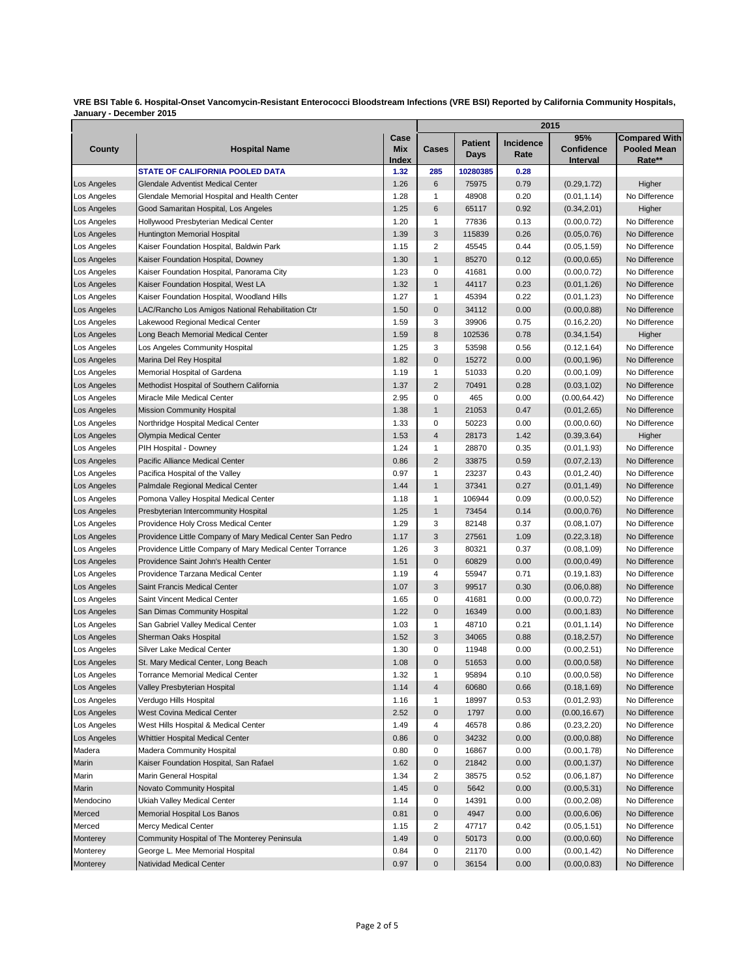**VRE BSI Table 6. Hospital-Onset Vancomycin-Resistant Enterococci Bloodstream Infections (VRE BSI) Reported by California Community Hospitals, January - December 2015**

|                      |                                                            |                             |                         |                        |                   | 2015                                 |                                                      |  |  |
|----------------------|------------------------------------------------------------|-----------------------------|-------------------------|------------------------|-------------------|--------------------------------------|------------------------------------------------------|--|--|
| County               | <b>Hospital Name</b>                                       | Case<br><b>Mix</b><br>Index | Cases                   | <b>Patient</b><br>Days | Incidence<br>Rate | 95%<br><b>Confidence</b><br>Interval | <b>Compared With</b><br><b>Pooled Mean</b><br>Rate** |  |  |
|                      | <b>STATE OF CALIFORNIA POOLED DATA</b>                     | 1.32                        | 285                     | 10280385               | 0.28              |                                      |                                                      |  |  |
| Los Angeles          | <b>Glendale Adventist Medical Center</b>                   | 1.26                        | 6                       | 75975                  | 0.79              | (0.29, 1.72)                         | Higher                                               |  |  |
| Los Angeles          | Glendale Memorial Hospital and Health Center               | 1.28                        | 1                       | 48908                  | 0.20              | (0.01, 1.14)                         | No Difference                                        |  |  |
| Los Angeles          | Good Samaritan Hospital, Los Angeles                       | 1.25                        | 6                       | 65117                  | 0.92              | (0.34, 2.01)                         | Higher                                               |  |  |
| Los Angeles          | Hollywood Presbyterian Medical Center                      | 1.20                        | $\mathbf{1}$            | 77836                  | 0.13              | (0.00, 0.72)                         | No Difference                                        |  |  |
| Los Angeles          | Huntington Memorial Hospital                               | 1.39                        | 3                       | 115839                 | 0.26              | (0.05, 0.76)                         | No Difference                                        |  |  |
| Los Angeles          | Kaiser Foundation Hospital, Baldwin Park                   | 1.15                        | $\overline{2}$          | 45545                  | 0.44              | (0.05, 1.59)                         | No Difference                                        |  |  |
| Los Angeles          | Kaiser Foundation Hospital, Downey                         | 1.30                        | $\mathbf{1}$            | 85270                  | 0.12              | (0.00, 0.65)                         | No Difference                                        |  |  |
| Los Angeles          | Kaiser Foundation Hospital, Panorama City                  | 1.23                        | $\mathsf 0$             | 41681                  | 0.00              | (0.00, 0.72)                         | No Difference                                        |  |  |
| Los Angeles          | Kaiser Foundation Hospital, West LA                        | 1.32                        | $\mathbf{1}$            | 44117                  | 0.23              | (0.01, 1.26)                         | No Difference                                        |  |  |
| Los Angeles          | Kaiser Foundation Hospital, Woodland Hills                 | 1.27                        | $\mathbf{1}$            | 45394                  | 0.22              | (0.01, 1.23)                         | No Difference                                        |  |  |
| Los Angeles          | LAC/Rancho Los Amigos National Rehabilitation Ctr          | 1.50                        | $\pmb{0}$               | 34112                  | 0.00              | (0.00, 0.88)                         | No Difference                                        |  |  |
| Los Angeles          | Lakewood Regional Medical Center                           | 1.59                        | 3                       | 39906                  | 0.75              | (0.16, 2.20)                         | No Difference                                        |  |  |
| Los Angeles          | Long Beach Memorial Medical Center                         | 1.59                        | 8                       | 102536                 | 0.78              | (0.34, 1.54)                         | Higher                                               |  |  |
| Los Angeles          | Los Angeles Community Hospital                             | 1.25                        | 3                       | 53598                  | 0.56              | (0.12, 1.64)                         | No Difference                                        |  |  |
| Los Angeles          | Marina Del Rey Hospital                                    | 1.82                        | $\mathsf 0$             | 15272                  | 0.00              | (0.00, 1.96)                         | No Difference                                        |  |  |
| Los Angeles          | Memorial Hospital of Gardena                               | 1.19                        | $\mathbf{1}$            | 51033                  | 0.20              | (0.00, 1.09)                         | No Difference                                        |  |  |
| Los Angeles          | Methodist Hospital of Southern California                  | 1.37                        | $\overline{2}$          | 70491                  | 0.28              | (0.03, 1.02)                         | No Difference                                        |  |  |
| Los Angeles          | Miracle Mile Medical Center                                | 2.95                        | $\mathsf 0$             | 465                    | 0.00              | (0.00, 64.42)                        | No Difference                                        |  |  |
| Los Angeles          | <b>Mission Community Hospital</b>                          | 1.38                        | $\mathbf{1}$            | 21053                  | 0.47              | (0.01, 2.65)                         | No Difference                                        |  |  |
| Los Angeles          | Northridge Hospital Medical Center                         | 1.33                        | $\mathsf 0$             | 50223                  | 0.00              | (0.00, 0.60)                         | No Difference                                        |  |  |
| Los Angeles          | Olympia Medical Center                                     | 1.53                        | $\overline{4}$          | 28173                  | 1.42              | (0.39, 3.64)                         | Higher                                               |  |  |
| Los Angeles          | PIH Hospital - Downey                                      | 1.24                        | $\mathbf{1}$            | 28870                  | 0.35              | (0.01, 1.93)                         | No Difference                                        |  |  |
| Los Angeles          | Pacific Alliance Medical Center                            | 0.86                        | $\overline{2}$          | 33875                  | 0.59              | (0.07, 2.13)                         | No Difference                                        |  |  |
| Los Angeles          | Pacifica Hospital of the Valley                            | 0.97                        | $\mathbf{1}$            | 23237                  | 0.43              | (0.01, 2.40)                         | No Difference                                        |  |  |
| Los Angeles          | Palmdale Regional Medical Center                           | 1.44                        | $\mathbf{1}$            | 37341                  | 0.27              | (0.01, 1.49)                         | No Difference                                        |  |  |
| Los Angeles          | Pomona Valley Hospital Medical Center                      | 1.18                        | $\mathbf{1}$            | 106944                 | 0.09              | (0.00, 0.52)                         | No Difference                                        |  |  |
| Los Angeles          | Presbyterian Intercommunity Hospital                       | 1.25                        | $\mathbf{1}$            | 73454                  | 0.14              | (0.00, 0.76)                         | No Difference                                        |  |  |
| Los Angeles          | Providence Holy Cross Medical Center                       | 1.29                        | 3                       | 82148                  | 0.37              | (0.08, 1.07)                         | No Difference                                        |  |  |
| Los Angeles          | Providence Little Company of Mary Medical Center San Pedro | 1.17                        | 3                       | 27561                  | 1.09              | (0.22, 3.18)                         | No Difference                                        |  |  |
| Los Angeles          | Providence Little Company of Mary Medical Center Torrance  | 1.26                        | 3                       | 80321                  | 0.37              | (0.08, 1.09)                         | No Difference                                        |  |  |
| Los Angeles          | Providence Saint John's Health Center                      | 1.51                        | $\mathsf 0$             | 60829                  | 0.00              | (0.00, 0.49)                         | No Difference                                        |  |  |
| Los Angeles          | Providence Tarzana Medical Center                          | 1.19                        | 4                       | 55947                  | 0.71              | (0.19, 1.83)                         | No Difference                                        |  |  |
| Los Angeles          | Saint Francis Medical Center                               | 1.07                        | 3                       | 99517                  | 0.30              | (0.06, 0.88)                         | No Difference                                        |  |  |
| Los Angeles          | Saint Vincent Medical Center                               | 1.65                        | 0                       | 41681                  | 0.00              | (0.00, 0.72)                         | No Difference                                        |  |  |
| Los Angeles          | San Dimas Community Hospital                               | 1.22                        | $\mathsf 0$             | 16349                  | 0.00              | (0.00, 1.83)                         | No Difference                                        |  |  |
| Los Angeles          | San Gabriel Valley Medical Center                          | 1.03                        | $\mathbf{1}$            | 48710                  | 0.21              | (0.01, 1.14)                         | No Difference                                        |  |  |
| Los Angeles          | Sherman Oaks Hospital                                      | 1.52                        | 3                       | 34065                  | 0.88              | (0.18, 2.57)                         | No Difference                                        |  |  |
| Los Angeles          | Silver Lake Medical Center                                 | 1.30                        | $\mathsf 0$             | 11948                  | 0.00              | (0.00, 2.51)                         | No Difference                                        |  |  |
| Los Angeles          | St. Mary Medical Center, Long Beach                        | 1.08                        | $\mathbf 0$             | 51653                  | 0.00              | (0.00, 0.58)                         | No Difference                                        |  |  |
| Los Angeles          | <b>Torrance Memorial Medical Center</b>                    | 1.32                        | I.                      | 95894                  | 0.10              | (0.00, 0.58)                         | No Difference                                        |  |  |
| Los Angeles          | Valley Presbyterian Hospital                               | 1.14                        | $\overline{4}$          | 60680                  | 0.66              | (0.18, 1.69)                         | No Difference                                        |  |  |
| Los Angeles          | Verdugo Hills Hospital                                     | 1.16                        | $\mathbf{1}$            | 18997                  | 0.53              | (0.01, 2.93)                         | No Difference                                        |  |  |
| Los Angeles          | West Covina Medical Center                                 | 2.52                        | $\pmb{0}$               | 1797                   | 0.00              | (0.00, 16.67)                        | No Difference                                        |  |  |
| Los Angeles          | West Hills Hospital & Medical Center                       | 1.49                        | 4                       | 46578                  | 0.86              | (0.23, 2.20)                         | No Difference                                        |  |  |
| Los Angeles          | Whittier Hospital Medical Center                           | 0.86                        | $\pmb{0}$               | 34232                  | 0.00              | (0.00, 0.88)                         | No Difference                                        |  |  |
| Madera               | Madera Community Hospital                                  | 0.80                        | 0                       | 16867                  | 0.00              | (0.00, 1.78)                         | No Difference                                        |  |  |
| Marin                | Kaiser Foundation Hospital, San Rafael                     | 1.62                        | $\pmb{0}$               | 21842                  | 0.00              | (0.00, 1.37)                         | No Difference                                        |  |  |
| Marin                | Marin General Hospital                                     | 1.34                        | $\overline{\mathbf{c}}$ | 38575                  | 0.52              | (0.06, 1.87)                         | No Difference                                        |  |  |
| Marin                | Novato Community Hospital                                  | 1.45                        | $\pmb{0}$               | 5642                   | 0.00              | (0.00, 5.31)                         | No Difference                                        |  |  |
| Mendocino            | Ukiah Valley Medical Center                                | 1.14                        | 0                       | 14391                  | 0.00              | (0.00, 2.08)                         | No Difference                                        |  |  |
| Merced               | <b>Memorial Hospital Los Banos</b>                         | 0.81                        | $\pmb{0}$               | 4947                   | 0.00              | (0.00, 6.06)                         | No Difference                                        |  |  |
| Merced               | Mercy Medical Center                                       |                             | $\overline{c}$          | 47717                  |                   |                                      | No Difference                                        |  |  |
|                      | Community Hospital of The Monterey Peninsula               | 1.15                        | $\pmb{0}$               | 50173                  | 0.42<br>0.00      | (0.05, 1.51)                         | No Difference                                        |  |  |
| Monterey<br>Monterey |                                                            | 1.49<br>0.84                | 0                       | 21170                  | 0.00              | (0.00, 0.60)                         | No Difference                                        |  |  |
|                      | George L. Mee Memorial Hospital                            |                             |                         |                        |                   | (0.00, 1.42)                         |                                                      |  |  |
| Monterey             | Natividad Medical Center                                   | 0.97                        | $\pmb{0}$               | 36154                  | 0.00              | (0.00, 0.83)                         | No Difference                                        |  |  |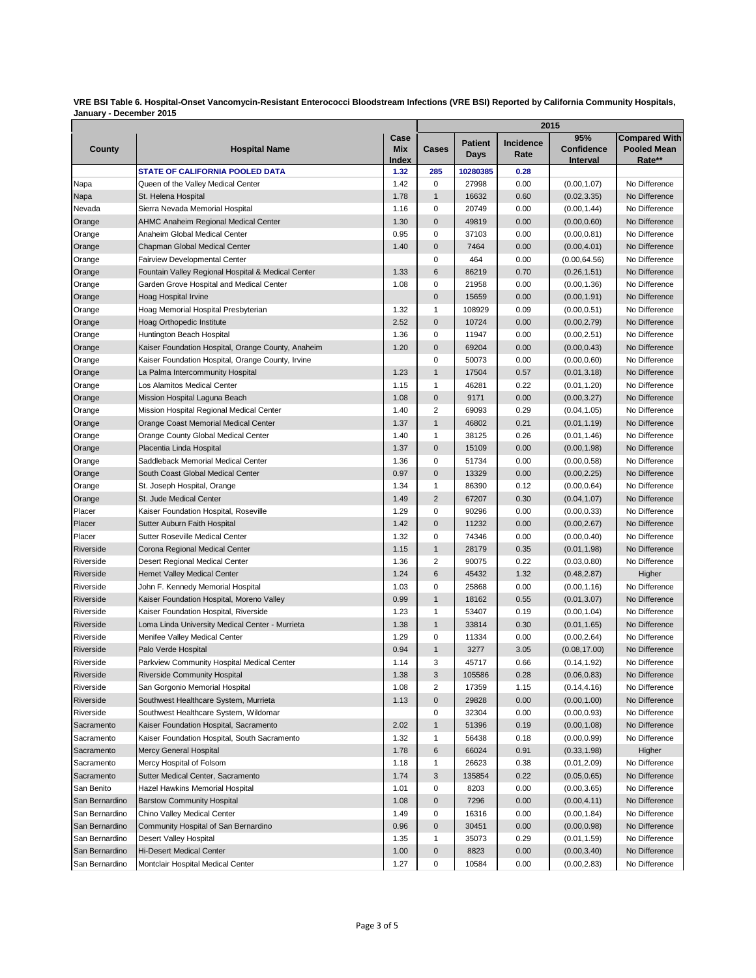| VRE BSI Table 6. Hospital-Onset Vancomycin-Resistant Enterococci Bloodstream Infections (VRE BSI) Reported by California Community Hospitals, |
|-----------------------------------------------------------------------------------------------------------------------------------------------|
| January - December 2015                                                                                                                       |

|                |                                                    |                             |                | 2015                   |                   |                               |                                                      |  |  |
|----------------|----------------------------------------------------|-----------------------------|----------------|------------------------|-------------------|-------------------------------|------------------------------------------------------|--|--|
| County         | <b>Hospital Name</b>                               | Case<br><b>Mix</b><br>Index | <b>Cases</b>   | <b>Patient</b><br>Days | Incidence<br>Rate | 95%<br>Confidence<br>Interval | <b>Compared With</b><br><b>Pooled Mean</b><br>Rate** |  |  |
|                | <b>STATE OF CALIFORNIA POOLED DATA</b>             | 1.32                        | 285            | 10280385               | 0.28              |                               |                                                      |  |  |
| Napa           | Queen of the Valley Medical Center                 | 1.42                        | $\mathbf 0$    | 27998                  | 0.00              | (0.00, 1.07)                  | No Difference                                        |  |  |
| Napa           | St. Helena Hospital                                | 1.78                        | $\mathbf{1}$   | 16632                  | 0.60              | (0.02, 3.35)                  | No Difference                                        |  |  |
| Nevada         | Sierra Nevada Memorial Hospital                    | 1.16                        | 0              | 20749                  | 0.00              | (0.00, 1.44)                  | No Difference                                        |  |  |
| Orange         | AHMC Anaheim Regional Medical Center               | 1.30                        | $\overline{0}$ | 49819                  | 0.00              | (0.00, 0.60)                  | No Difference                                        |  |  |
| Orange         | Anaheim Global Medical Center                      | 0.95                        | $\mathbf 0$    | 37103                  | 0.00              | (0.00, 0.81)                  | No Difference                                        |  |  |
| Orange         | Chapman Global Medical Center                      | 1.40                        | $\mathbf 0$    | 7464                   | 0.00              | (0.00, 4.01)                  | No Difference                                        |  |  |
| Orange         | <b>Fairview Developmental Center</b>               |                             | $\mathbf 0$    | 464                    | 0.00              | (0.00, 64.56)                 | No Difference                                        |  |  |
| Orange         | Fountain Valley Regional Hospital & Medical Center | 1.33                        | 6              | 86219                  | 0.70              | (0.26, 1.51)                  | No Difference                                        |  |  |
| Orange         | Garden Grove Hospital and Medical Center           | 1.08                        | 0              | 21958                  | 0.00              | (0.00, 1.36)                  | No Difference                                        |  |  |
| Orange         | Hoag Hospital Irvine                               |                             | $\overline{0}$ | 15659                  | 0.00              | (0.00, 1.91)                  | No Difference                                        |  |  |
| Orange         | Hoag Memorial Hospital Presbyterian                | 1.32                        | $\mathbf{1}$   | 108929                 | 0.09              | (0.00, 0.51)                  | No Difference                                        |  |  |
| Orange         | Hoag Orthopedic Institute                          | 2.52                        | $\mathbf 0$    | 10724                  | 0.00              | (0.00, 2.79)                  | No Difference                                        |  |  |
| Orange         | Huntington Beach Hospital                          | 1.36                        | 0              | 11947                  | 0.00              | (0.00, 2.51)                  | No Difference                                        |  |  |
| Orange         | Kaiser Foundation Hospital, Orange County, Anaheim | 1.20                        | $\mathbf 0$    | 69204                  | 0.00              | (0.00, 0.43)                  | No Difference                                        |  |  |
| Orange         | Kaiser Foundation Hospital, Orange County, Irvine  |                             | $\mathbf 0$    | 50073                  | 0.00              | (0.00, 0.60)                  | No Difference                                        |  |  |
| Orange         | La Palma Intercommunity Hospital                   | 1.23                        | $\overline{1}$ | 17504                  | 0.57              | (0.01, 3.18)                  | No Difference                                        |  |  |
| Orange         | Los Alamitos Medical Center                        | 1.15                        | $\mathbf{1}$   | 46281                  | 0.22              | (0.01, 1.20)                  | No Difference                                        |  |  |
| Orange         | Mission Hospital Laguna Beach                      | 1.08                        | $\mathbf 0$    | 9171                   | 0.00              | (0.00, 3.27)                  | No Difference                                        |  |  |
| Orange         | Mission Hospital Regional Medical Center           | 1.40                        | 2              | 69093                  | 0.29              | (0.04, 1.05)                  | No Difference                                        |  |  |
| Orange         | Orange Coast Memorial Medical Center               | 1.37                        | $\mathbf{1}$   | 46802                  | 0.21              | (0.01, 1.19)                  | No Difference                                        |  |  |
| Orange         | Orange County Global Medical Center                | 1.40                        | $\mathbf{1}$   | 38125                  | 0.26              | (0.01, 1.46)                  | No Difference                                        |  |  |
| Orange         | Placentia Linda Hospital                           | 1.37                        | $\mathbf 0$    | 15109                  | 0.00              | (0.00, 1.98)                  | No Difference                                        |  |  |
| Orange         | Saddleback Memorial Medical Center                 | 1.36                        | 0              | 51734                  | 0.00              | (0.00, 0.58)                  | No Difference                                        |  |  |
| Orange         | South Coast Global Medical Center                  | 0.97                        | $\overline{0}$ | 13329                  | 0.00              | (0.00, 2.25)                  | No Difference                                        |  |  |
| Orange         | St. Joseph Hospital, Orange                        | 1.34                        | $\mathbf{1}$   | 86390                  | 0.12              | (0.00, 0.64)                  | No Difference                                        |  |  |
| Orange         | St. Jude Medical Center                            | 1.49                        | $\overline{2}$ | 67207                  | 0.30              | (0.04, 1.07)                  | No Difference                                        |  |  |
| Placer         | Kaiser Foundation Hospital, Roseville              | 1.29                        | $\mathsf 0$    | 90296                  | 0.00              | (0.00, 0.33)                  | No Difference                                        |  |  |
| Placer         | Sutter Auburn Faith Hospital                       | 1.42                        | $\mathbf 0$    | 11232                  | 0.00              | (0.00, 2.67)                  | No Difference                                        |  |  |
| Placer         | Sutter Roseville Medical Center                    | 1.32                        | 0              | 74346                  | 0.00              | (0.00, 0.40)                  | No Difference                                        |  |  |
| Riverside      | Corona Regional Medical Center                     | 1.15                        | $\mathbf{1}$   | 28179                  | 0.35              | (0.01, 1.98)                  | No Difference                                        |  |  |
| Riverside      | Desert Regional Medical Center                     | 1.36                        | $\overline{2}$ | 90075                  | 0.22              | (0.03, 0.80)                  | No Difference                                        |  |  |
| Riverside      | <b>Hemet Valley Medical Center</b>                 | 1.24                        | 6              | 45432                  | 1.32              | (0.48, 2.87)                  | Higher                                               |  |  |
| Riverside      | John F. Kennedy Memorial Hospital                  | 1.03                        | 0              | 25868                  | 0.00              | (0.00, 1.16)                  | No Difference                                        |  |  |
| Riverside      | Kaiser Foundation Hospital, Moreno Valley          | 0.99                        | $\mathbf{1}$   | 18162                  | 0.55              | (0.01, 3.07)                  | No Difference                                        |  |  |
| Riverside      | Kaiser Foundation Hospital, Riverside              | 1.23                        | $\mathbf{1}$   | 53407                  | 0.19              | (0.00, 1.04)                  | No Difference                                        |  |  |
| Riverside      | Loma Linda University Medical Center - Murrieta    | 1.38                        | $\mathbf{1}$   | 33814                  | 0.30              | (0.01, 1.65)                  | No Difference                                        |  |  |
| Riverside      | Menifee Valley Medical Center                      | 1.29                        | $\mathsf 0$    | 11334                  | 0.00              | (0.00, 2.64)                  | No Difference                                        |  |  |
| Riverside      | Palo Verde Hospital                                | 0.94                        | $\mathbf{1}$   | 3277                   | 3.05              | (0.08, 17.00)                 | No Difference                                        |  |  |
| Riverside      | Parkview Community Hospital Medical Center         | 1.14                        | 3              | 45717                  | 0.66              | (0.14, 1.92)                  | No Difference                                        |  |  |
| Riverside      | <b>Riverside Community Hospital</b>                | 1.38                        | 3              | 105586                 | 0.28              | (0.06, 0.83)                  | No Difference                                        |  |  |
| Riverside      | San Gorgonio Memorial Hospital                     | 1.08                        | $\overline{c}$ | 17359                  | 1.15              | (0.14, 4.16)                  | No Difference                                        |  |  |
| Riverside      | Southwest Healthcare System, Murrieta              | 1.13                        | $\pmb{0}$      | 29828                  | 0.00              | (0.00, 1.00)                  | No Difference                                        |  |  |
| Riverside      | Southwest Healthcare System, Wildomar              |                             | 0              | 32304                  | 0.00              | (0.00, 0.93)                  | No Difference                                        |  |  |
| Sacramento     | Kaiser Foundation Hospital, Sacramento             | 2.02                        | $\mathbf{1}$   | 51396                  | 0.19              | (0.00, 1.08)                  | No Difference                                        |  |  |
| Sacramento     | Kaiser Foundation Hospital, South Sacramento       | 1.32                        | $\mathbf{1}$   | 56438                  | 0.18              | (0.00, 0.99)                  | No Difference                                        |  |  |
| Sacramento     | Mercy General Hospital                             | 1.78                        | 6              | 66024                  | 0.91              | (0.33, 1.98)                  | Higher                                               |  |  |
| Sacramento     | Mercy Hospital of Folsom                           | 1.18                        | $\mathbf{1}$   | 26623                  | 0.38              | (0.01, 2.09)                  | No Difference                                        |  |  |
| Sacramento     | Sutter Medical Center, Sacramento                  | 1.74                        | $\sqrt{3}$     | 135854                 | 0.22              | (0.05, 0.65)                  | No Difference                                        |  |  |
| San Benito     | Hazel Hawkins Memorial Hospital                    | 1.01                        | 0              | 8203                   | 0.00              | (0.00, 3.65)                  | No Difference                                        |  |  |
| San Bernardino | <b>Barstow Community Hospital</b>                  | 1.08                        | 0              | 7296                   | 0.00              | (0.00, 4.11)                  | No Difference                                        |  |  |
| San Bernardino | Chino Valley Medical Center                        | 1.49                        | 0              | 16316                  | 0.00              | (0.00, 1.84)                  | No Difference                                        |  |  |
| San Bernardino | Community Hospital of San Bernardino               |                             | 0              | 30451                  | 0.00              | (0.00, 0.98)                  | No Difference                                        |  |  |
| San Bernardino |                                                    | 0.96                        |                |                        |                   |                               |                                                      |  |  |
|                | Desert Valley Hospital                             | 1.35                        | $\mathbf{1}$   | 35073                  | 0.29              | (0.01, 1.59)                  | No Difference                                        |  |  |
| San Bernardino | <b>Hi-Desert Medical Center</b>                    | 1.00                        | $\pmb{0}$      | 8823                   | 0.00              | (0.00, 3.40)                  | No Difference                                        |  |  |
| San Bernardino | Montclair Hospital Medical Center                  | 1.27                        | $\pmb{0}$      | 10584                  | 0.00              | (0.00, 2.83)                  | No Difference                                        |  |  |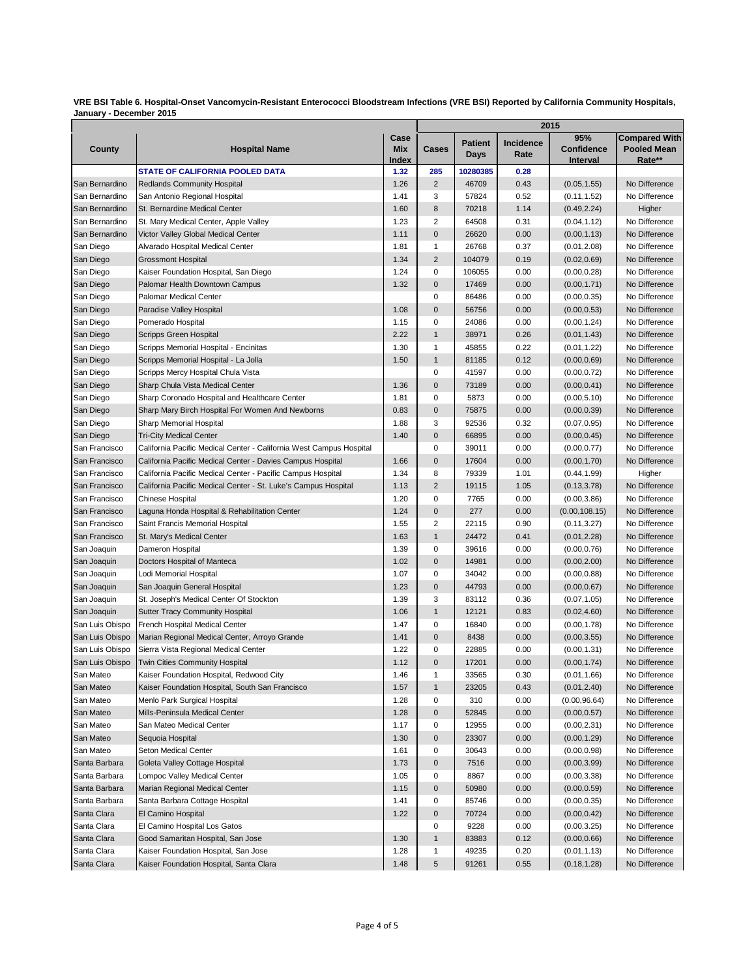**VRE BSI Table 6. Hospital-Onset Vancomycin-Resistant Enterococci Bloodstream Infections (VRE BSI) Reported by California Community Hospitals, January - December 2015**

|                 |                                                                     |                             | 2015           |                        |                   |                                      |                                                      |
|-----------------|---------------------------------------------------------------------|-----------------------------|----------------|------------------------|-------------------|--------------------------------------|------------------------------------------------------|
| County          | <b>Hospital Name</b>                                                | Case<br><b>Mix</b><br>Index | Cases          | <b>Patient</b><br>Days | Incidence<br>Rate | 95%<br>Confidence<br><b>Interval</b> | <b>Compared With</b><br><b>Pooled Mean</b><br>Rate** |
|                 | <b>STATE OF CALIFORNIA POOLED DATA</b>                              | 1.32                        | 285            | 10280385               | 0.28              |                                      |                                                      |
| San Bernardino  | <b>Redlands Community Hospital</b>                                  | 1.26                        | $\overline{2}$ | 46709                  | 0.43              | (0.05, 1.55)                         | No Difference                                        |
| San Bernardino  | San Antonio Regional Hospital                                       | 1.41                        | 3              | 57824                  | 0.52              | (0.11, 1.52)                         | No Difference                                        |
| San Bernardino  | St. Bernardine Medical Center                                       | 1.60                        | 8              | 70218                  | 1.14              | (0.49, 2.24)                         | Higher                                               |
| San Bernardino  | St. Mary Medical Center, Apple Valley                               | 1.23                        | $\overline{2}$ | 64508                  | 0.31              | (0.04, 1.12)                         | No Difference                                        |
| San Bernardino  | Victor Valley Global Medical Center                                 | 1.11                        | $\mathbf 0$    | 26620                  | 0.00              | (0.00, 1.13)                         | No Difference                                        |
| San Diego       | Alvarado Hospital Medical Center                                    | 1.81                        | $\mathbf{1}$   | 26768                  | 0.37              | (0.01, 2.08)                         | No Difference                                        |
| San Diego       | <b>Grossmont Hospital</b>                                           | 1.34                        | $\overline{2}$ | 104079                 | 0.19              | (0.02, 0.69)                         | No Difference                                        |
| San Diego       | Kaiser Foundation Hospital, San Diego                               | 1.24                        | $\mathbf 0$    | 106055                 | 0.00              | (0.00, 0.28)                         | No Difference                                        |
| San Diego       | Palomar Health Downtown Campus                                      | 1.32                        | $\mathbf 0$    | 17469                  | 0.00              | (0.00, 1.71)                         | No Difference                                        |
| San Diego       | Palomar Medical Center                                              |                             | $\mathbf 0$    | 86486                  | 0.00              | (0.00, 0.35)                         | No Difference                                        |
| San Diego       | Paradise Valley Hospital                                            | 1.08                        | $\mathbf 0$    | 56756                  | 0.00              | (0.00, 0.53)                         | No Difference                                        |
| San Diego       | Pomerado Hospital                                                   | 1.15                        | $\mathbf 0$    | 24086                  | 0.00              | (0.00, 1.24)                         | No Difference                                        |
| San Diego       | Scripps Green Hospital                                              | 2.22                        | $\mathbf{1}$   | 38971                  | 0.26              | (0.01, 1.43)                         | No Difference                                        |
| San Diego       | Scripps Memorial Hospital - Encinitas                               | 1.30                        | $\mathbf{1}$   | 45855                  | 0.22              | (0.01, 1.22)                         | No Difference                                        |
| San Diego       | Scripps Memorial Hospital - La Jolla                                | 1.50                        | $\mathbf{1}$   | 81185                  | 0.12              | (0.00, 0.69)                         | No Difference                                        |
| San Diego       | Scripps Mercy Hospital Chula Vista                                  |                             | 0              | 41597                  | 0.00              | (0.00, 0.72)                         | No Difference                                        |
| San Diego       | Sharp Chula Vista Medical Center                                    | 1.36                        | $\mathbf 0$    | 73189                  | 0.00              | (0.00, 0.41)                         | No Difference                                        |
| San Diego       | Sharp Coronado Hospital and Healthcare Center                       | 1.81                        | $\mathbf 0$    | 5873                   | 0.00              | (0.00, 5.10)                         | No Difference                                        |
| San Diego       | Sharp Mary Birch Hospital For Women And Newborns                    | 0.83                        | $\mathbf 0$    | 75875                  | 0.00              | (0.00, 0.39)                         | No Difference                                        |
| San Diego       | Sharp Memorial Hospital                                             | 1.88                        | 3              | 92536                  | 0.32              | (0.07, 0.95)                         | No Difference                                        |
| San Diego       | <b>Tri-City Medical Center</b>                                      | 1.40                        | $\mathbf 0$    | 66895                  | 0.00              | (0.00, 0.45)                         | No Difference                                        |
| San Francisco   | California Pacific Medical Center - California West Campus Hospital |                             | 0              | 39011                  | 0.00              | (0.00, 0.77)                         | No Difference                                        |
| San Francisco   | California Pacific Medical Center - Davies Campus Hospital          | 1.66                        | $\mathbf 0$    | 17604                  | 0.00              | (0.00, 1.70)                         | No Difference                                        |
| San Francisco   | California Pacific Medical Center - Pacific Campus Hospital         | 1.34                        | 8              | 79339                  | 1.01              | (0.44, 1.99)                         | Higher                                               |
| San Francisco   | California Pacific Medical Center - St. Luke's Campus Hospital      | 1.13                        | $\overline{2}$ | 19115                  | 1.05              | (0.13, 3.78)                         | No Difference                                        |
| San Francisco   | <b>Chinese Hospital</b>                                             | 1.20                        | 0              | 7765                   | 0.00              | (0.00, 3.86)                         | No Difference                                        |
| San Francisco   | Laguna Honda Hospital & Rehabilitation Center                       | 1.24                        | $\mathbf 0$    | 277                    | 0.00              | (0.00, 108.15)                       | No Difference                                        |
| San Francisco   | Saint Francis Memorial Hospital                                     | 1.55                        | $\overline{2}$ | 22115                  | 0.90              | (0.11, 3.27)                         | No Difference                                        |
| San Francisco   | St. Mary's Medical Center                                           | 1.63                        | $\mathbf{1}$   | 24472                  | 0.41              | (0.01, 2.28)                         | No Difference                                        |
| San Joaquin     | Dameron Hospital                                                    | 1.39                        | 0              | 39616                  | 0.00              | (0.00, 0.76)                         | No Difference                                        |
| San Joaquin     | Doctors Hospital of Manteca                                         | 1.02                        | $\mathbf 0$    | 14981                  | 0.00              | (0.00, 2.00)                         | No Difference                                        |
| San Joaquin     | Lodi Memorial Hospital                                              | 1.07                        | $\mathbf 0$    | 34042                  | 0.00              | (0.00, 0.88)                         | No Difference                                        |
| San Joaquin     | San Joaquin General Hospital                                        | 1.23                        | $\mathbf 0$    | 44793                  | 0.00              | (0.00, 0.67)                         | No Difference                                        |
| San Joaquin     | St. Joseph's Medical Center Of Stockton                             | 1.39                        | 3              | 83112                  | 0.36              | (0.07, 1.05)                         | No Difference                                        |
| San Joaquin     | <b>Sutter Tracy Community Hospital</b>                              | 1.06                        | $\mathbf{1}$   | 12121                  | 0.83              | (0.02, 4.60)                         | No Difference                                        |
| San Luis Obispo | French Hospital Medical Center                                      | 1.47                        | 0              | 16840                  | 0.00              | (0.00, 1.78)                         | No Difference                                        |
| San Luis Obispo | Marian Regional Medical Center, Arroyo Grande                       | 1.41                        | $\mathbf 0$    | 8438                   | 0.00              | (0.00, 3.55)                         | No Difference                                        |
| San Luis Obispo | Sierra Vista Regional Medical Center                                | 1.22                        | $\mathbf 0$    | 22885                  | 0.00              | (0.00, 1.31)                         | No Difference                                        |
| San Luis Obispo | Twin Cities Community Hospital                                      | 1.12                        | $\mathbf 0$    | 17201                  | 0.00              | (0.00, 1.74)                         | No Difference                                        |
| San Mateo       | Kaiser Foundation Hospital, Redwood City                            | 1.46                        | 1              | 33565                  | 0.30              | (0.01, 1.66)                         | No Difference                                        |
| San Mateo       | Kaiser Foundation Hospital, South San Francisco                     | 1.57                        | $\mathbf{1}$   | 23205                  | 0.43              | (0.01, 2.40)                         | No Difference                                        |
| San Mateo       | Menlo Park Surgical Hospital                                        | 1.28                        | 0              | 310                    | 0.00              | (0.00, 96.64)                        | No Difference                                        |
| San Mateo       | Mills-Peninsula Medical Center                                      | 1.28                        | $\pmb{0}$      | 52845                  | 0.00              | (0.00, 0.57)                         | No Difference                                        |
| San Mateo       | San Mateo Medical Center                                            | 1.17                        | 0              | 12955                  | 0.00              | (0.00, 2.31)                         | No Difference                                        |
| San Mateo       | Sequoia Hospital                                                    | 1.30                        | $\pmb{0}$      | 23307                  | 0.00              | (0.00, 1.29)                         | No Difference                                        |
| San Mateo       | Seton Medical Center                                                | 1.61                        | 0              | 30643                  | 0.00              | (0.00, 0.98)                         | No Difference                                        |
| Santa Barbara   | Goleta Valley Cottage Hospital                                      | 1.73                        | $\pmb{0}$      | 7516                   | 0.00              | (0.00, 3.99)                         | No Difference                                        |
| Santa Barbara   | Lompoc Valley Medical Center                                        | 1.05                        | 0              | 8867                   | 0.00              | (0.00, 3.38)                         | No Difference                                        |
| Santa Barbara   | Marian Regional Medical Center                                      | 1.15                        | $\pmb{0}$      | 50980                  | 0.00              | (0.00, 0.59)                         | No Difference                                        |
| Santa Barbara   | Santa Barbara Cottage Hospital                                      | 1.41                        | 0              | 85746                  | 0.00              | (0.00, 0.35)                         | No Difference                                        |
| Santa Clara     | El Camino Hospital                                                  | 1.22                        | $\pmb{0}$      | 70724                  | 0.00              | (0.00, 0.42)                         | No Difference                                        |
| Santa Clara     | El Camino Hospital Los Gatos                                        |                             | 0              | 9228                   | 0.00              | (0.00, 3.25)                         | No Difference                                        |
| Santa Clara     | Good Samaritan Hospital, San Jose                                   | 1.30                        | $\mathbf{1}$   | 83883                  | 0.12              | (0.00, 0.66)                         | No Difference                                        |
| Santa Clara     | Kaiser Foundation Hospital, San Jose                                | 1.28                        | $\mathbf{1}$   | 49235                  | 0.20              | (0.01, 1.13)                         | No Difference                                        |
| Santa Clara     | Kaiser Foundation Hospital, Santa Clara                             | 1.48                        | $\mathbf 5$    | 91261                  | 0.55              | (0.18, 1.28)                         | No Difference                                        |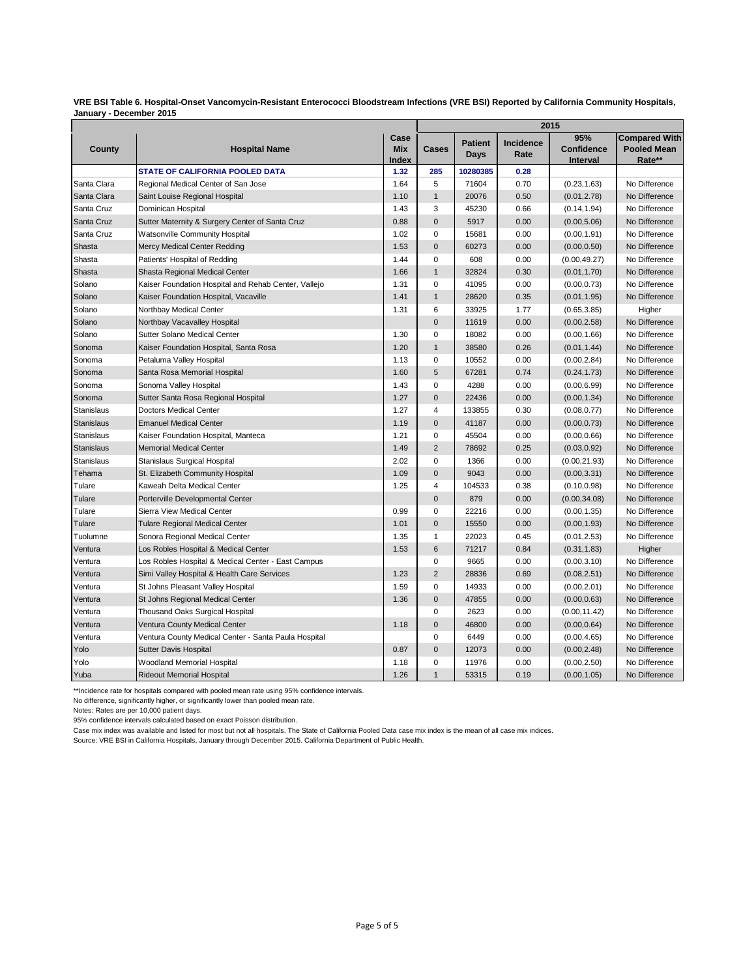| VRE BSI Table 6. Hospital-Onset Vancomycin-Resistant Enterococci Bloodstream Infections (VRE BSI) Reported by California Community Hospitals, |
|-----------------------------------------------------------------------------------------------------------------------------------------------|
| January - December 2015                                                                                                                       |

|                   |                                                      |                             |                | 2015                   |                   |                               |                                                      |  |  |  |
|-------------------|------------------------------------------------------|-----------------------------|----------------|------------------------|-------------------|-------------------------------|------------------------------------------------------|--|--|--|
| County            | <b>Hospital Name</b>                                 | Case<br><b>Mix</b><br>Index | <b>Cases</b>   | <b>Patient</b><br>Days | Incidence<br>Rate | 95%<br>Confidence<br>Interval | <b>Compared With</b><br><b>Pooled Mean</b><br>Rate** |  |  |  |
|                   | STATE OF CALIFORNIA POOLED DATA                      | 1.32                        | 285            | 10280385               | 0.28              |                               |                                                      |  |  |  |
| Santa Clara       | Regional Medical Center of San Jose                  | 1.64                        | 5              | 71604                  | 0.70              | (0.23, 1.63)                  | No Difference                                        |  |  |  |
| Santa Clara       | Saint Louise Regional Hospital                       | 1.10                        | $\overline{1}$ | 20076                  | 0.50              | (0.01, 2.78)                  | No Difference                                        |  |  |  |
| Santa Cruz        | Dominican Hospital                                   | 1.43                        | 3              | 45230                  | 0.66              | (0.14, 1.94)                  | No Difference                                        |  |  |  |
| Santa Cruz        | Sutter Maternity & Surgery Center of Santa Cruz      | 0.88                        | $\overline{0}$ | 5917                   | 0.00              | (0.00, 5.06)                  | No Difference                                        |  |  |  |
| Santa Cruz        | Watsonville Community Hospital                       | 1.02                        | $\mathbf 0$    | 15681                  | 0.00              | (0.00, 1.91)                  | No Difference                                        |  |  |  |
| Shasta            | Mercy Medical Center Redding                         | 1.53                        | $\overline{0}$ | 60273                  | 0.00              | (0.00, 0.50)                  | No Difference                                        |  |  |  |
| Shasta            | Patients' Hospital of Redding                        | 1.44                        | $\mathbf 0$    | 608                    | 0.00              | (0.00, 49.27)                 | No Difference                                        |  |  |  |
| <b>Shasta</b>     | Shasta Regional Medical Center                       | 1.66                        | $\overline{1}$ | 32824                  | 0.30              | (0.01, 1.70)                  | No Difference                                        |  |  |  |
| Solano            | Kaiser Foundation Hospital and Rehab Center, Vallejo | 1.31                        | $\mathbf 0$    | 41095                  | 0.00              | (0.00, 0.73)                  | No Difference                                        |  |  |  |
| Solano            | Kaiser Foundation Hospital, Vacaville                | 1.41                        | $\mathbf{1}$   | 28620                  | 0.35              | (0.01, 1.95)                  | No Difference                                        |  |  |  |
| Solano            | Northbay Medical Center                              | 1.31                        | 6              | 33925                  | 1.77              | (0.65, 3.85)                  | Higher                                               |  |  |  |
| Solano            | Northbay Vacavalley Hospital                         |                             | $\overline{0}$ | 11619                  | 0.00              | (0.00, 2.58)                  | No Difference                                        |  |  |  |
| Solano            | Sutter Solano Medical Center                         | 1.30                        | $\mathbf 0$    | 18082                  | 0.00              | (0.00, 1.66)                  | No Difference                                        |  |  |  |
| Sonoma            | Kaiser Foundation Hospital, Santa Rosa               | 1.20                        | $\overline{1}$ | 38580                  | 0.26              | (0.01, 1.44)                  | No Difference                                        |  |  |  |
| Sonoma            | Petaluma Valley Hospital                             | 1.13                        | $\mathbf 0$    | 10552                  | 0.00              | (0.00, 2.84)                  | No Difference                                        |  |  |  |
| Sonoma            | Santa Rosa Memorial Hospital                         | 1.60                        | 5              | 67281                  | 0.74              | (0.24, 1.73)                  | No Difference                                        |  |  |  |
| Sonoma            | Sonoma Valley Hospital                               | 1.43                        | $\mathbf 0$    | 4288                   | 0.00              | (0.00, 6.99)                  | No Difference                                        |  |  |  |
| Sonoma            | Sutter Santa Rosa Regional Hospital                  | 1.27                        | $\overline{0}$ | 22436                  | 0.00              | (0.00, 1.34)                  | No Difference                                        |  |  |  |
| <b>Stanislaus</b> | <b>Doctors Medical Center</b>                        | 1.27                        | $\overline{4}$ | 133855                 | 0.30              | (0.08, 0.77)                  | No Difference                                        |  |  |  |
| <b>Stanislaus</b> | <b>Emanuel Medical Center</b>                        | 1.19                        | $\mathbf{0}$   | 41187                  | 0.00              | (0.00, 0.73)                  | No Difference                                        |  |  |  |
| <b>Stanislaus</b> | Kaiser Foundation Hospital, Manteca                  | 1.21                        | $\mathbf 0$    | 45504                  | 0.00              | (0.00, 0.66)                  | No Difference                                        |  |  |  |
| <b>Stanislaus</b> | <b>Memorial Medical Center</b>                       | 1.49                        | $\overline{2}$ | 78692                  | 0.25              | (0.03, 0.92)                  | No Difference                                        |  |  |  |
| <b>Stanislaus</b> | Stanislaus Surgical Hospital                         | 2.02                        | $\mathbf 0$    | 1366                   | 0.00              | (0.00, 21.93)                 | No Difference                                        |  |  |  |
| Tehama            | St. Elizabeth Community Hospital                     | 1.09                        | $\mathbf 0$    | 9043                   | 0.00              | (0.00, 3.31)                  | No Difference                                        |  |  |  |
| Tulare            | Kaweah Delta Medical Center                          | 1.25                        | $\overline{4}$ | 104533                 | 0.38              | (0.10, 0.98)                  | No Difference                                        |  |  |  |
| Tulare            | Porterville Developmental Center                     |                             | $\mathbf 0$    | 879                    | 0.00              | (0.00, 34.08)                 | No Difference                                        |  |  |  |
| Tulare            | Sierra View Medical Center                           | 0.99                        | $\mathbf 0$    | 22216                  | 0.00              | (0.00, 1.35)                  | No Difference                                        |  |  |  |
| Tulare            | <b>Tulare Regional Medical Center</b>                | 1.01                        | $\overline{0}$ | 15550                  | 0.00              | (0.00, 1.93)                  | No Difference                                        |  |  |  |
| Tuolumne          | Sonora Regional Medical Center                       | 1.35                        | $\mathbf{1}$   | 22023                  | 0.45              | (0.01, 2.53)                  | No Difference                                        |  |  |  |
| Ventura           | Los Robles Hospital & Medical Center                 | 1.53                        | 6              | 71217                  | 0.84              | (0.31, 1.83)                  | Higher                                               |  |  |  |
| Ventura           | Los Robles Hospital & Medical Center - East Campus   |                             | $\mathbf 0$    | 9665                   | 0.00              | (0.00, 3.10)                  | No Difference                                        |  |  |  |
| Ventura           | Simi Valley Hospital & Health Care Services          | 1.23                        | $\overline{2}$ | 28836                  | 0.69              | (0.08, 2.51)                  | No Difference                                        |  |  |  |
| Ventura           | St Johns Pleasant Valley Hospital                    | 1.59                        | $\mathbf 0$    | 14933                  | 0.00              | (0.00, 2.01)                  | No Difference                                        |  |  |  |
| Ventura           | St Johns Regional Medical Center                     | 1.36                        | $\mathbf 0$    | 47855                  | 0.00              | (0.00, 0.63)                  | No Difference                                        |  |  |  |
| Ventura           | <b>Thousand Oaks Surgical Hospital</b>               |                             | $\mathbf 0$    | 2623                   | 0.00              | (0.00, 11.42)                 | No Difference                                        |  |  |  |
| Ventura           | Ventura County Medical Center                        | 1.18                        | $\overline{0}$ | 46800                  | 0.00              | (0.00, 0.64)                  | No Difference                                        |  |  |  |
| Ventura           | Ventura County Medical Center - Santa Paula Hospital |                             | $\mathbf 0$    | 6449                   | 0.00              | (0.00, 4.65)                  | No Difference                                        |  |  |  |
| Yolo              | <b>Sutter Davis Hospital</b>                         | 0.87                        | $\overline{0}$ | 12073                  | 0.00              | (0.00, 2.48)                  | No Difference                                        |  |  |  |
| Yolo              | Woodland Memorial Hospital                           | 1.18                        | $\mathbf 0$    | 11976                  | 0.00              | (0.00, 2.50)                  | No Difference                                        |  |  |  |
| Yuba              | <b>Rideout Memorial Hospital</b>                     | 1.26                        | $\overline{1}$ | 53315                  | 0.19              | (0.00, 1.05)                  | No Difference                                        |  |  |  |

\*\*Incidence rate for hospitals compared with pooled mean rate using 95% confidence intervals.

No difference, significantly higher, or significantly lower than pooled mean rate.

Notes: Rates are per 10,000 patient days.

95% confidence intervals calculated based on exact Poisson distribution.

Case mix index was available and listed for most but not all hospitals. The State of California Pooled Data case mix index is the mean of all case mix indices.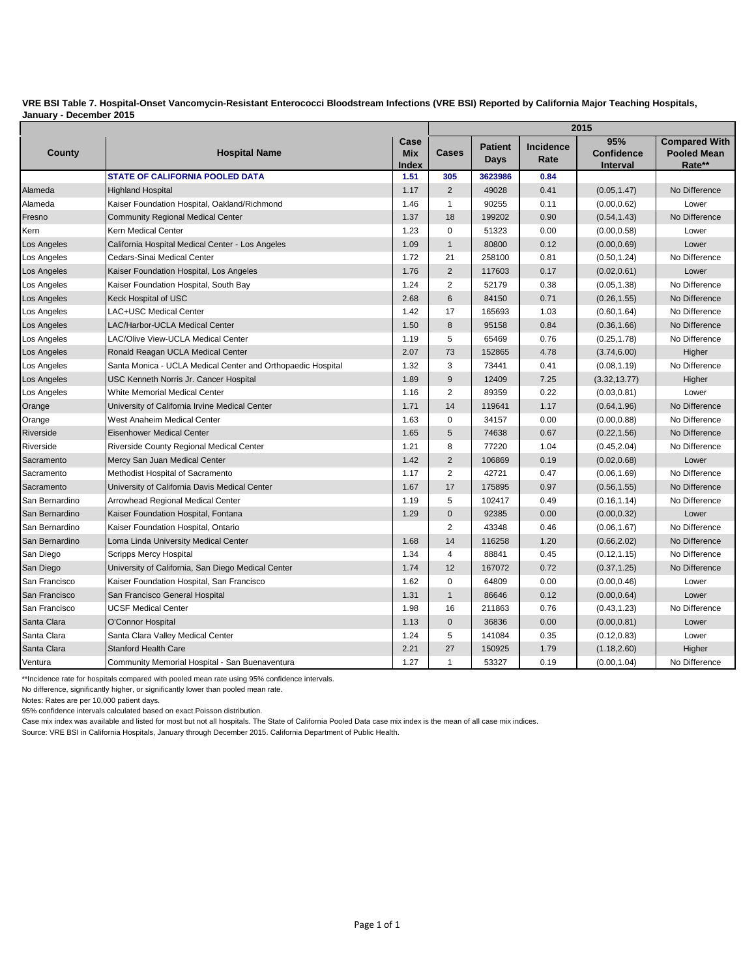**VRE BSI Table 7. Hospital-Onset Vancomycin-Resistant Enterococci Bloodstream Infections (VRE BSI) Reported by California Major Teaching Hospitals, January - December 2015**

|                |                                                             | 2015                        |                |                        |                   |                                      |                                                      |
|----------------|-------------------------------------------------------------|-----------------------------|----------------|------------------------|-------------------|--------------------------------------|------------------------------------------------------|
| County         | <b>Hospital Name</b>                                        | Case<br><b>Mix</b><br>Index | Cases          | <b>Patient</b><br>Days | Incidence<br>Rate | 95%<br><b>Confidence</b><br>Interval | <b>Compared With</b><br><b>Pooled Mean</b><br>Rate** |
|                | STATE OF CALIFORNIA POOLED DATA                             | 1.51                        | 305            | 3623986                | 0.84              |                                      |                                                      |
| Alameda        | <b>Highland Hospital</b>                                    | 1.17                        | $\overline{2}$ | 49028                  | 0.41              | (0.05, 1.47)                         | No Difference                                        |
| Alameda        | Kaiser Foundation Hospital, Oakland/Richmond                | 1.46                        | $\mathbf{1}$   | 90255                  | 0.11              | (0.00, 0.62)                         | Lower                                                |
| Fresno         | <b>Community Regional Medical Center</b>                    | 1.37                        | 18             | 199202                 | 0.90              | (0.54, 1.43)                         | No Difference                                        |
| Kern           | Kern Medical Center                                         | 1.23                        | $\Omega$       | 51323                  | 0.00              | (0.00, 0.58)                         | Lower                                                |
| Los Angeles    | California Hospital Medical Center - Los Angeles            | 1.09                        | $\mathbf{1}$   | 80800                  | 0.12              | (0.00, 0.69)                         | Lower                                                |
| Los Angeles    | Cedars-Sinai Medical Center                                 | 1.72                        | 21             | 258100                 | 0.81              | (0.50, 1.24)                         | No Difference                                        |
| Los Angeles    | Kaiser Foundation Hospital, Los Angeles                     | 1.76                        | $\overline{2}$ | 117603                 | 0.17              | (0.02, 0.61)                         | Lower                                                |
| Los Angeles    | Kaiser Foundation Hospital, South Bay                       | 1.24                        | $\overline{2}$ | 52179                  | 0.38              | (0.05, 1.38)                         | No Difference                                        |
| Los Angeles    | Keck Hospital of USC                                        | 2.68                        | 6              | 84150                  | 0.71              | (0.26, 1.55)                         | No Difference                                        |
| Los Angeles    | LAC+USC Medical Center                                      | 1.42                        | 17             | 165693                 | 1.03              | (0.60, 1.64)                         | No Difference                                        |
| Los Angeles    | LAC/Harbor-UCLA Medical Center                              | 1.50                        | 8              | 95158                  | 0.84              | (0.36, 1.66)                         | No Difference                                        |
| Los Angeles    | LAC/Olive View-UCLA Medical Center                          | 1.19                        | 5              | 65469                  | 0.76              | (0.25, 1.78)                         | No Difference                                        |
| Los Angeles    | Ronald Reagan UCLA Medical Center                           | 2.07                        | 73             | 152865                 | 4.78              | (3.74, 6.00)                         | Higher                                               |
| Los Angeles    | Santa Monica - UCLA Medical Center and Orthopaedic Hospital |                             | 3              | 73441                  | 0.41              | (0.08, 1.19)                         | No Difference                                        |
| Los Angeles    | USC Kenneth Norris Jr. Cancer Hospital                      | 1.89                        | 9              | 12409                  | 7.25              | (3.32, 13.77)                        | Higher                                               |
| Los Angeles    | White Memorial Medical Center                               | 1.16                        | $\overline{2}$ | 89359                  | 0.22              | (0.03, 0.81)                         | Lower                                                |
| Orange         | University of California Irvine Medical Center              | 1.71                        | 14             | 119641                 | 1.17              | (0.64, 1.96)                         | No Difference                                        |
| Orange         | West Anaheim Medical Center                                 | 1.63                        | $\Omega$       | 34157                  | 0.00              | (0.00, 0.88)                         | No Difference                                        |
| Riverside      | <b>Eisenhower Medical Center</b>                            | 1.65                        | 5              | 74638                  | 0.67              | (0.22, 1.56)                         | No Difference                                        |
| Riverside      | Riverside County Regional Medical Center                    | 1.21                        | 8              | 77220                  | 1.04              | (0.45, 2.04)                         | No Difference                                        |
| Sacramento     | Mercy San Juan Medical Center                               | 1.42                        | $\overline{2}$ | 106869                 | 0.19              | (0.02, 0.68)                         | Lower                                                |
| Sacramento     | Methodist Hospital of Sacramento                            | 1.17                        | $\overline{2}$ | 42721                  | 0.47              | (0.06, 1.69)                         | No Difference                                        |
| Sacramento     | University of California Davis Medical Center               | 1.67                        | 17             | 175895                 | 0.97              | (0.56, 1.55)                         | No Difference                                        |
| San Bernardino | Arrowhead Regional Medical Center                           | 1.19                        | 5              | 102417                 | 0.49              | (0.16, 1.14)                         | No Difference                                        |
| San Bernardino | Kaiser Foundation Hospital, Fontana                         | 1.29                        | $\mathbf{0}$   | 92385                  | 0.00              | (0.00, 0.32)                         | Lower                                                |
| San Bernardino | Kaiser Foundation Hospital, Ontario                         |                             | $\overline{2}$ | 43348                  | 0.46              | (0.06, 1.67)                         | No Difference                                        |
| San Bernardino | Loma Linda University Medical Center                        | 1.68                        | 14             | 116258                 | 1.20              | (0.66, 2.02)                         | No Difference                                        |
| San Diego      | Scripps Mercy Hospital                                      | 1.34                        | 4              | 88841                  | 0.45              | (0.12, 1.15)                         | No Difference                                        |
| San Diego      | University of California, San Diego Medical Center          | 1.74                        | 12             | 167072                 | 0.72              | (0.37, 1.25)                         | No Difference                                        |
| San Francisco  | Kaiser Foundation Hospital, San Francisco                   | 1.62                        | $\mathbf 0$    | 64809                  | 0.00              | (0.00, 0.46)                         | Lower                                                |
| San Francisco  | San Francisco General Hospital                              | 1.31                        | $\mathbf{1}$   | 86646                  | 0.12              | (0.00, 0.64)                         | Lower                                                |
| San Francisco  | <b>UCSF Medical Center</b>                                  | 1.98                        | 16             | 211863                 | 0.76              | (0.43, 1.23)                         | No Difference                                        |
| Santa Clara    | O'Connor Hospital                                           | 1.13                        | $\mathbf{0}$   | 36836                  | 0.00              | (0.00, 0.81)                         | Lower                                                |
| Santa Clara    | Santa Clara Valley Medical Center                           | 1.24                        | 5              | 141084                 | 0.35              | (0.12, 0.83)                         | Lower                                                |
| Santa Clara    | <b>Stanford Health Care</b>                                 | 2.21                        | 27             | 150925                 | 1.79              | (1.18, 2.60)                         | Higher                                               |
| Ventura        | Community Memorial Hospital - San Buenaventura              | 1.27                        | 1              | 53327                  | 0.19              | (0.00, 1.04)                         | No Difference                                        |

\*\*Incidence rate for hospitals compared with pooled mean rate using 95% confidence intervals.

No difference, significantly higher, or significantly lower than pooled mean rate.

Notes: Rates are per 10,000 patient days.

95% confidence intervals calculated based on exact Poisson distribution.

Case mix index was available and listed for most but not all hospitals. The State of California Pooled Data case mix index is the mean of all case mix indices.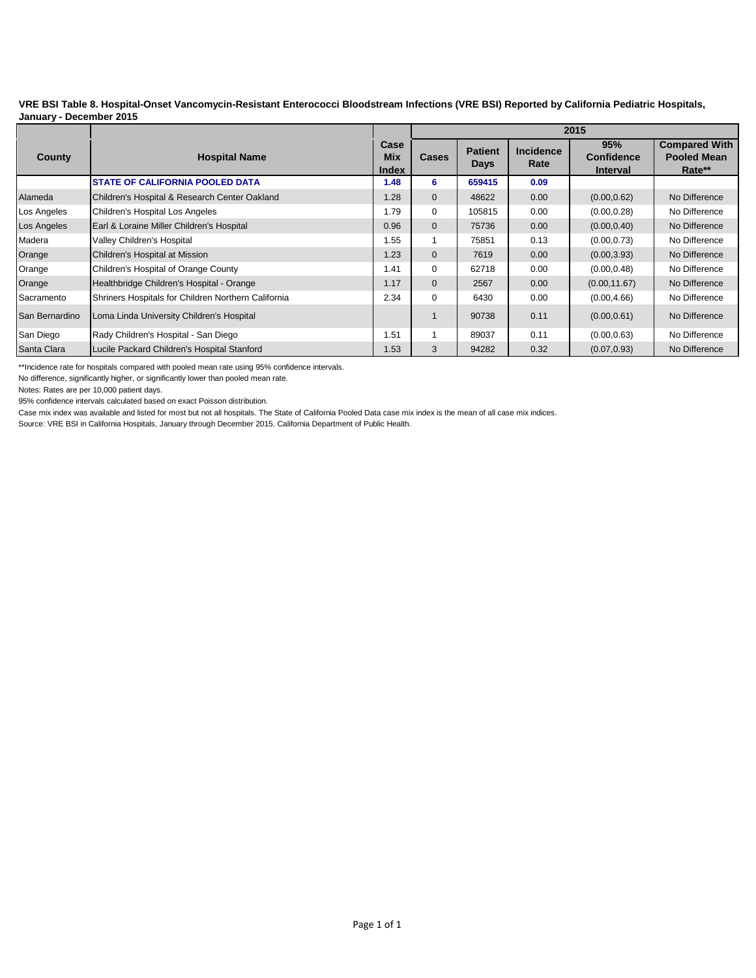## **VRE BSI Table 8. Hospital-Onset Vancomycin-Resistant Enterococci Bloodstream Infections (VRE BSI) Reported by California Pediatric Hospitals, January - December 2015**

|                |                                                     |                             | 2015         |                               |                          |                                             |                                                      |  |  |
|----------------|-----------------------------------------------------|-----------------------------|--------------|-------------------------------|--------------------------|---------------------------------------------|------------------------------------------------------|--|--|
| County         | <b>Hospital Name</b>                                | Case<br><b>Mix</b><br>Index | <b>Cases</b> | <b>Patient</b><br><b>Days</b> | <b>Incidence</b><br>Rate | 95%<br><b>Confidence</b><br><b>Interval</b> | <b>Compared With</b><br><b>Pooled Mean</b><br>Rate** |  |  |
|                | <b>STATE OF CALIFORNIA POOLED DATA</b>              | 1.48                        | 6            | 659415                        | 0.09                     |                                             |                                                      |  |  |
| Alameda        | Children's Hospital & Research Center Oakland       | 1.28                        | $\mathbf{0}$ | 48622                         | 0.00                     | (0.00, 0.62)                                | No Difference                                        |  |  |
| Los Angeles    | <b>Children's Hospital Los Angeles</b>              | 1.79                        | $\Omega$     | 105815                        | 0.00                     | (0.00, 0.28)                                | No Difference                                        |  |  |
| Los Angeles    | Earl & Loraine Miller Children's Hospital           | 0.96                        | $\mathbf{0}$ | 75736                         | 0.00                     | (0.00, 0.40)                                | No Difference                                        |  |  |
| Madera         | Valley Children's Hospital                          | 1.55                        |              | 75851                         | 0.13                     | (0.00, 0.73)                                | No Difference                                        |  |  |
| Orange         | Children's Hospital at Mission                      | 1.23                        | $\Omega$     | 7619                          | 0.00                     | (0.00, 3.93)                                | No Difference                                        |  |  |
| Orange         | Children's Hospital of Orange County                | 1.41                        | $\Omega$     | 62718                         | 0.00                     | (0.00, 0.48)                                | No Difference                                        |  |  |
| Orange         | Healthbridge Children's Hospital - Orange           | 1.17                        | $\mathbf{0}$ | 2567                          | 0.00                     | (0.00, 11.67)                               | No Difference                                        |  |  |
| Sacramento     | Shriners Hospitals for Children Northern California | 2.34                        | $\Omega$     | 6430                          | 0.00                     | (0.00, 4.66)                                | No Difference                                        |  |  |
| San Bernardino | Loma Linda University Children's Hospital           |                             |              | 90738                         | 0.11                     | (0.00, 0.61)                                | No Difference                                        |  |  |
| San Diego      | Rady Children's Hospital - San Diego                | 1.51                        |              | 89037                         | 0.11                     | (0.00, 0.63)                                | No Difference                                        |  |  |
| Santa Clara    | Lucile Packard Children's Hospital Stanford         | 1.53                        | 3            | 94282                         | 0.32                     | (0.07, 0.93)                                | No Difference                                        |  |  |

\*\*Incidence rate for hospitals compared with pooled mean rate using 95% confidence intervals.

No difference, significantly higher, or significantly lower than pooled mean rate.

Notes: Rates are per 10,000 patient days.

95% confidence intervals calculated based on exact Poisson distribution.

Case mix index was available and listed for most but not all hospitals. The State of California Pooled Data case mix index is the mean of all case mix indices.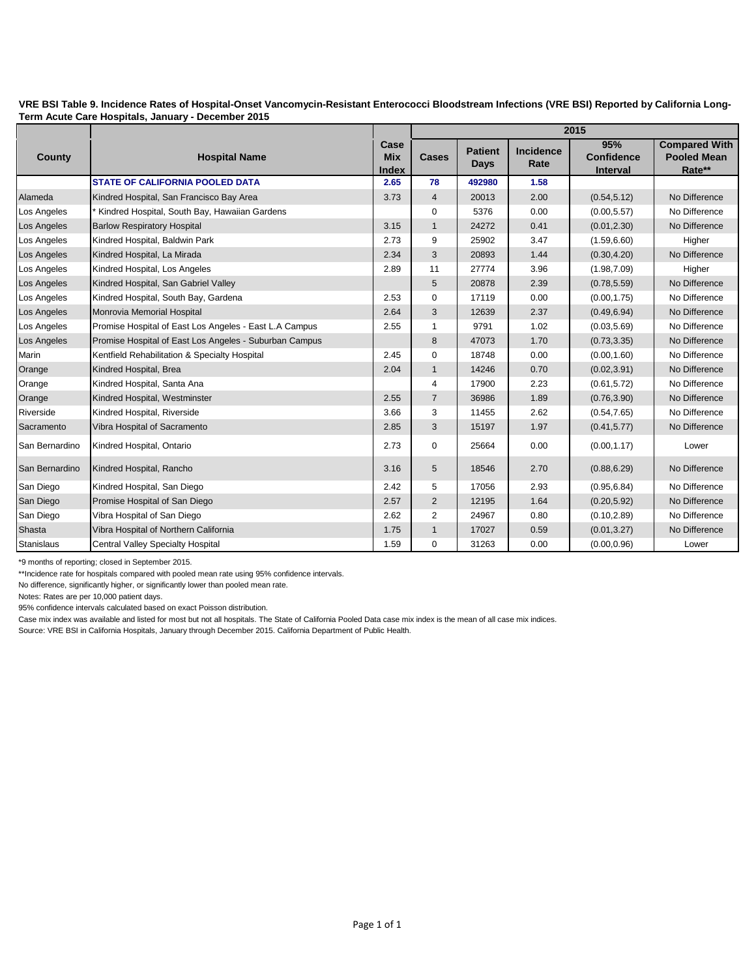| VRE BSI Table 9. Incidence Rates of Hospital-Onset Vancomycin-Resistant Enterococci Bloodstream Infections (VRE BSI) Reported by California Long- |  |
|---------------------------------------------------------------------------------------------------------------------------------------------------|--|
| Term Acute Care Hospitals, January - December 2015                                                                                                |  |

|                |                                                        |                                    | 2015           |                        |                          |                                      |                                                      |  |
|----------------|--------------------------------------------------------|------------------------------------|----------------|------------------------|--------------------------|--------------------------------------|------------------------------------------------------|--|
| County         | <b>Hospital Name</b>                                   | Case<br><b>Mix</b><br><b>Index</b> | <b>Cases</b>   | <b>Patient</b><br>Days | <b>Incidence</b><br>Rate | 95%<br><b>Confidence</b><br>Interval | <b>Compared With</b><br><b>Pooled Mean</b><br>Rate** |  |
|                | <b>STATE OF CALIFORNIA POOLED DATA</b>                 | 2.65                               | 78             | 492980                 | 1.58                     |                                      |                                                      |  |
| Alameda        | Kindred Hospital, San Francisco Bay Area               | 3.73                               | $\overline{4}$ | 20013                  | 2.00                     | (0.54, 5.12)                         | No Difference                                        |  |
| Los Angeles    | Kindred Hospital, South Bay, Hawaiian Gardens          |                                    | $\Omega$       | 5376                   | 0.00                     | (0.00, 5.57)                         | No Difference                                        |  |
| Los Angeles    | <b>Barlow Respiratory Hospital</b>                     | 3.15                               | $\mathbf{1}$   | 24272                  | 0.41                     | (0.01, 2.30)                         | No Difference                                        |  |
| Los Angeles    | Kindred Hospital, Baldwin Park                         | 2.73                               | 9              | 25902                  | 3.47                     | (1.59, 6.60)                         | Higher                                               |  |
| Los Angeles    | Kindred Hospital, La Mirada                            | 2.34                               | 3              | 20893                  | 1.44                     | (0.30, 4.20)                         | No Difference                                        |  |
| Los Angeles    | Kindred Hospital, Los Angeles                          | 2.89                               | 11             | 27774                  | 3.96                     | (1.98, 7.09)                         | Higher                                               |  |
| Los Angeles    | Kindred Hospital, San Gabriel Valley                   |                                    | 5              | 20878                  | 2.39                     | (0.78, 5.59)                         | No Difference                                        |  |
| Los Angeles    | Kindred Hospital, South Bay, Gardena                   | 2.53                               | 0              | 17119                  | 0.00                     | (0.00, 1.75)                         | No Difference                                        |  |
| Los Angeles    | Monrovia Memorial Hospital                             | 2.64                               | 3              | 12639                  | 2.37                     | (0.49, 6.94)                         | No Difference                                        |  |
| Los Angeles    | Promise Hospital of East Los Angeles - East L.A Campus | 2.55                               | $\mathbf{1}$   | 9791                   | 1.02                     | (0.03, 5.69)                         | No Difference                                        |  |
| Los Angeles    | Promise Hospital of East Los Angeles - Suburban Campus |                                    | 8              | 47073                  | 1.70                     | (0.73, 3.35)                         | No Difference                                        |  |
| Marin          | Kentfield Rehabilitation & Specialty Hospital          | 2.45                               | 0              | 18748                  | 0.00                     | (0.00, 1.60)                         | No Difference                                        |  |
| Orange         | Kindred Hospital, Brea                                 | 2.04                               | $\mathbf{1}$   | 14246                  | 0.70                     | (0.02, 3.91)                         | No Difference                                        |  |
| Orange         | Kindred Hospital, Santa Ana                            |                                    | 4              | 17900                  | 2.23                     | (0.61, 5.72)                         | No Difference                                        |  |
| Orange         | Kindred Hospital, Westminster                          | 2.55                               | $\overline{7}$ | 36986                  | 1.89                     | (0.76, 3.90)                         | No Difference                                        |  |
| Riverside      | Kindred Hospital, Riverside                            | 3.66                               | 3              | 11455                  | 2.62                     | (0.54, 7.65)                         | No Difference                                        |  |
| Sacramento     | Vibra Hospital of Sacramento                           | 2.85                               | 3              | 15197                  | 1.97                     | (0.41, 5.77)                         | No Difference                                        |  |
| San Bernardino | Kindred Hospital, Ontario                              | 2.73                               | $\mathbf 0$    | 25664                  | 0.00                     | (0.00, 1.17)                         | Lower                                                |  |
| San Bernardino | Kindred Hospital, Rancho                               | 3.16                               | 5              | 18546                  | 2.70                     | (0.88, 6.29)                         | No Difference                                        |  |
| San Diego      | Kindred Hospital, San Diego                            | 2.42                               | 5              | 17056                  | 2.93                     | (0.95, 6.84)                         | No Difference                                        |  |
| San Diego      | Promise Hospital of San Diego                          | 2.57                               | 2              | 12195                  | 1.64                     | (0.20, 5.92)                         | No Difference                                        |  |
| San Diego      | Vibra Hospital of San Diego                            | 2.62                               | $\overline{2}$ | 24967                  | 0.80                     | (0.10, 2.89)                         | No Difference                                        |  |
| Shasta         | Vibra Hospital of Northern California                  | 1.75                               | $\mathbf{1}$   | 17027                  | 0.59                     | (0.01, 3.27)                         | No Difference                                        |  |
| Stanislaus     | <b>Central Valley Specialty Hospital</b>               | 1.59                               | $\Omega$       | 31263                  | 0.00                     | (0.00, 0.96)                         | Lower                                                |  |

\*9 months of reporting; closed in September 2015.

\*\*Incidence rate for hospitals compared with pooled mean rate using 95% confidence intervals.

No difference, significantly higher, or significantly lower than pooled mean rate.

Notes: Rates are per 10,000 patient days.

95% confidence intervals calculated based on exact Poisson distribution.

Case mix index was available and listed for most but not all hospitals. The State of California Pooled Data case mix index is the mean of all case mix indices.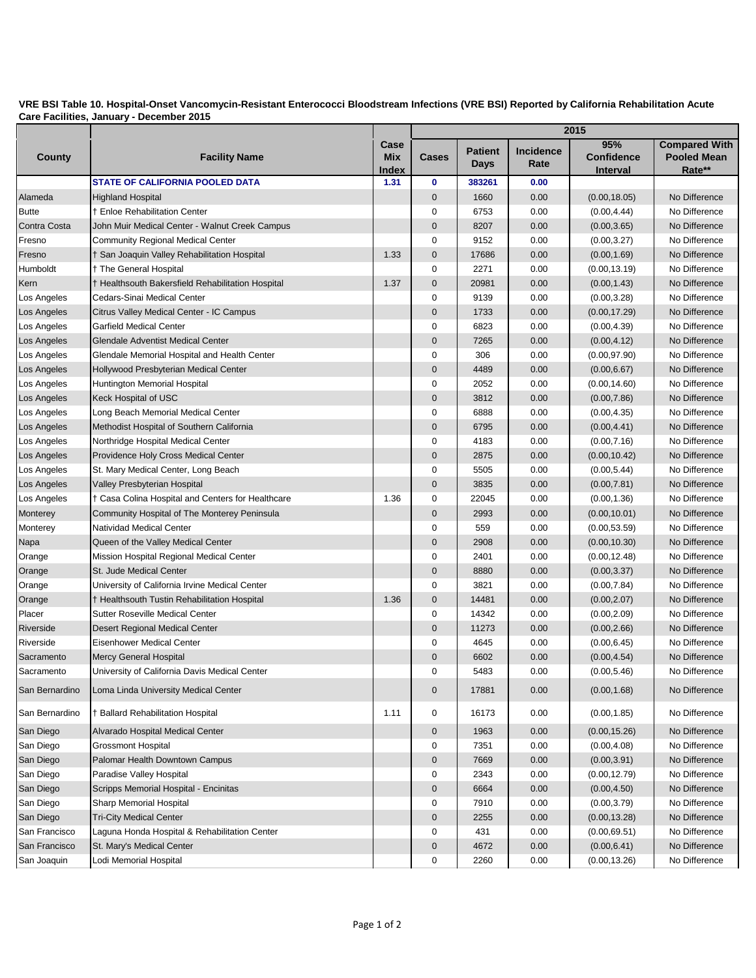# **VRE BSI Table 10. Hospital-Onset Vancomycin-Resistant Enterococci Bloodstream Infections (VRE BSI) Reported by California Rehabilitation Acute Care Facilities, January - December 2015**

|                |                                                   |                      |              |                               |                          | 2015                                        |                                                      |  |  |  |
|----------------|---------------------------------------------------|----------------------|--------------|-------------------------------|--------------------------|---------------------------------------------|------------------------------------------------------|--|--|--|
| County         | <b>Facility Name</b>                              | Case<br>Mix<br>Index | Cases        | <b>Patient</b><br><b>Days</b> | <b>Incidence</b><br>Rate | 95%<br><b>Confidence</b><br><b>Interval</b> | <b>Compared With</b><br><b>Pooled Mean</b><br>Rate** |  |  |  |
|                | <b>STATE OF CALIFORNIA POOLED DATA</b>            | 1.31                 | $\mathbf 0$  | 383261                        | 0.00                     |                                             |                                                      |  |  |  |
| Alameda        | <b>Highland Hospital</b>                          |                      | $\mathbf 0$  | 1660                          | 0.00                     | (0.00, 18.05)                               | No Difference                                        |  |  |  |
| <b>Butte</b>   | <b>t Enloe Rehabilitation Center</b>              |                      | $\mathbf 0$  | 6753                          | 0.00                     | (0.00, 4.44)                                | No Difference                                        |  |  |  |
| Contra Costa   | John Muir Medical Center - Walnut Creek Campus    |                      | $\mathbf 0$  | 8207                          | 0.00                     | (0.00, 3.65)                                | No Difference                                        |  |  |  |
| Fresno         | <b>Community Regional Medical Center</b>          |                      | $\mathbf 0$  | 9152                          | 0.00                     | (0.00, 3.27)                                | No Difference                                        |  |  |  |
| Fresno         | † San Joaquin Valley Rehabilitation Hospital      | 1.33                 | $\mathbf{0}$ | 17686                         | 0.00                     | (0.00, 1.69)                                | No Difference                                        |  |  |  |
| Humboldt       | † The General Hospital                            |                      | $\mathbf 0$  | 2271                          | 0.00                     | (0.00, 13.19)                               | No Difference                                        |  |  |  |
| Kern           | † Healthsouth Bakersfield Rehabilitation Hospital | 1.37                 | $\mathbf 0$  | 20981                         | 0.00                     | (0.00, 1.43)                                | No Difference                                        |  |  |  |
| Los Angeles    | Cedars-Sinai Medical Center                       |                      | $\mathbf 0$  | 9139                          | 0.00                     | (0.00, 3.28)                                | No Difference                                        |  |  |  |
| Los Angeles    | Citrus Valley Medical Center - IC Campus          |                      | $\mathbf 0$  | 1733                          | 0.00                     | (0.00, 17.29)                               | No Difference                                        |  |  |  |
| Los Angeles    | <b>Garfield Medical Center</b>                    |                      | $\mathbf 0$  | 6823                          | 0.00                     | (0.00, 4.39)                                | No Difference                                        |  |  |  |
| Los Angeles    | <b>Glendale Adventist Medical Center</b>          |                      | 0            | 7265                          | 0.00                     | (0.00, 4.12)                                | No Difference                                        |  |  |  |
| Los Angeles    | Glendale Memorial Hospital and Health Center      |                      | $\mathbf 0$  | 306                           | 0.00                     | (0.00, 97.90)                               | No Difference                                        |  |  |  |
| Los Angeles    | Hollywood Presbyterian Medical Center             |                      | $\mathbf 0$  | 4489                          | 0.00                     | (0.00, 6.67)                                | No Difference                                        |  |  |  |
| Los Angeles    | Huntington Memorial Hospital                      |                      | 0            | 2052                          | 0.00                     | (0.00, 14.60)                               | No Difference                                        |  |  |  |
| Los Angeles    | Keck Hospital of USC                              |                      | $\mathbf 0$  | 3812                          | 0.00                     | (0.00, 7.86)                                | No Difference                                        |  |  |  |
| Los Angeles    | Long Beach Memorial Medical Center                |                      | 0            | 6888                          | 0.00                     | (0.00, 4.35)                                | No Difference                                        |  |  |  |
| Los Angeles    | Methodist Hospital of Southern California         |                      | $\mathbf 0$  | 6795                          | 0.00                     | (0.00, 4.41)                                | No Difference                                        |  |  |  |
| Los Angeles    | Northridge Hospital Medical Center                |                      | $\mathbf 0$  | 4183                          | 0.00                     | (0.00, 7.16)                                | No Difference                                        |  |  |  |
| Los Angeles    | Providence Holy Cross Medical Center              |                      | $\mathbf 0$  | 2875                          | 0.00                     | (0.00, 10.42)                               | No Difference                                        |  |  |  |
| Los Angeles    | St. Mary Medical Center, Long Beach               |                      | $\mathbf 0$  | 5505                          | 0.00                     | (0.00, 5.44)                                | No Difference                                        |  |  |  |
| Los Angeles    | Valley Presbyterian Hospital                      |                      | $\mathbf 0$  | 3835                          | 0.00                     | (0.00, 7.81)                                | No Difference                                        |  |  |  |
| Los Angeles    | † Casa Colina Hospital and Centers for Healthcare | 1.36                 | $\mathbf 0$  | 22045                         | 0.00                     | (0.00, 1.36)                                | No Difference                                        |  |  |  |
| Monterey       | Community Hospital of The Monterey Peninsula      |                      | $\mathbf 0$  | 2993                          | 0.00                     | (0.00, 10.01)                               | No Difference                                        |  |  |  |
| Monterey       | Natividad Medical Center                          |                      | 0            | 559                           | 0.00                     | (0.00, 53.59)                               | No Difference                                        |  |  |  |
| Napa           | Queen of the Valley Medical Center                |                      | $\mathbf 0$  | 2908                          | 0.00                     | (0.00, 10.30)                               | No Difference                                        |  |  |  |
| Orange         | Mission Hospital Regional Medical Center          |                      | $\mathbf 0$  | 2401                          | 0.00                     | (0.00, 12.48)                               | No Difference                                        |  |  |  |
| Orange         | St. Jude Medical Center                           |                      | $\mathbf 0$  | 8880                          | 0.00                     | (0.00, 3.37)                                | No Difference                                        |  |  |  |
| Orange         | University of California Irvine Medical Center    |                      | 0            | 3821                          | 0.00                     | (0.00, 7.84)                                | No Difference                                        |  |  |  |
| Orange         | † Healthsouth Tustin Rehabilitation Hospital      | 1.36                 | $\mathbf 0$  | 14481                         | 0.00                     | (0.00, 2.07)                                | No Difference                                        |  |  |  |
| Placer         | <b>Sutter Roseville Medical Center</b>            |                      | $\mathbf 0$  | 14342                         | 0.00                     | (0.00, 2.09)                                | No Difference                                        |  |  |  |
| Riverside      | <b>Desert Regional Medical Center</b>             |                      | $\mathbf 0$  | 11273                         | 0.00                     | (0.00, 2.66)                                | No Difference                                        |  |  |  |
| Riverside      | <b>Eisenhower Medical Center</b>                  |                      | 0            | 4645                          | 0.00                     | (0.00, 6.45)                                | No Difference                                        |  |  |  |
| Sacramento     | <b>Mercy General Hospital</b>                     |                      | $\mathbf 0$  | 6602                          | 0.00                     | (0.00, 4.54)                                | No Difference                                        |  |  |  |
| Sacramento     | University of California Davis Medical Center     |                      | $\mathbf 0$  | 5483                          | 0.00                     | (0.00, 5.46)                                | No Difference                                        |  |  |  |
| San Bernardino | Loma Linda University Medical Center              |                      | $\pmb{0}$    | 17881                         | $0.00\,$                 | (0.00, 1.68)                                | No Difference                                        |  |  |  |
| San Bernardino | <b>† Ballard Rehabilitation Hospital</b>          | 1.11                 | 0            | 16173                         | 0.00                     | (0.00, 1.85)                                | No Difference                                        |  |  |  |
| San Diego      | Alvarado Hospital Medical Center                  |                      | $\pmb{0}$    | 1963                          | 0.00                     | (0.00, 15.26)                               | No Difference                                        |  |  |  |
| San Diego      | <b>Grossmont Hospital</b>                         |                      | 0            | 7351                          | 0.00                     | (0.00, 4.08)                                | No Difference                                        |  |  |  |
| San Diego      | Palomar Health Downtown Campus                    |                      | $\mathbf 0$  | 7669                          | 0.00                     | (0.00, 3.91)                                | No Difference                                        |  |  |  |
| San Diego      | Paradise Valley Hospital                          |                      | 0            | 2343                          | 0.00                     | (0.00, 12.79)                               | No Difference                                        |  |  |  |
| San Diego      | Scripps Memorial Hospital - Encinitas             |                      | $\mathbf 0$  | 6664                          | 0.00                     | (0.00, 4.50)                                | No Difference                                        |  |  |  |
| San Diego      | <b>Sharp Memorial Hospital</b>                    |                      | $\mathsf 0$  | 7910                          | 0.00                     | (0.00, 3.79)                                | No Difference                                        |  |  |  |
| San Diego      | <b>Tri-City Medical Center</b>                    |                      | $\pmb{0}$    | 2255                          | 0.00                     | (0.00, 13.28)                               | No Difference                                        |  |  |  |
| San Francisco  | Laguna Honda Hospital & Rehabilitation Center     |                      | 0            | 431                           | 0.00                     | (0.00, 69.51)                               | No Difference                                        |  |  |  |
| San Francisco  | St. Mary's Medical Center                         |                      | $\pmb{0}$    | 4672                          | 0.00                     | (0.00, 6.41)                                | No Difference                                        |  |  |  |
| San Joaquin    | Lodi Memorial Hospital                            |                      | $\pmb{0}$    | 2260                          | 0.00                     | (0.00, 13.26)                               | No Difference                                        |  |  |  |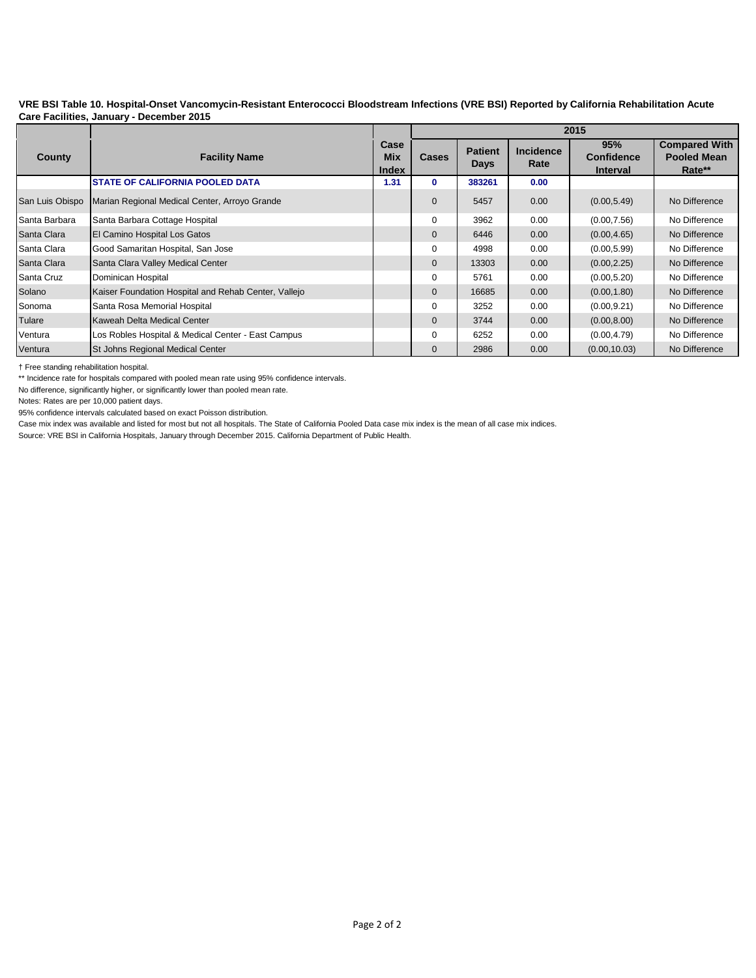## **VRE BSI Table 10. Hospital-Onset Vancomycin-Resistant Enterococci Bloodstream Infections (VRE BSI) Reported by California Rehabilitation Acute Care Facilities, January - December 2015**

|                 |                                                      |                                    | 2015         |                               |                          |                                             |                                                      |  |  |  |
|-----------------|------------------------------------------------------|------------------------------------|--------------|-------------------------------|--------------------------|---------------------------------------------|------------------------------------------------------|--|--|--|
| County          | <b>Facility Name</b>                                 | Case<br><b>Mix</b><br><b>Index</b> | <b>Cases</b> | <b>Patient</b><br><b>Days</b> | <b>Incidence</b><br>Rate | 95%<br><b>Confidence</b><br><b>Interval</b> | <b>Compared With</b><br><b>Pooled Mean</b><br>Rate** |  |  |  |
|                 | <b>STATE OF CALIFORNIA POOLED DATA</b>               | 1.31                               | $\mathbf{0}$ | 383261                        | 0.00                     |                                             |                                                      |  |  |  |
| San Luis Obispo | Marian Regional Medical Center, Arroyo Grande        |                                    | $\mathbf{0}$ | 5457                          | 0.00                     | (0.00, 5.49)                                | No Difference                                        |  |  |  |
| Santa Barbara   | Santa Barbara Cottage Hospital                       |                                    | 0            | 3962                          | 0.00                     | (0.00, 7.56)                                | No Difference                                        |  |  |  |
| Santa Clara     | <b>El Camino Hospital Los Gatos</b>                  |                                    | $\mathbf{0}$ | 6446                          | 0.00                     | (0.00, 4.65)                                | No Difference                                        |  |  |  |
| Santa Clara     | Good Samaritan Hospital, San Jose                    |                                    | $\Omega$     | 4998                          | 0.00                     | (0.00, 5.99)                                | No Difference                                        |  |  |  |
| Santa Clara     | Santa Clara Valley Medical Center                    |                                    | $\Omega$     | 13303                         | 0.00                     | (0.00, 2.25)                                | No Difference                                        |  |  |  |
| Santa Cruz      | Dominican Hospital                                   |                                    | 0            | 5761                          | 0.00                     | (0.00, 5.20)                                | No Difference                                        |  |  |  |
| Solano          | Kaiser Foundation Hospital and Rehab Center, Vallejo |                                    | $\mathbf{0}$ | 16685                         | 0.00                     | (0.00, 1.80)                                | No Difference                                        |  |  |  |
| Sonoma          | Santa Rosa Memorial Hospital                         |                                    | $\Omega$     | 3252                          | 0.00                     | (0.00, 9.21)                                | No Difference                                        |  |  |  |
| Tulare          | Kaweah Delta Medical Center                          |                                    | $\mathbf{0}$ | 3744                          | 0.00                     | (0.00, 8.00)                                | No Difference                                        |  |  |  |
| Ventura         | Los Robles Hospital & Medical Center - East Campus   |                                    | 0            | 6252                          | 0.00                     | (0.00, 4.79)                                | No Difference                                        |  |  |  |
| Ventura         | <b>St Johns Regional Medical Center</b>              |                                    | $\mathbf{0}$ | 2986                          | 0.00                     | (0.00, 10.03)                               | No Difference                                        |  |  |  |

† Free standing rehabilitation hospital.

\*\* Incidence rate for hospitals compared with pooled mean rate using 95% confidence intervals.

No difference, significantly higher, or significantly lower than pooled mean rate.

Notes: Rates are per 10,000 patient days.

95% confidence intervals calculated based on exact Poisson distribution.

Case mix index was available and listed for most but not all hospitals. The State of California Pooled Data case mix index is the mean of all case mix indices.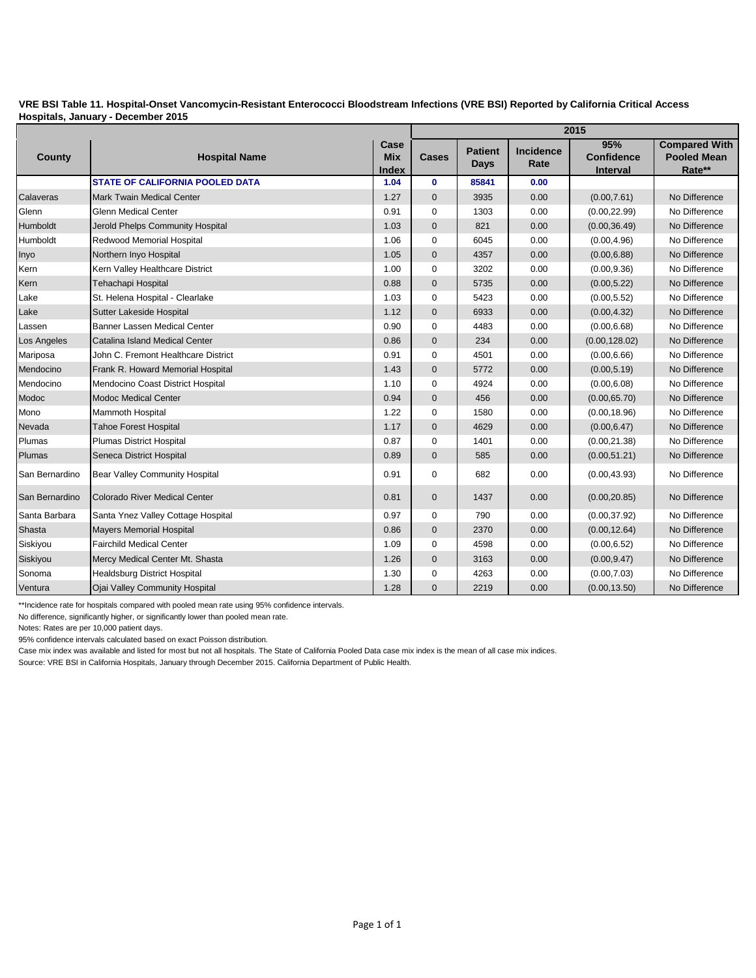**VRE BSI Table 11. Hospital-Onset Vancomycin-Resistant Enterococci Bloodstream Infections (VRE BSI) Reported by California Critical Access Hospitals, January - December 2015**

|                |                                        |                                    | 2015         |                               |                   |                                      |                                                      |  |
|----------------|----------------------------------------|------------------------------------|--------------|-------------------------------|-------------------|--------------------------------------|------------------------------------------------------|--|
| County         | <b>Hospital Name</b>                   | Case<br><b>Mix</b><br><b>Index</b> | <b>Cases</b> | <b>Patient</b><br><b>Days</b> | Incidence<br>Rate | 95%<br><b>Confidence</b><br>Interval | <b>Compared With</b><br><b>Pooled Mean</b><br>Rate** |  |
|                | <b>STATE OF CALIFORNIA POOLED DATA</b> | 1.04                               | $\bf{0}$     | 85841                         | 0.00              |                                      |                                                      |  |
| Calaveras      | Mark Twain Medical Center              | 1.27                               | $\mathbf{0}$ | 3935                          | 0.00              | (0.00, 7.61)                         | No Difference                                        |  |
| Glenn          | <b>Glenn Medical Center</b>            | 0.91                               | $\mathbf 0$  | 1303                          | 0.00              | (0.00, 22.99)                        | No Difference                                        |  |
| Humboldt       | Jerold Phelps Community Hospital       | 1.03                               | $\mathbf{0}$ | 821                           | 0.00              | (0.00, 36.49)                        | No Difference                                        |  |
| Humboldt       | Redwood Memorial Hospital              | 1.06                               | $\mathbf 0$  | 6045                          | 0.00              | (0.00, 4.96)                         | No Difference                                        |  |
| Inyo           | Northern Inyo Hospital                 | 1.05                               | $\Omega$     | 4357                          | 0.00              | (0.00, 6.88)                         | No Difference                                        |  |
| Kern           | Kern Valley Healthcare District        | 1.00                               | $\mathbf 0$  | 3202                          | 0.00              | (0.00, 9.36)                         | No Difference                                        |  |
| Kern           | Tehachapi Hospital                     | 0.88                               | $\mathbf{0}$ | 5735                          | 0.00              | (0.00, 5.22)                         | No Difference                                        |  |
| Lake           | St. Helena Hospital - Clearlake        | 1.03                               | $\Omega$     | 5423                          | 0.00              | (0.00, 5.52)                         | No Difference                                        |  |
| Lake           | Sutter Lakeside Hospital               | 1.12                               | $\mathbf 0$  | 6933                          | 0.00              | (0.00, 4.32)                         | No Difference                                        |  |
| Lassen         | <b>Banner Lassen Medical Center</b>    | 0.90                               | $\mathbf 0$  | 4483                          | 0.00              | (0.00, 6.68)                         | No Difference                                        |  |
| Los Angeles    | Catalina Island Medical Center         | 0.86                               | $\mathbf{0}$ | 234                           | 0.00              | (0.00, 128.02)                       | No Difference                                        |  |
| Mariposa       | John C. Fremont Healthcare District    | 0.91                               | $\mathbf 0$  | 4501                          | 0.00              | (0.00, 6.66)                         | No Difference                                        |  |
| Mendocino      | Frank R. Howard Memorial Hospital      | 1.43                               | $\mathbf{0}$ | 5772                          | 0.00              | (0.00, 5.19)                         | No Difference                                        |  |
| Mendocino      | Mendocino Coast District Hospital      | 1.10                               | $\Omega$     | 4924                          | 0.00              | (0.00, 6.08)                         | No Difference                                        |  |
| Modoc          | <b>Modoc Medical Center</b>            | 0.94                               | $\mathbf{0}$ | 456                           | 0.00              | (0.00, 65.70)                        | No Difference                                        |  |
| Mono           | Mammoth Hospital                       | 1.22                               | $\mathbf 0$  | 1580                          | 0.00              | (0.00, 18.96)                        | No Difference                                        |  |
| Nevada         | <b>Tahoe Forest Hospital</b>           | 1.17                               | $\mathbf{0}$ | 4629                          | 0.00              | (0.00, 6.47)                         | No Difference                                        |  |
| Plumas         | <b>Plumas District Hospital</b>        | 0.87                               | $\mathbf 0$  | 1401                          | 0.00              | (0.00, 21.38)                        | No Difference                                        |  |
| Plumas         | Seneca District Hospital               | 0.89                               | $\mathbf{0}$ | 585                           | 0.00              | (0.00, 51.21)                        | No Difference                                        |  |
| San Bernardino | <b>Bear Valley Community Hospital</b>  | 0.91                               | $\mathbf 0$  | 682                           | 0.00              | (0.00, 43.93)                        | No Difference                                        |  |
| San Bernardino | <b>Colorado River Medical Center</b>   | 0.81                               | $\mathbf{0}$ | 1437                          | 0.00              | (0.00, 20.85)                        | No Difference                                        |  |
| Santa Barbara  | Santa Ynez Valley Cottage Hospital     | 0.97                               | $\mathbf 0$  | 790                           | 0.00              | (0.00, 37.92)                        | No Difference                                        |  |
| Shasta         | <b>Mayers Memorial Hospital</b>        | 0.86                               | $\mathbf{0}$ | 2370                          | 0.00              | (0.00, 12.64)                        | No Difference                                        |  |
| Siskiyou       | <b>Fairchild Medical Center</b>        | 1.09                               | $\mathbf 0$  | 4598                          | 0.00              | (0.00, 6.52)                         | No Difference                                        |  |
| Siskiyou       | Mercy Medical Center Mt. Shasta        | 1.26                               | $\mathbf{0}$ | 3163                          | 0.00              | (0.00, 9.47)                         | No Difference                                        |  |
| Sonoma         | <b>Healdsburg District Hospital</b>    | 1.30                               | $\mathbf 0$  | 4263                          | 0.00              | (0.00, 7.03)                         | No Difference                                        |  |
| Ventura        | Ojai Valley Community Hospital         | 1.28                               | $\mathbf 0$  | 2219                          | 0.00              | (0.00, 13.50)                        | No Difference                                        |  |

\*\*Incidence rate for hospitals compared with pooled mean rate using 95% confidence intervals.

No difference, significantly higher, or significantly lower than pooled mean rate.

Notes: Rates are per 10,000 patient days.

95% confidence intervals calculated based on exact Poisson distribution.

Case mix index was available and listed for most but not all hospitals. The State of California Pooled Data case mix index is the mean of all case mix indices.